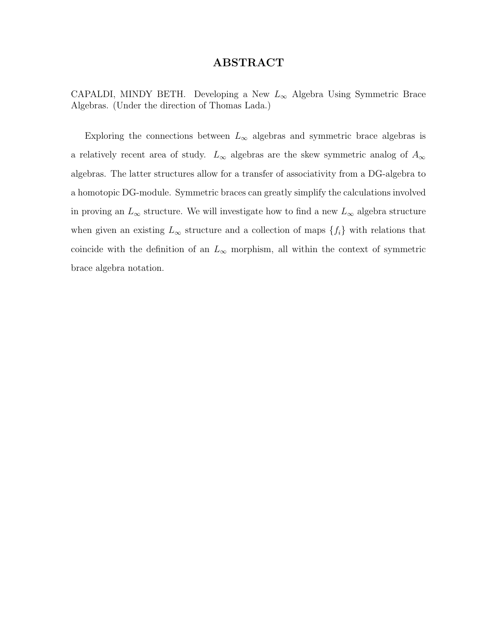#### ABSTRACT

CAPALDI, MINDY BETH. Developing a New  $L_{\infty}$  Algebra Using Symmetric Brace Algebras. (Under the direction of Thomas Lada.)

Exploring the connections between  $L_{\infty}$  algebras and symmetric brace algebras is a relatively recent area of study.  $L_{\infty}$  algebras are the skew symmetric analog of  $A_{\infty}$ algebras. The latter structures allow for a transfer of associativity from a DG-algebra to a homotopic DG-module. Symmetric braces can greatly simplify the calculations involved in proving an  $L_{\infty}$  structure. We will investigate how to find a new  $L_{\infty}$  algebra structure when given an existing  $L_{\infty}$  structure and a collection of maps  $\{f_i\}$  with relations that coincide with the definition of an  $L_{\infty}$  morphism, all within the context of symmetric brace algebra notation.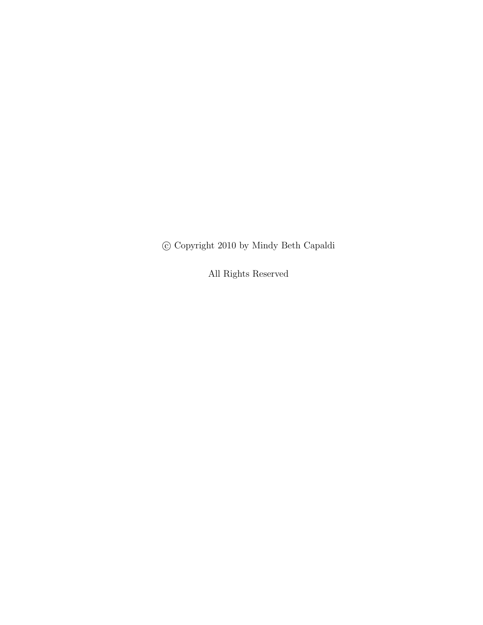c Copyright 2010 by Mindy Beth Capaldi

All Rights Reserved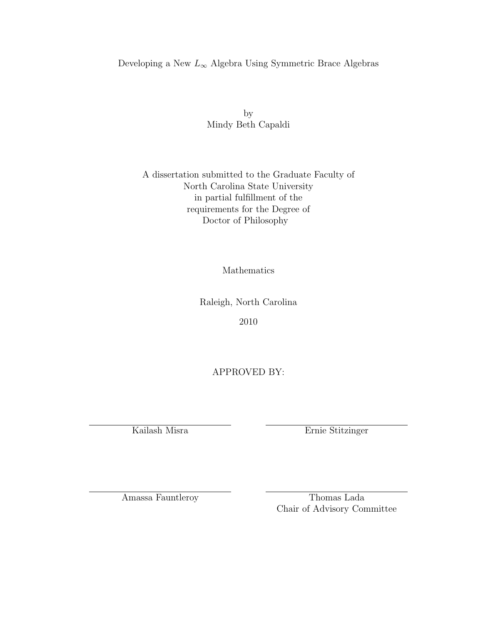#### Developing a New  $L_{\infty}$  Algebra Using Symmetric Brace Algebras

by Mindy Beth Capaldi

#### A dissertation submitted to the Graduate Faculty of North Carolina State University in partial fulfillment of the requirements for the Degree of Doctor of Philosophy

Mathematics

Raleigh, North Carolina

2010

APPROVED BY:

Kailash Misra Ernie Stitzinger

Amassa Fauntleroy Thomas Lada Chair of Advisory Committee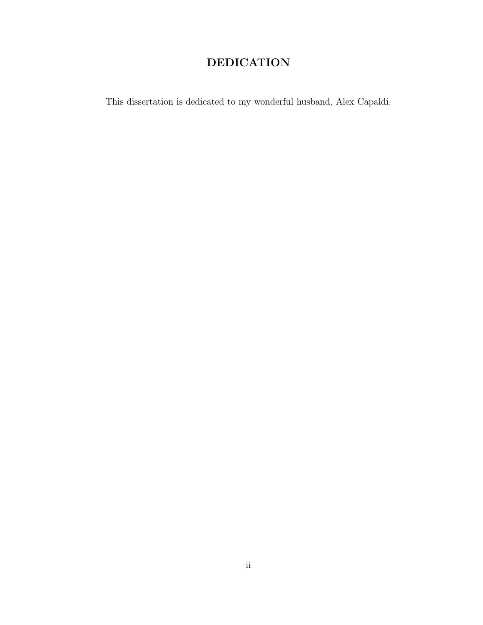# DEDICATION

This dissertation is dedicated to my wonderful husband, Alex Capaldi.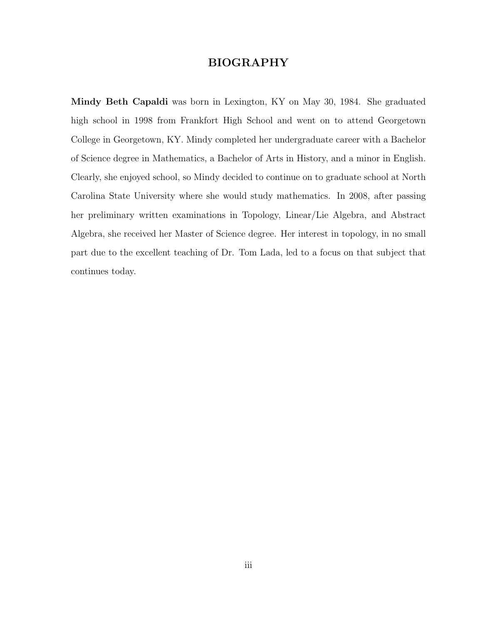#### BIOGRAPHY

Mindy Beth Capaldi was born in Lexington, KY on May 30, 1984. She graduated high school in 1998 from Frankfort High School and went on to attend Georgetown College in Georgetown, KY. Mindy completed her undergraduate career with a Bachelor of Science degree in Mathematics, a Bachelor of Arts in History, and a minor in English. Clearly, she enjoyed school, so Mindy decided to continue on to graduate school at North Carolina State University where she would study mathematics. In 2008, after passing her preliminary written examinations in Topology, Linear/Lie Algebra, and Abstract Algebra, she received her Master of Science degree. Her interest in topology, in no small part due to the excellent teaching of Dr. Tom Lada, led to a focus on that subject that continues today.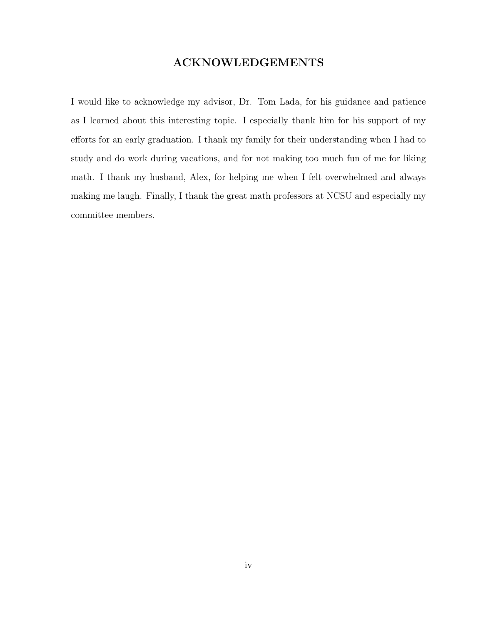### ACKNOWLEDGEMENTS

I would like to acknowledge my advisor, Dr. Tom Lada, for his guidance and patience as I learned about this interesting topic. I especially thank him for his support of my efforts for an early graduation. I thank my family for their understanding when I had to study and do work during vacations, and for not making too much fun of me for liking math. I thank my husband, Alex, for helping me when I felt overwhelmed and always making me laugh. Finally, I thank the great math professors at NCSU and especially my committee members.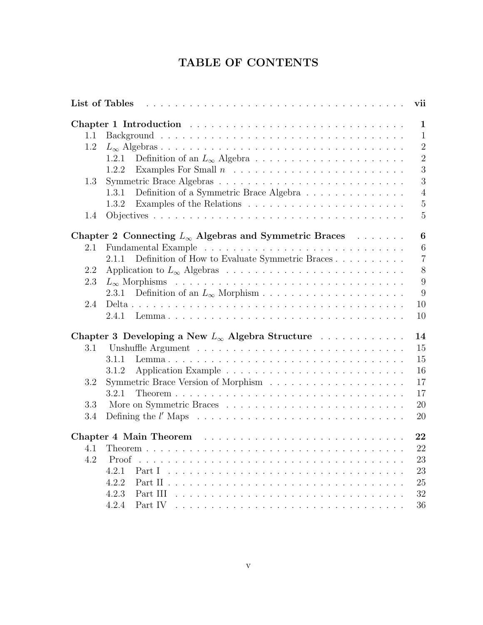# TABLE OF CONTENTS

| List of Tables<br>vii |                                                                                     |  |  |  |
|-----------------------|-------------------------------------------------------------------------------------|--|--|--|
|                       | $\mathbf{1}$                                                                        |  |  |  |
| 1.1                   | $\mathbf{1}$                                                                        |  |  |  |
| 1.2                   | $\overline{2}$                                                                      |  |  |  |
|                       | $\overline{2}$<br>1.2.1                                                             |  |  |  |
|                       | 3<br>1.2.2                                                                          |  |  |  |
| 1.3                   | 3                                                                                   |  |  |  |
|                       | $\overline{4}$<br>1.3.1<br>Definition of a Symmetric Brace Algebra                  |  |  |  |
|                       | $\overline{5}$<br>1.3.2                                                             |  |  |  |
|                       | Examples of the Relations $\ldots \ldots \ldots \ldots \ldots \ldots \ldots \ldots$ |  |  |  |
| 1.4                   | $\overline{5}$                                                                      |  |  |  |
|                       | $\bf{6}$<br>Chapter 2 Connecting $L_{\infty}$ Algebras and Symmetric Braces         |  |  |  |
| 2.1                   | 6                                                                                   |  |  |  |
|                       | $\overline{7}$<br>Definition of How to Evaluate Symmetric Braces<br>2.1.1           |  |  |  |
| 2.2                   | 8                                                                                   |  |  |  |
| 2.3                   | 9                                                                                   |  |  |  |
|                       | 9<br>2.3.1                                                                          |  |  |  |
| 2.4                   | 10                                                                                  |  |  |  |
|                       | 10<br>2.4.1                                                                         |  |  |  |
|                       |                                                                                     |  |  |  |
|                       | 14<br>Chapter 3 Developing a New $L_{\infty}$ Algebra Structure                     |  |  |  |
| 3.1                   | 15                                                                                  |  |  |  |
|                       | 15<br>3.1.1                                                                         |  |  |  |
|                       | 16<br>3.1.2                                                                         |  |  |  |
| 3.2                   | 17                                                                                  |  |  |  |
|                       | 17<br>3.2.1                                                                         |  |  |  |
| 3.3                   | 20                                                                                  |  |  |  |
| 3.4                   | 20                                                                                  |  |  |  |
|                       |                                                                                     |  |  |  |
|                       | 22                                                                                  |  |  |  |
| 4.1                   | 22                                                                                  |  |  |  |
| 4.2                   | 23                                                                                  |  |  |  |
|                       | 23<br>4.2.1                                                                         |  |  |  |
|                       | 4.2.2<br>25                                                                         |  |  |  |
|                       | 4.2.3<br>32                                                                         |  |  |  |
|                       | 36<br>4.2.4<br>Part IV                                                              |  |  |  |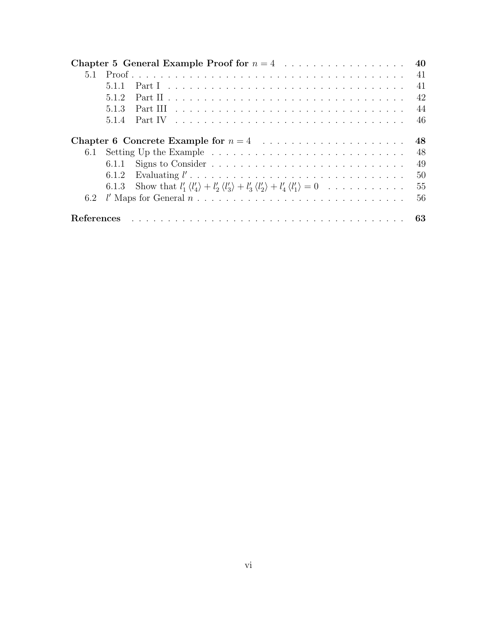|     |       | Chapter 5 General Example Proof for $n = 4$                                                                                         | 40 |
|-----|-------|-------------------------------------------------------------------------------------------------------------------------------------|----|
| 5.1 |       |                                                                                                                                     | 41 |
|     | 5.1.1 |                                                                                                                                     | 41 |
|     | 5.1.2 |                                                                                                                                     | 42 |
|     | 5.1.3 |                                                                                                                                     | 44 |
|     | 5.1.4 | Part IV $\ldots \ldots \ldots \ldots \ldots \ldots \ldots \ldots \ldots \ldots \ldots$                                              | 46 |
|     |       |                                                                                                                                     | 48 |
|     |       |                                                                                                                                     | 48 |
|     | 6.1.1 |                                                                                                                                     | 49 |
|     |       |                                                                                                                                     | 50 |
|     |       | 6.1.3 Show that $l'_1 \langle l'_4 \rangle + l'_2 \langle l'_3 \rangle + l'_3 \langle l'_2 \rangle + l'_4 \langle l'_1 \rangle = 0$ | 55 |
|     |       | 6.2 $l'$ Maps for General $n \ldots \ldots \ldots \ldots \ldots \ldots \ldots \ldots \ldots \ldots$                                 | 56 |
|     |       |                                                                                                                                     |    |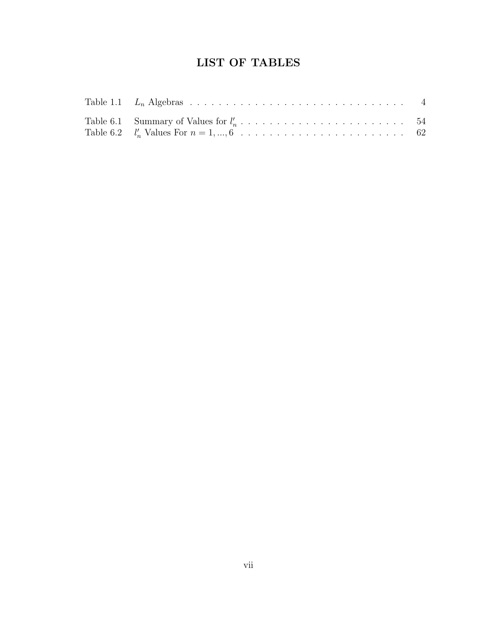# LIST OF TABLES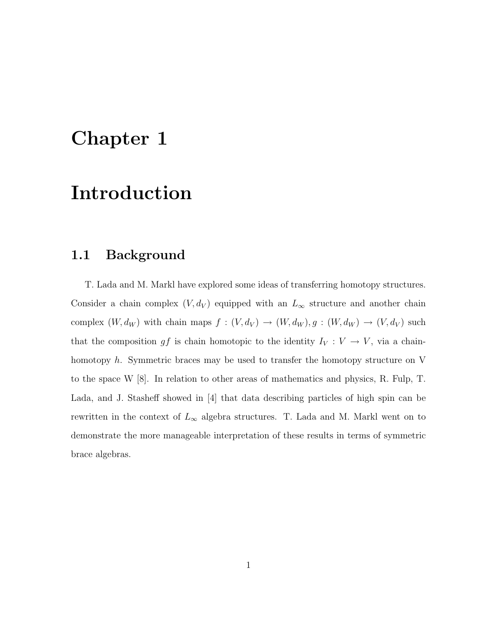# Chapter 1

# Introduction

### 1.1 Background

T. Lada and M. Markl have explored some ideas of transferring homotopy structures. Consider a chain complex  $(V, d_V)$  equipped with an  $L_{\infty}$  structure and another chain complex  $(W, d_W)$  with chain maps  $f : (V, d_V) \to (W, d_W), g : (W, d_W) \to (V, d_V)$  such that the composition  $gf$  is chain homotopic to the identity  $I_V: V \to V$ , via a chainhomotopy h. Symmetric braces may be used to transfer the homotopy structure on V to the space W [8]. In relation to other areas of mathematics and physics, R. Fulp, T. Lada, and J. Stasheff showed in [4] that data describing particles of high spin can be rewritten in the context of  $L_{\infty}$  algebra structures. T. Lada and M. Markl went on to demonstrate the more manageable interpretation of these results in terms of symmetric brace algebras.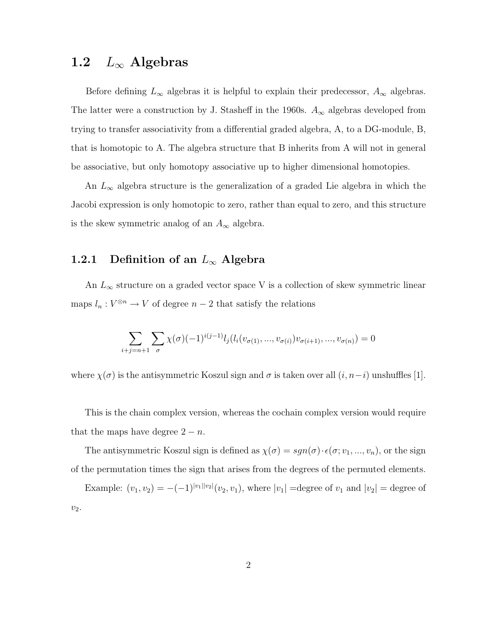# 1.2  $L_{\infty}$  Algebras

Before defining  $L_{\infty}$  algebras it is helpful to explain their predecessor,  $A_{\infty}$  algebras. The latter were a construction by J. Stasheff in the 1960s.  $A_{\infty}$  algebras developed from trying to transfer associativity from a differential graded algebra, A, to a DG-module, B, that is homotopic to A. The algebra structure that B inherits from A will not in general be associative, but only homotopy associative up to higher dimensional homotopies.

An  $L_{\infty}$  algebra structure is the generalization of a graded Lie algebra in which the Jacobi expression is only homotopic to zero, rather than equal to zero, and this structure is the skew symmetric analog of an  $A_{\infty}$  algebra.

#### 1.2.1 Definition of an  $L_{\infty}$  Algebra

An  $L_{\infty}$  structure on a graded vector space V is a collection of skew symmetric linear maps  $l_n: V^{\otimes n} \to V$  of degree  $n-2$  that satisfy the relations

$$
\sum_{i+j=n+1} \sum_{\sigma} \chi(\sigma) (-1)^{i(j-1)} l_j(l_i(v_{\sigma(1)},...,v_{\sigma(i)}) v_{\sigma(i+1)},...,v_{\sigma(n)}) = 0
$$

where  $\chi(\sigma)$  is the antisymmetric Koszul sign and  $\sigma$  is taken over all  $(i, n-i)$  unshuffles [1].

This is the chain complex version, whereas the cochain complex version would require that the maps have degree  $2 - n$ .

The antisymmetric Koszul sign is defined as  $\chi(\sigma) = sgn(\sigma) \cdot \epsilon(\sigma; v_1, ..., v_n)$ , or the sign of the permutation times the sign that arises from the degrees of the permuted elements.

Example:  $(v_1, v_2) = -(-1)^{|v_1||v_2|}(v_2, v_1)$ , where  $|v_1|$  =degree of  $v_1$  and  $|v_2|$  = degree of  $v_2$ .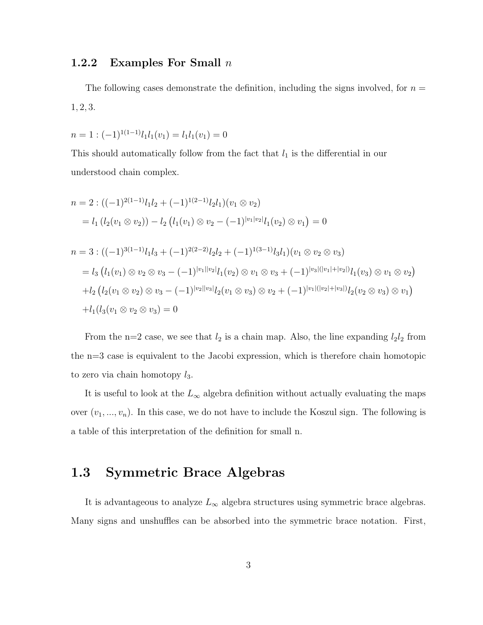#### 1.2.2 Examples For Small  $n$

The following cases demonstrate the definition, including the signs involved, for  $n =$ 1, 2, 3.

$$
n = 1: (-1)^{1(1-1)} l_1 l_1(v_1) = l_1 l_1(v_1) = 0
$$

This should automatically follow from the fact that  $l_1$  is the differential in our understood chain complex.

$$
n = 2: ((-1)^{2(1-1)}l_1l_2 + (-1)^{1(2-1)}l_2l_1)(v_1 \otimes v_2)
$$
  
\n
$$
= l_1 (l_2(v_1 \otimes v_2)) - l_2 (l_1(v_1) \otimes v_2 - (-1)^{|v_1|v_2|}l_1(v_2) \otimes v_1) = 0
$$
  
\n
$$
n = 3: ((-1)^{3(1-1)}l_1l_3 + (-1)^{2(2-2)}l_2l_2 + (-1)^{1(3-1)}l_3l_1)(v_1 \otimes v_2 \otimes v_3)
$$
  
\n
$$
= l_3 (l_1(v_1) \otimes v_2 \otimes v_3 - (-1)^{|v_1||v_2|}l_1(v_2) \otimes v_1 \otimes v_3 + (-1)^{|v_3|(|v_1|+|v_2|)}l_1(v_3) \otimes v_1 \otimes v_2)
$$
  
\n
$$
+ l_2 (l_2(v_1 \otimes v_2) \otimes v_3 - (-1)^{|v_2||v_3|}l_2(v_1 \otimes v_3) \otimes v_2 + (-1)^{|v_1|(|v_2|+|v_3|)}l_2(v_2 \otimes v_3) \otimes v_1)
$$
  
\n
$$
+ l_1 (l_3(v_1 \otimes v_2 \otimes v_3) = 0
$$

From the n=2 case, we see that  $l_2$  is a chain map. Also, the line expanding  $l_2l_2$  from the n=3 case is equivalent to the Jacobi expression, which is therefore chain homotopic to zero via chain homotopy  $l_3$ .

It is useful to look at the  $L_{\infty}$  algebra definition without actually evaluating the maps over  $(v_1, ..., v_n)$ . In this case, we do not have to include the Koszul sign. The following is a table of this interpretation of the definition for small n.

## 1.3 Symmetric Brace Algebras

It is advantageous to analyze  $L_{\infty}$  algebra structures using symmetric brace algebras. Many signs and unshuffles can be absorbed into the symmetric brace notation. First,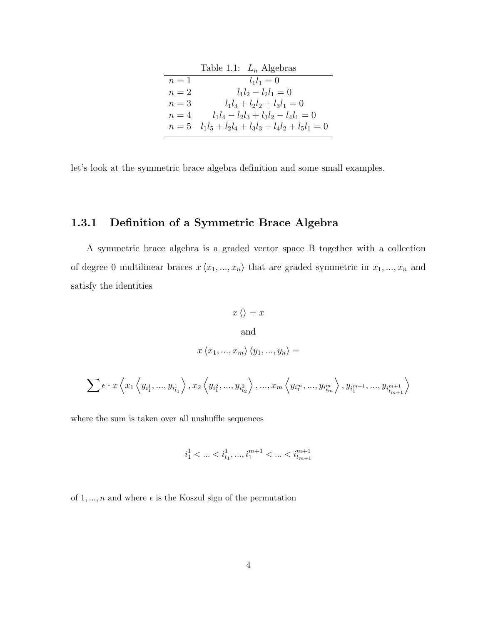|       | Table 1.1: $L_n$ Algebras              |
|-------|----------------------------------------|
| $n=1$ | $l_1 l_1 = 0$                          |
| $n=2$ | $l_1l_2-l_2l_1=0$                      |
| $n=3$ | $l_1l_3 + l_2l_2 + l_3l_1 = 0$         |
| $n=4$ | $l_1l_4-l_2l_3+l_3l_2-l_4l_1=0$        |
| $n=5$ | $l_1l_5+l_2l_4+l_3l_3+l_4l_2+l_5l_1=0$ |

let's look at the symmetric brace algebra definition and some small examples.

#### 1.3.1 Definition of a Symmetric Brace Algebra

A symmetric brace algebra is a graded vector space B together with a collection of degree 0 multilinear braces  $x \langle x_1, ..., x_n \rangle$  that are graded symmetric in  $x_1, ..., x_n$  and satisfy the identities

$$
x \langle \rangle = x
$$
  
and  

$$
x \langle x_1, ..., x_m \rangle \langle y_1, ..., y_n \rangle =
$$
  

$$
\sum \epsilon \cdot x \langle x_1 \langle y_{i_1^1}, ..., y_{i_{t_1}^1} \rangle, x_2 \langle y_{i_1^2}, ..., y_{i_{t_2}^2} \rangle, ..., x_m \langle y_{i_1^m}, ..., y_{i_{tm}^m} \rangle, y_{i_1^{m+1}}, ..., y_{i_{tm}^{m+1}} \rangle
$$

where the sum is taken over all unshuffle sequences

$$
i_1^1<\ldots
$$

of 1, ..., n and where  $\epsilon$  is the Koszul sign of the permutation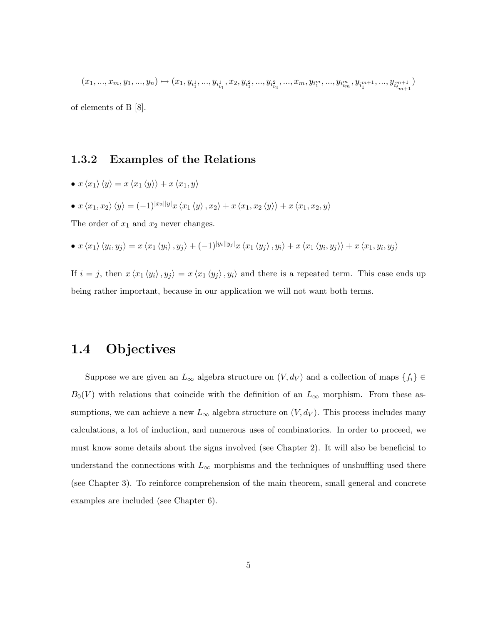$(x_1,...,x_m,y_1,...,y_n)\mapsto (x_1,y_{i^1_1},...,y_{i^1_{t_1}},x_2,y_{i^2_1},...,y_{i^2_{t_2}},...,x_m,y_{i^m_1},...,y_{i^m_{t_m}},y_{i^{m+1}_1},...,y_{i^{m+1}_{t_m+1}})$ of elements of B [8].

#### 1.3.2 Examples of the Relations

• 
$$
x \langle x_1 \rangle \langle y \rangle = x \langle x_1 \langle y \rangle \rangle + x \langle x_1, y \rangle
$$

•  $x \langle x_1, x_2 \rangle \langle y \rangle = (-1)^{|x_2||y|} x \langle x_1 \langle y \rangle, x_2 \rangle + x \langle x_1, x_2 \langle y \rangle \rangle + x \langle x_1, x_2, y \rangle$ 

The order of  $x_1$  and  $x_2$  never changes.

• 
$$
x \langle x_1 \rangle \langle y_i, y_j \rangle = x \langle x_1 \langle y_i \rangle, y_j \rangle + (-1)^{|y_i||y_j|} x \langle x_1 \langle y_j \rangle, y_i \rangle + x \langle x_1 \langle y_i, y_j \rangle \rangle + x \langle x_1, y_i, y_j \rangle
$$

If  $i = j$ , then  $x \langle x_1 \langle y_i \rangle, y_j \rangle = x \langle x_1 \langle y_j \rangle, y_i \rangle$  and there is a repeated term. This case ends up being rather important, because in our application we will not want both terms.

## 1.4 Objectives

Suppose we are given an  $L_{\infty}$  algebra structure on  $(V, d_V)$  and a collection of maps  $\{f_i\} \in$  $B_0(V)$  with relations that coincide with the definition of an  $L_{\infty}$  morphism. From these assumptions, we can achieve a new  $L_{\infty}$  algebra structure on  $(V, d_V)$ . This process includes many calculations, a lot of induction, and numerous uses of combinatorics. In order to proceed, we must know some details about the signs involved (see Chapter 2). It will also be beneficial to understand the connections with  $L_{\infty}$  morphisms and the techniques of unshuffling used there (see Chapter 3). To reinforce comprehension of the main theorem, small general and concrete examples are included (see Chapter 6).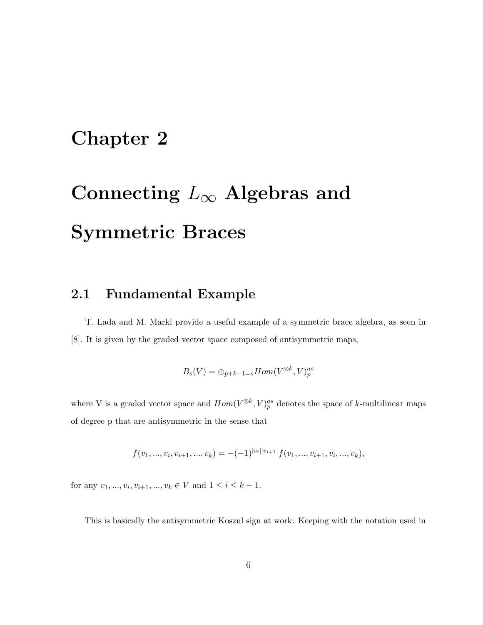# Chapter 2

# Connecting  $L_{\infty}$  Algebras and Symmetric Braces

## 2.1 Fundamental Example

T. Lada and M. Markl provide a useful example of a symmetric brace algebra, as seen in [8]. It is given by the graded vector space composed of antisymmetric maps,

$$
B_s(V) = \oplus_{p+k-1=s} Hom(V^{\otimes k}, V)_p^{as}
$$

where V is a graded vector space and  $Hom(V^{\otimes k}, V)_p^{as}$  denotes the space of k-multilinear maps of degree p that are antisymmetric in the sense that

$$
f(v_1, ..., v_i, v_{i+1}, ..., v_k) = -(-1)^{|v_i||v_{i+1}|} f(v_1, ..., v_{i+1}, v_i, ..., v_k),
$$

for any  $v_1, ..., v_i, v_{i+1}, ..., v_k \in V$  and  $1 \le i \le k-1$ .

This is basically the antisymmetric Koszul sign at work. Keeping with the notation used in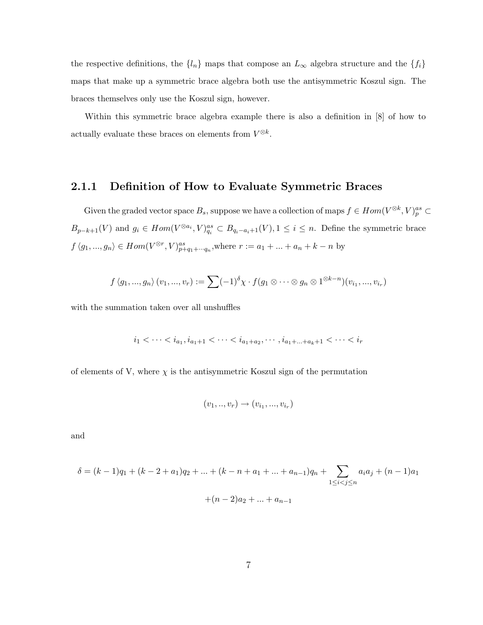the respective definitions, the  $\{l_n\}$  maps that compose an  $L_{\infty}$  algebra structure and the  $\{f_i\}$ maps that make up a symmetric brace algebra both use the antisymmetric Koszul sign. The braces themselves only use the Koszul sign, however.

Within this symmetric brace algebra example there is also a definition in [8] of how to actually evaluate these braces on elements from  $V^{\otimes k}$ .

#### 2.1.1 Definition of How to Evaluate Symmetric Braces

Given the graded vector space  $B_s$ , suppose we have a collection of maps  $f \in Hom(V^{\otimes k}, V)_p^{as} \subset$  $B_{p-k+1}(V)$  and  $g_i \in Hom(V^{\otimes a_i}, V)_{q_i}^{as} \subset B_{q_i-a_i+1}(V), 1 \leq i \leq n$ . Define the symmetric brace  $f\langle g_1,...,g_n\rangle \in Hom(V^{\otimes r}, V)^{as}_{p+q_1+\cdots q_n}$ , where  $r := a_1 + \ldots + a_n + k - n$  by

$$
f\langle g_1,...,g_n\rangle(v_1,...,v_r):=\sum (-1)^{\delta}\chi\cdot f(g_1\otimes\cdots\otimes g_n\otimes 1^{\otimes k-n})(v_{i_1},...,v_{i_r})
$$

with the summation taken over all unshuffles

$$
i_1<\cdots
$$

of elements of V, where  $\chi$  is the antisymmetric Koszul sign of the permutation

$$
(v_1,..,v_r) \to (v_{i_1},...,v_{i_r})
$$

and

$$
\delta = (k-1)q_1 + (k-2+a_1)q_2 + \dots + (k-n+a_1 + \dots + a_{n-1})q_n + \sum_{1 \le i < j \le n} a_i a_j + (n-1)a_1
$$

$$
+ (n-2)a_2 + \dots + a_{n-1}
$$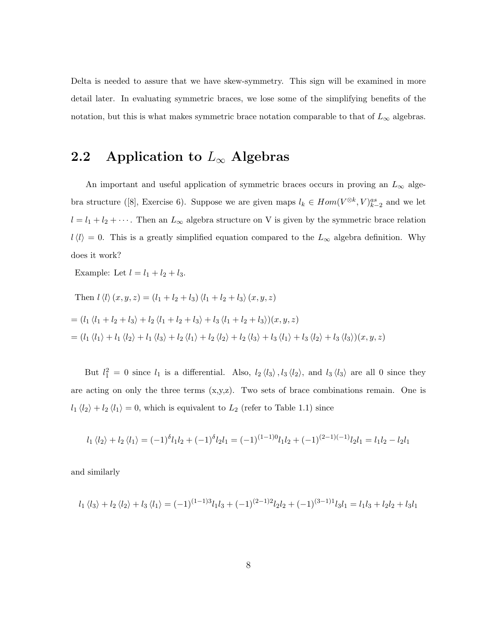Delta is needed to assure that we have skew-symmetry. This sign will be examined in more detail later. In evaluating symmetric braces, we lose some of the simplifying benefits of the notation, but this is what makes symmetric brace notation comparable to that of  $L_{\infty}$  algebras.

# 2.2 Application to  $L_{\infty}$  Algebras

An important and useful application of symmetric braces occurs in proving an  $L_{\infty}$  algebra structure ([8], Exercise 6). Suppose we are given maps  $l_k \in Hom(V^{\otimes k}, V)_{k-2}^{as}$  and we let  $l = l_1 + l_2 + \cdots$ . Then an  $L_{\infty}$  algebra structure on V is given by the symmetric brace relation  $l\langle l\rangle = 0$ . This is a greatly simplified equation compared to the  $L_{\infty}$  algebra definition. Why does it work?

Example: Let  $l = l_1 + l_2 + l_3$ .

Then 
$$
l \langle l \rangle (x, y, z) = (l_1 + l_2 + l_3) \langle l_1 + l_2 + l_3 \rangle (x, y, z)
$$
\n
$$
= (l_1 \langle l_1 + l_2 + l_3 \rangle + l_2 \langle l_1 + l_2 + l_3 \rangle + l_3 \langle l_1 + l_2 + l_3 \rangle)(x, y, z)
$$
\n
$$
= (l_1 \langle l_1 \rangle + l_1 \langle l_2 \rangle + l_1 \langle l_3 \rangle + l_2 \langle l_1 \rangle + l_2 \langle l_2 \rangle + l_2 \langle l_3 \rangle + l_3 \langle l_1 \rangle + l_3 \langle l_2 \rangle + l_3 \langle l_3 \rangle)(x, y, z)
$$

But  $l_1^2 = 0$  since  $l_1$  is a differential. Also,  $l_2 \langle l_3 \rangle$ ,  $l_3 \langle l_2 \rangle$ , and  $l_3 \langle l_3 \rangle$  are all 0 since they are acting on only the three terms  $(x,y,z)$ . Two sets of brace combinations remain. One is  $l_1 \langle l_2 \rangle + l_2 \langle l_1 \rangle = 0$ , which is equivalent to  $L_2$  (refer to Table 1.1) since

$$
l_1 \langle l_2 \rangle + l_2 \langle l_1 \rangle = (-1)^{\delta} l_1 l_2 + (-1)^{\delta} l_2 l_1 = (-1)^{(1-1)0} l_1 l_2 + (-1)^{(2-1)(-1)} l_2 l_1 = l_1 l_2 - l_2 l_1
$$

and similarly

$$
l_1 \langle l_3 \rangle + l_2 \langle l_2 \rangle + l_3 \langle l_1 \rangle = (-1)^{(1-1)3} l_1 l_3 + (-1)^{(2-1)2} l_2 l_2 + (-1)^{(3-1)1} l_3 l_1 = l_1 l_3 + l_2 l_2 + l_3 l_1
$$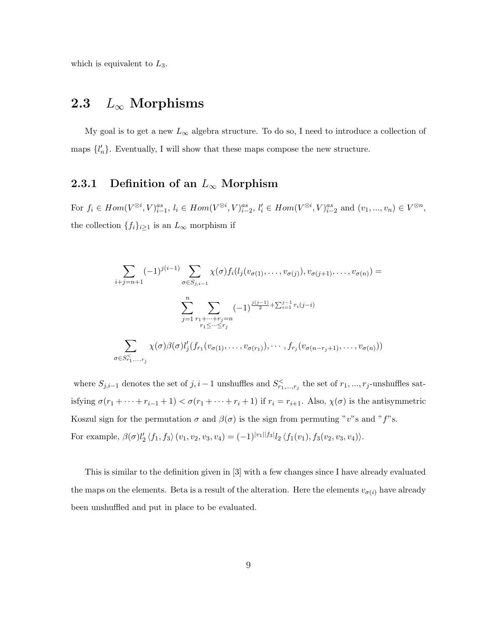which is equivalent to  $L_3$ .

# 2.3  $L_{\infty}$  Morphisms

My goal is to get a new  $L_{\infty}$  algebra structure. To do so, I need to introduce a collection of maps  $\{l'_n\}$ . Eventually, I will show that these maps compose the new structure.

#### 2.3.1 Definition of an  $L_{\infty}$  Morphism

For  $f_i \in Hom(V^{\otimes i}, V)_{i=1}^{as}, l_i \in Hom(V^{\otimes i}, V)_{i=2}^{as}, l'_i \in Hom(V^{\otimes i}, V)_{i=2}^{as}$  and  $(v_1, ..., v_n) \in V^{\otimes n}$ , the collection  $\{f_i\}_{i\geq 1}$  is an  $L_{\infty}$  morphism if

$$
\sum_{i+j=n+1} (-1)^{j(i-1)} \sum_{\sigma \in S_{j,i-1}} \chi(\sigma) f_i(l_j(v_{\sigma(1)}, \dots, v_{\sigma(j)}), v_{\sigma(j+1)}, \dots, v_{\sigma(n)}) =
$$
\n
$$
\sum_{j=1}^n \sum_{\substack{r_1 + \dots + r_j = n \\ r_1 \leq \dots \leq r_j}} (-1)^{\frac{j(j-1)}{2} + \sum_{i=1}^{j-1} r_i(j-i)}
$$
\n
$$
\sum_{\sigma \in S_{r_1, \dots, r_j}^{\leq} \chi(\sigma) \beta(\sigma) l'_j(f_{r_1}(v_{\sigma(1)}, \dots, v_{\sigma(r_1)}), \dots, f_{r_j}(v_{\sigma(n-r_j+1)}, \dots, v_{\sigma(n)}))
$$

where  $S_{j,i-1}$  denotes the set of  $j, i-1$  unshuffles and  $S_{r_1,\dots,r_j}^{\lt}$  the set of  $r_1,\dots,r_j$ -unshuffles satisfying  $\sigma(r_1 + \cdots + r_{i-1} + 1) < \sigma(r_1 + \cdots + r_i + 1)$  if  $r_i = r_{i+1}$ . Also,  $\chi(\sigma)$  is the antisymmetric Koszul sign for the permutation  $\sigma$  and  $\beta(\sigma)$  is the sign from permuting "v"s and "f"s. For example,  $\beta(\sigma)l'_2 \langle f_1, f_3 \rangle (v_1, v_2, v_3, v_4) = (-1)^{|v_1||f_3|} l_2 \langle f_1(v_1), f_3(v_2, v_3, v_4) \rangle.$ 

This is similar to the definition given in [3] with a few changes since I have already evaluated the maps on the elements. Beta is a result of the alteration. Here the elements  $v_{\sigma(i)}$  have already been unshuffled and put in place to be evaluated.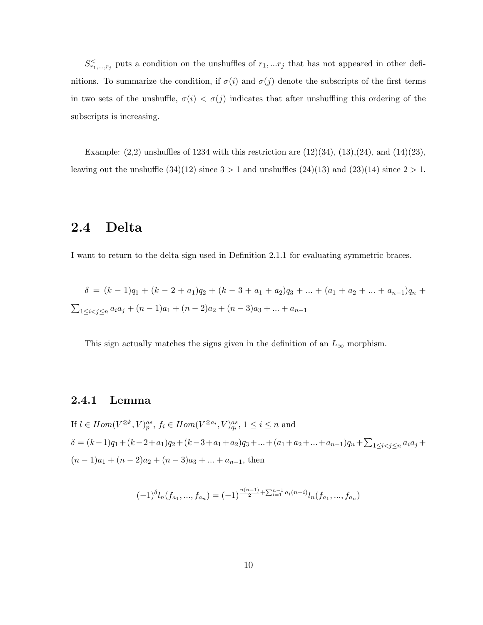$S^{\lt}_{r_1,\ldots,r_j}$  puts a condition on the unshuffles of  $r_1,\ldots r_j$  that has not appeared in other definitions. To summarize the condition, if  $\sigma(i)$  and  $\sigma(j)$  denote the subscripts of the first terms in two sets of the unshuffle,  $\sigma(i) < \sigma(j)$  indicates that after unshuffling this ordering of the subscripts is increasing.

Example:  $(2,2)$  unshuffles of 1234 with this restriction are  $(12)(34)$ ,  $(13),(24)$ , and  $(14)(23)$ , leaving out the unshuffle  $(34)(12)$  since  $3 > 1$  and unshuffles  $(24)(13)$  and  $(23)(14)$  since  $2 > 1$ .

# 2.4 Delta

I want to return to the delta sign used in Definition 2.1.1 for evaluating symmetric braces.

$$
\delta = (k - 1)q_1 + (k - 2 + a_1)q_2 + (k - 3 + a_1 + a_2)q_3 + \dots + (a_1 + a_2 + \dots + a_{n-1})q_n + \sum_{1 \le i < j \le n} a_i a_j + (n - 1)a_1 + (n - 2)a_2 + (n - 3)a_3 + \dots + a_{n-1}
$$

This sign actually matches the signs given in the definition of an  $L_{\infty}$  morphism.

#### 2.4.1 Lemma

If 
$$
l \in Hom(V^{\otimes k}, V)^{as}_{p}
$$
,  $f_{i} \in Hom(V^{\otimes a_{i}}, V)^{as}_{q_{i}}$ ,  $1 \leq i \leq n$  and  
\n
$$
\delta = (k-1)q_{1} + (k-2+a_{1})q_{2} + (k-3+a_{1}+a_{2})q_{3} + \dots + (a_{1}+a_{2}+\dots+a_{n-1})q_{n} + \sum_{1 \leq i < j \leq n} a_{i}a_{j} + (n-1)a_{1} + (n-2)a_{2} + (n-3)a_{3} + \dots + a_{n-1}
$$
, then

$$
(-1)^{\delta}l_n(f_{a_1},...,f_{a_n}) = (-1)^{\frac{n(n-1)}{2} + \sum_{i=1}^{n-1} a_i(n-i)}l_n(f_{a_1},...,f_{a_n})
$$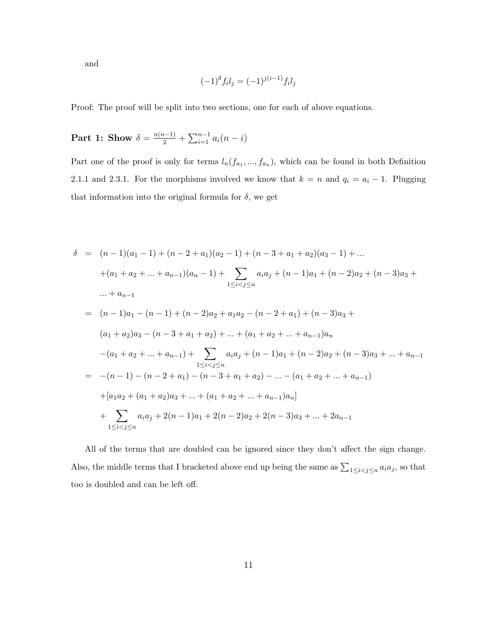and

$$
(-1)^{\delta} f_i l_j = (-1)^{j(i-1)} f_i l_j
$$

Proof: The proof will be split into two sections, one for each of above equations.

# Part 1: Show  $\delta = \frac{n(n-1)}{2} + \sum_{i=1}^{n-1} a_i(n-i)$

Part one of the proof is only for terms  $l_n(f_{a_1},..., f_{a_n})$ , which can be found in both Definition 2.1.1 and 2.3.1. For the morphisms involved we know that  $k = n$  and  $q_i = a_i - 1$ . Plugging that information into the original formula for  $\delta$ , we get

$$
\delta = (n-1)(a_1 - 1) + (n-2 + a_1)(a_2 - 1) + (n-3 + a_1 + a_2)(a_3 - 1) + \dots
$$
  
\n
$$
+ (a_1 + a_2 + \dots + a_{n-1})(a_n - 1) + \sum_{1 \le i < j \le n} a_i a_j + (n-1)a_1 + (n-2)a_2 + (n-3)a_3 + \dots + a_{n-1}
$$
  
\n
$$
= (n-1)a_1 - (n-1) + (n-2)a_2 + a_1 a_2 - (n-2 + a_1) + (n-3)a_3 + (a_1 + a_2)a_3 - (n-3 + a_1 + a_2) + \dots + (a_1 + a_2 + \dots + a_{n-1})a_n
$$
  
\n
$$
- (a_1 + a_2 + \dots + a_{n-1}) + \sum_{1 \le i < j \le n} a_i a_j + (n-1)a_1 + (n-2)a_2 + (n-3)a_3 + \dots + a_{n-1}
$$
  
\n
$$
= -(n-1) - (n-2 + a_1) - (n-3 + a_1 + a_2) - \dots - (a_1 + a_2 + \dots + a_{n-1})
$$
  
\n
$$
+ [a_1a_2 + (a_1 + a_2)a_3 + \dots + (a_1 + a_2 + \dots + a_{n-1})a_n]
$$
  
\n
$$
+ \sum_{1 \le i < j \le n} a_i a_j + 2(n-1)a_1 + 2(n-2)a_2 + 2(n-3)a_3 + \dots + 2a_{n-1}
$$

All of the terms that are doubled can be ignored since they don't affect the sign change. Also, the middle terms that I bracketed above end up being the same as  $\sum_{1 \leq i < j \leq n} a_i a_j$ , so that too is doubled and can be left off.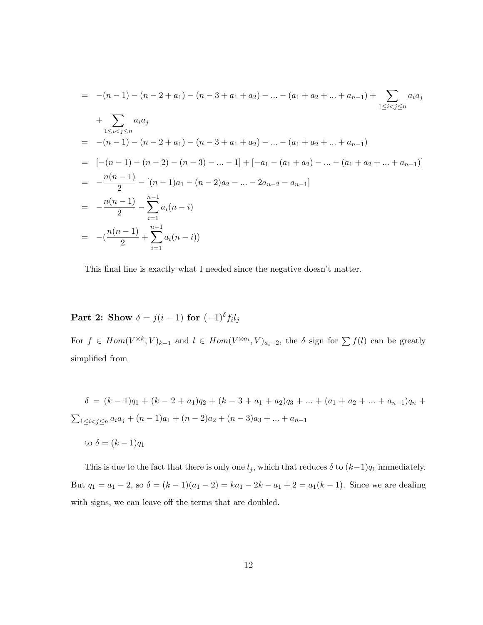$$
= -(n-1) - (n-2+a_1) - (n-3+a_1+a_2) - \dots - (a_1 + a_2 + \dots + a_{n-1}) + \sum_{1 \leq i < j \leq n} a_i a_j
$$
  
+ 
$$
\sum_{1 \leq i < j \leq n} a_i a_j
$$
  
= -(n-1) - (n-2+a\_1) - (n-3+a\_1+a\_2) - \dots - (a\_1 + a\_2 + \dots + a\_{n-1})  
= [-(n-1) - (n-2) - (n-3) - \dots - 1] + [-a\_1 - (a\_1 + a\_2) - \dots - (a\_1 + a\_2 + \dots + a\_{n-1})]  
= -\frac{n(n-1)}{2} - [(n-1)a\_1 - (n-2)a\_2 - \dots - 2a\_{n-2} - a\_{n-1}]  
= -\frac{n(n-1)}{2} - \sum\_{i=1}^{n-1} a\_i (n-i)  
= -(\frac{n(n-1)}{2} + \sum\_{i=1}^{n-1} a\_i (n-i))

This final line is exactly what I needed since the negative doesn't matter.

#### Part 2: Show  $\delta = j(i-1)$  for  $(-1)^{\delta} f_i l_j$

For  $f \in Hom(V^{\otimes k}, V)_{k-1}$  and  $l \in Hom(V^{\otimes a_i}, V)_{a_i-2}$ , the  $\delta$  sign for  $\sum f(l)$  can be greatly simplified from

 $\delta = (k-1)q_1 + (k-2+a_1)q_2 + (k-3+a_1+a_2)q_3 + \ldots + (a_1+a_2+\ldots+a_{n-1})q_n$  $\sum_{1 \leq i < j \leq n} a_i a_j + (n-1)a_1 + (n-2)a_2 + (n-3)a_3 + \dots + a_{n-1}$ 

to  $\delta = (k-1)q_1$ 

This is due to the fact that there is only one  $l_j$ , which that reduces  $\delta$  to  $(k-1)q_1$  immediately. But  $q_1 = a_1 - 2$ , so  $\delta = (k - 1)(a_1 - 2) = ka_1 - 2k - a_1 + 2 = a_1(k - 1)$ . Since we are dealing with signs, we can leave off the terms that are doubled.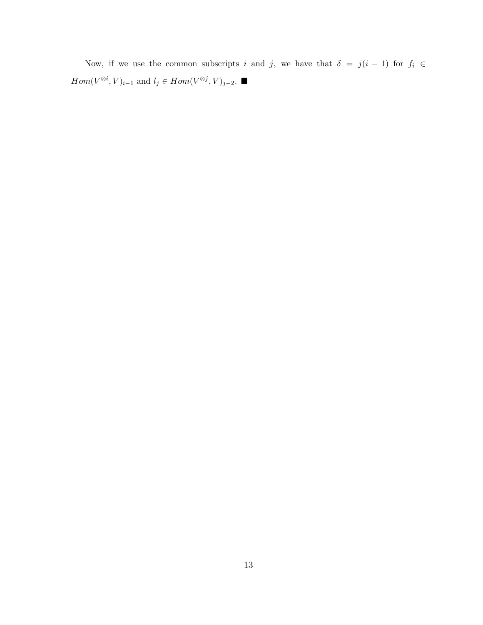Now, if we use the common subscripts i and j, we have that  $\delta = j(i - 1)$  for  $f_i \in$  $Hom(V^{\otimes i}, V)_{i-1}$  and  $l_j \in Hom(V^{\otimes j}, V)_{j-2}$ . ■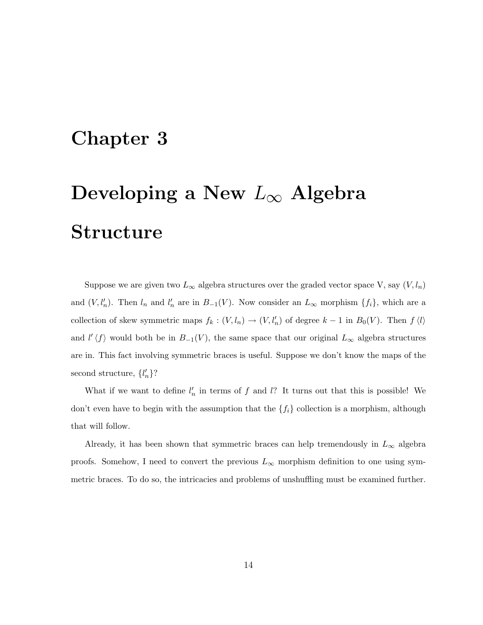# Chapter 3

# Developing a New  $L_{\infty}$  Algebra Structure

Suppose we are given two  $L_{\infty}$  algebra structures over the graded vector space V, say  $(V, l_n)$ and  $(V, l'_n)$ . Then  $l_n$  and  $l'_n$  are in  $B_{-1}(V)$ . Now consider an  $L_{\infty}$  morphism  $\{f_i\}$ , which are a collection of skew symmetric maps  $f_k : (V, l_n) \to (V, l'_n)$  of degree  $k-1$  in  $B_0(V)$ . Then  $f \langle l \rangle$ and  $l' \langle f \rangle$  would both be in  $B_{-1}(V)$ , the same space that our original  $L_{\infty}$  algebra structures are in. This fact involving symmetric braces is useful. Suppose we don't know the maps of the second structure,  $\{l'_n\}$ ?

What if we want to define  $l'_n$  in terms of f and l? It turns out that this is possible! We don't even have to begin with the assumption that the  $\{f_i\}$  collection is a morphism, although that will follow.

Already, it has been shown that symmetric braces can help tremendously in  $L_{\infty}$  algebra proofs. Somehow, I need to convert the previous  $L_{\infty}$  morphism definition to one using symmetric braces. To do so, the intricacies and problems of unshuffling must be examined further.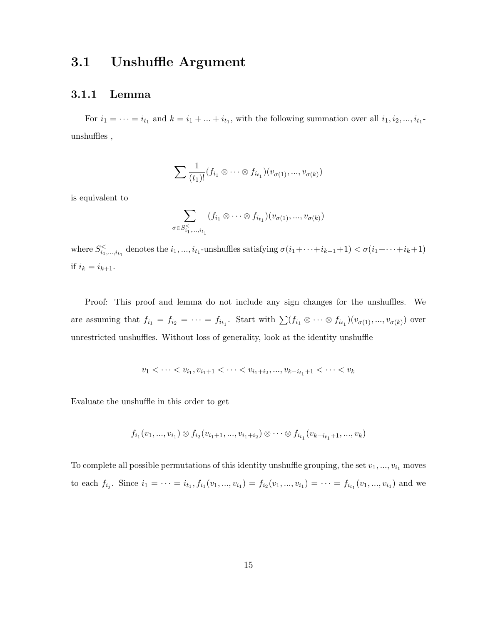## 3.1 Unshuffle Argument

#### 3.1.1 Lemma

For  $i_1 = \cdots = i_{t_1}$  and  $k = i_1 + \ldots + i_{t_1}$ , with the following summation over all  $i_1, i_2, \ldots, i_{t_1}$ unshuffles ,

$$
\sum \frac{1}{(t_1)!} (f_{i_1} \otimes \cdots \otimes f_{i_{t_1}})(v_{\sigma(1)},...,v_{\sigma(k)})
$$

is equivalent to

$$
\sum_{\sigma \in S_{i_1,\ldots,i_{t_1}}^{\lt} } (f_{i_1} \otimes \cdots \otimes f_{i_{t_1}})(v_{\sigma(1)},...,v_{\sigma(k)})
$$

where  $S_{i_1,\dots,i_{t_1}}^{\lt}$  denotes the  $i_1,\dots,i_{t_1}$ -unshuffles satisfying  $\sigma(i_1+\cdots+i_{k-1}+1) < \sigma(i_1+\cdots+i_k+1)$ if  $i_k = i_{k+1}$ .

Proof: This proof and lemma do not include any sign changes for the unshuffles. We are assuming that  $f_{i_1} = f_{i_2} = \cdots = f_{i_{t_1}}$ . Start with  $\sum (f_{i_1} \otimes \cdots \otimes f_{i_{t_1}})(v_{\sigma(1)},...,v_{\sigma(k)})$  over unrestricted unshuffles. Without loss of generality, look at the identity unshuffle

$$
v_1 < \cdots < v_{i_1}, v_{i_1+1} < \cdots < v_{i_1+i_2}, ..., v_{k-i_{t_1}+1} < \cdots < v_k
$$

Evaluate the unshuffle in this order to get

$$
f_{i_1}(v_1, ..., v_{i_1}) \otimes f_{i_2}(v_{i_1+1}, ..., v_{i_1+i_2}) \otimes \cdots \otimes f_{i_{t_1}}(v_{k-i_{t_1}+1}, ..., v_k)
$$

To complete all possible permutations of this identity unshuffle grouping, the set  $v_1, ..., v_{i_1}$  moves to each  $f_{i_j}$ . Since  $i_1 = \cdots = i_{t_1}, f_{i_1}(v_1, ..., v_{i_1}) = f_{i_2}(v_1, ..., v_{i_1}) = \cdots = f_{i_{t_1}}(v_1, ..., v_{i_1})$  and we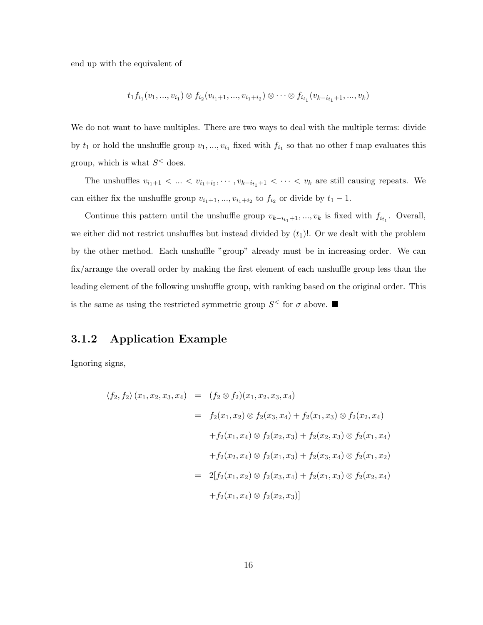end up with the equivalent of

$$
t_1f_{i_1}(v_1,...,v_{i_1}) \otimes f_{i_2}(v_{i_1+1},...,v_{i_1+i_2}) \otimes \cdots \otimes f_{i_{t_1}}(v_{k-i_{t_1}+1},...,v_k)
$$

We do not want to have multiples. There are two ways to deal with the multiple terms: divide by  $t_1$  or hold the unshuffle group  $v_1, ..., v_{i_1}$  fixed with  $f_{i_1}$  so that no other f map evaluates this group, which is what  $S^{\lt}$  does.

The unshuffles  $v_{i_1+1} < ... < v_{i_1+i_2}, \dots, v_{k-i_{t_1}+1} < ... < v_k$  are still causing repeats. We can either fix the unshuffle group  $v_{i_1+1}, ..., v_{i_1+i_2}$  to  $f_{i_2}$  or divide by  $t_1 - 1$ .

Continue this pattern until the unshuffle group  $v_{k-i_{t_1}+1},...,v_k$  is fixed with  $f_{i_{t_1}}$ . Overall, we either did not restrict unshuffles but instead divided by  $(t_1)!$ . Or we dealt with the problem by the other method. Each unshuffle "group" already must be in increasing order. We can fix/arrange the overall order by making the first element of each unshuffle group less than the leading element of the following unshuffle group, with ranking based on the original order. This is the same as using the restricted symmetric group  $S^{\leq}$  for  $\sigma$  above.

#### 3.1.2 Application Example

Ignoring signs,

$$
\langle f_2, f_2 \rangle (x_1, x_2, x_3, x_4) = (f_2 \otimes f_2)(x_1, x_2, x_3, x_4)
$$
  
\n
$$
= f_2(x_1, x_2) \otimes f_2(x_3, x_4) + f_2(x_1, x_3) \otimes f_2(x_2, x_4)
$$
  
\n
$$
+ f_2(x_1, x_4) \otimes f_2(x_2, x_3) + f_2(x_2, x_3) \otimes f_2(x_1, x_4)
$$
  
\n
$$
+ f_2(x_2, x_4) \otimes f_2(x_1, x_3) + f_2(x_3, x_4) \otimes f_2(x_1, x_2)
$$
  
\n
$$
= 2[f_2(x_1, x_2) \otimes f_2(x_3, x_4) + f_2(x_1, x_3) \otimes f_2(x_2, x_4)
$$
  
\n
$$
+ f_2(x_1, x_4) \otimes f_2(x_2, x_3)]
$$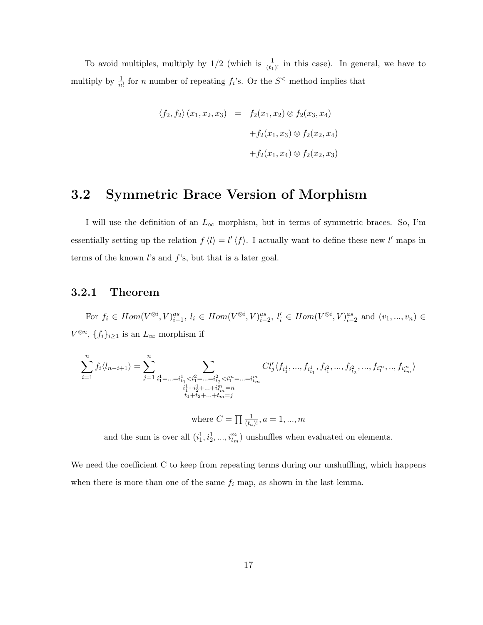To avoid multiples, multiply by  $1/2$  (which is  $\frac{1}{(t_1)!}$  in this case). In general, we have to multiply by  $\frac{1}{n!}$  for *n* number of repeating  $f_i$ 's. Or the  $S^{\lt}$  method implies that

$$
\langle f_2, f_2 \rangle (x_1, x_2, x_3) = f_2(x_1, x_2) \otimes f_2(x_3, x_4)
$$
  
+ $f_2(x_1, x_3) \otimes f_2(x_2, x_4)$   
+ $f_2(x_1, x_4) \otimes f_2(x_2, x_3)$ 

# 3.2 Symmetric Brace Version of Morphism

I will use the definition of an  $L_{\infty}$  morphism, but in terms of symmetric braces. So, I'm essentially setting up the relation  $f \langle l \rangle = l' \langle f \rangle$ . I actually want to define these new l' maps in terms of the known  $l$ 's and  $f$ 's, but that is a later goal.

#### 3.2.1 Theorem

For  $f_i \in Hom(V^{\otimes i}, V)_{i-1}^{as}, l_i \in Hom(V^{\otimes i}, V)_{i-2}^{as}, l'_i \in Hom(V^{\otimes i}, V)_{i-2}^{as}$  and  $(v_1, ..., v_n) \in$  $V^{\otimes n}$ ,  $\{f_i\}_{i\geq 1}$  is an  $L_{\infty}$  morphism if

$$
\sum_{i=1}^n f_i\langle l_{n-i+1}\rangle=\sum_{j=1}^n\sum_{\substack{i_1^1=\ldots=i_{t_1}^1
$$

where  $C = \prod_{(t_a)} \frac{1}{(t_a)!}$ ,  $a = 1, ..., m$ 

and the sum is over all  $(i_1^1, i_2^1, ..., i_m^m)$  unshuffles when evaluated on elements.

We need the coefficient C to keep from repeating terms during our unshuffling, which happens when there is more than one of the same  $f_i$  map, as shown in the last lemma.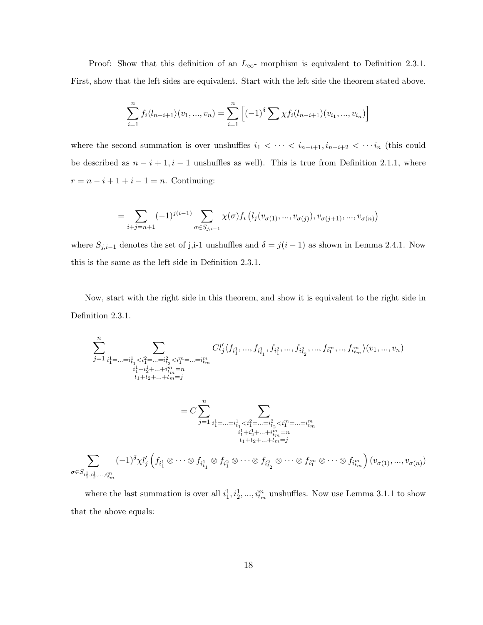Proof: Show that this definition of an  $L_{\infty}$ - morphism is equivalent to Definition 2.3.1. First, show that the left sides are equivalent. Start with the left side the theorem stated above.

$$
\sum_{i=1}^{n} f_i \langle l_{n-i+1} \rangle (v_1, ..., v_n) = \sum_{i=1}^{n} \left[ (-1)^{\delta} \sum \chi f_i(l_{n-i+1}) (v_{i_1}, ..., v_{i_n}) \right]
$$

where the second summation is over unshuffles  $i_1 < \cdots < i_{n-i+1}, i_{n-i+2} < \cdots i_n$  (this could be described as  $n - i + 1$ ,  $i - 1$  unshuffles as well). This is true from Definition 2.1.1, where  $r = n - i + 1 + i - 1 = n$ . Continuing:

$$
= \sum_{i+j=n+1} (-1)^{j(i-1)} \sum_{\sigma \in S_{j,i-1}} \chi(\sigma) f_i \left( l_j(v_{\sigma(1)},...,v_{\sigma(j)}), v_{\sigma(j+1)},...,v_{\sigma(n)} \right)
$$

where  $S_{j,i-1}$  denotes the set of j,i-1 unshuffles and  $\delta = j(i-1)$  as shown in Lemma 2.4.1. Now this is the same as the left side in Definition 2.3.1.

Now, start with the right side in this theorem, and show it is equivalent to the right side in Definition 2.3.1.

$$
\sum_{j=1}^{n} \sum_{\substack{i_1^1 = \dots = i_{t_1}^1 < i_1^2 = \dots = i_{t_2}^2 < i_1^m = \dots = i_m^m}} \n\binom{U'_j \langle f_{i_1^1}, \dots, f_{i_{t_1}^1}, f_{i_1^2}, \dots, f_{i_{t_2}^2}, \dots, f_{i_1^m}, \dots, f_{i_{t_m}^m} \rangle(v_1, \dots, v_n)}{i_1^1 + i_2^1 + \dots + i_m^m = n}
$$
\n
$$
= C \sum_{j=1}^{n} \sum_{\substack{i_1^1 = \dots = i_{t_1}^1 < i_1^2 = \dots = i_{t_2}^2 < i_1^m = \dots = i_m^m \\ i_1^1 + i_2^1 + \dots + i_m^m = n \\ i_1^1 + i_2^1 + \dots + i_m^m = n}} \n\sum_{\substack{i_1^1 + i_2^1 + \dots + i_m^m = n \\ i_1 + i_2 + \dots + i_m = j}} \n(-1)^{\delta} \chi l'_j \left( f_{i_1^1} \otimes \dots \otimes f_{i_{t_1}^1} \otimes f_{i_1^2} \otimes \dots \otimes f_{i_{t_2}^2} \otimes \dots \otimes f_{i_1^m} \otimes \dots \otimes f_{i_{t_m}^m} \right) (v_{\sigma(1)}, \dots, v_{\sigma(n)})
$$

where the last summation is over all  $i_1^1, i_2^1, ..., i_m^m$  unshuffles. Now use Lemma 3.1.1 to show that the above equals: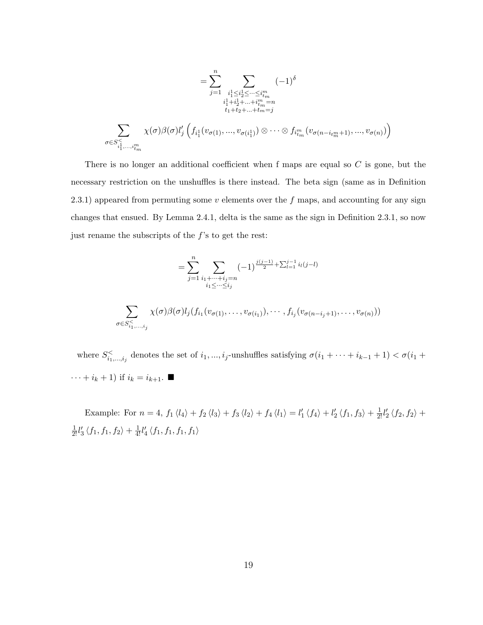$$
= \sum_{j=1}^{n} \sum_{\substack{i_1^1 \le i_2^1 \le \dots \le i_{t_m}^m \\ i_1^1 + i_2^1 + \dots + i_{t_m}^m = n \\ t_1 + t_2 + \dots + t_m = j}} (-1)^{\delta}
$$

$$
\sum_{\sigma \in S_{i_1^1, \dots, i_{t_m}^m}^{\leq} \chi(\sigma) \beta(\sigma) l'_j \left( f_{i_1^1}(v_{\sigma(1)}, \dots, v_{\sigma(i_1^1)}) \otimes \dots \otimes f_{i_{t_m}^m}(v_{\sigma(n - i_{t_m^m} + 1)}, \dots, v_{\sigma(n)}) \right)
$$

There is no longer an additional coefficient when f maps are equal so  $C$  is gone, but the necessary restriction on the unshuffles is there instead. The beta sign (same as in Definition 2.3.1) appeared from permuting some  $v$  elements over the f maps, and accounting for any sign changes that ensued. By Lemma 2.4.1, delta is the same as the sign in Definition 2.3.1, so now just rename the subscripts of the  $f$ 's to get the rest:

$$
= \sum_{j=1}^{n} \sum_{\substack{i_1 + \dots + i_j = n \\ i_1 \leq \dots \leq i_j}} (-1)^{\frac{j(j-1)}{2} + \sum_{l=1}^{j-1} i_l(j-l)}
$$
  

$$
\sum_{\sigma \in S_{i_1, \dots, i_j}^{\leq} } \chi(\sigma) \beta(\sigma) l_j(f_{i_1}(v_{\sigma(1)}, \dots, v_{\sigma(i_1)}), \dots, f_{i_j}(v_{\sigma(n-i_j+1)}, \dots, v_{\sigma(n)}))
$$

where  $S_{i_1,\dots,i_j}^{\lt}$  denotes the set of  $i_1,\dots,i_j$ -unshuffles satisfying  $\sigma(i_1+\cdots+i_{k-1}+1)<\sigma(i_1+\cdots+i_{k-1}+1)$  $\cdots + i_k + 1$ ) if  $i_k = i_{k+1}$ .

Example: For  $n = 4$ ,  $f_1 \langle l_4 \rangle + f_2 \langle l_3 \rangle + f_3 \langle l_2 \rangle + f_4 \langle l_1 \rangle = l'_1 \langle f_4 \rangle + l'_2 \langle f_1, f_3 \rangle + \frac{1}{2!} l'_2 \langle f_2, f_2 \rangle +$  $\frac{1}{2!}l_{3}^{\prime}\left\langle f_{1},f_{1},f_{2}\right\rangle +\frac{1}{4!}l_{4}^{\prime}\left\langle f_{1},f_{1},f_{1},f_{1}\right\rangle$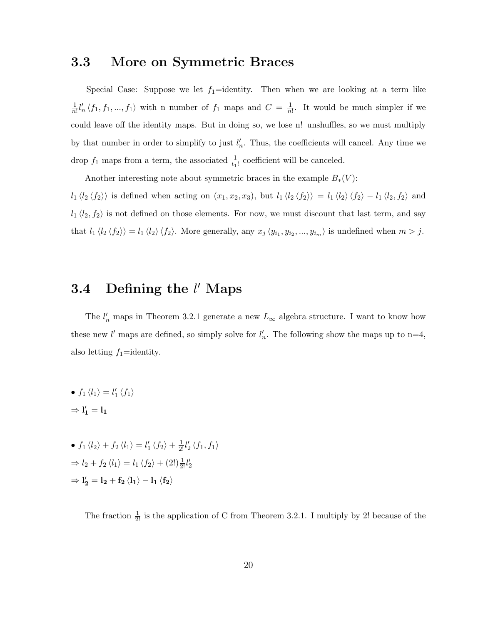## 3.3 More on Symmetric Braces

Special Case: Suppose we let  $f_1$ =identity. Then when we are looking at a term like 1  $\frac{1}{n!}l'_n \langle f_1, f_1, ..., f_1 \rangle$  with n number of  $f_1$  maps and  $C = \frac{1}{n}$  $\frac{1}{n!}$ . It would be much simpler if we could leave off the identity maps. But in doing so, we lose n! unshuffles, so we must multiply by that number in order to simplify to just  $l'_n$ . Thus, the coefficients will cancel. Any time we drop  $f_1$  maps from a term, the associated  $\frac{1}{t_1!}$  coefficient will be canceled.

Another interesting note about symmetric braces in the example  $B_*(V)$ :

 $l_1 \langle l_2 \langle f_2 \rangle \rangle$  is defined when acting on  $(x_1, x_2, x_3)$ , but  $l_1 \langle l_2 \langle f_2 \rangle \rangle = l_1 \langle l_2 \rangle \langle f_2 \rangle - l_1 \langle l_2, f_2 \rangle$  and  $l_1 \langle l_2, f_2 \rangle$  is not defined on those elements. For now, we must discount that last term, and say that  $l_1 \langle l_2 \langle f_2 \rangle \rangle = l_1 \langle l_2 \rangle \langle f_2 \rangle$ . More generally, any  $x_j \langle y_{i_1}, y_{i_2}, ..., y_{i_m} \rangle$  is undefined when  $m > j$ .

# 3.4 Defining the  $l'$  Maps

The  $l'_n$  maps in Theorem 3.2.1 generate a new  $L_{\infty}$  algebra structure. I want to know how these new l' maps are defined, so simply solve for  $l'_n$ . The following show the maps up to n=4, also letting  $f_1$ =identity.

- $f_1 \langle l_1 \rangle = l'_1 \langle f_1 \rangle$  $\Rightarrow$   $l'_1 = l_1$
- $f_1 \langle l_2 \rangle + f_2 \langle l_1 \rangle = l'_1 \langle f_2 \rangle + \frac{1}{2!} l'_2 \langle f_1, f_1 \rangle$  $\Rightarrow l_2 + f_2 \langle l_1 \rangle = l_1 \langle f_2 \rangle + (2!) \frac{1}{2!} l_2'$  $\Rightarrow$  l'<sub>2</sub> = l<sub>2</sub> + f<sub>2</sub>  $\langle$ l<sub>1</sub>  $\rangle$  - l<sub>1</sub>  $\langle$ f<sub>2</sub> $\rangle$

The fraction  $\frac{1}{2!}$  is the application of C from Theorem 3.2.1. I multiply by 2! because of the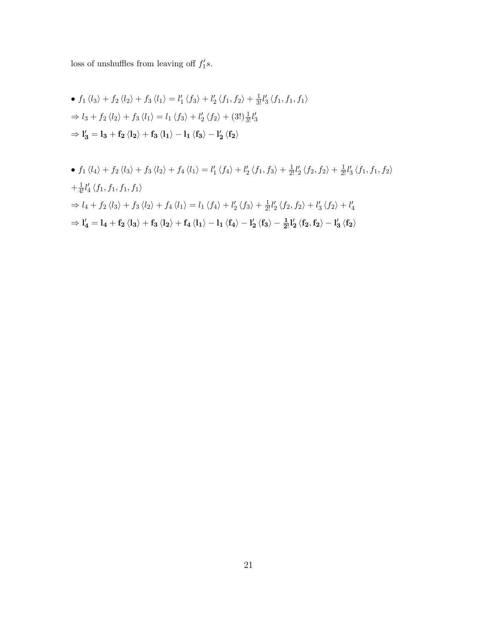loss of unshuffles from leaving off  $f_1's$ .

• 
$$
f_1 \langle l_3 \rangle + f_2 \langle l_2 \rangle + f_3 \langle l_1 \rangle = l'_1 \langle f_3 \rangle + l'_2 \langle f_1, f_2 \rangle + \frac{1}{3!} l'_3 \langle f_1, f_1, f_1 \rangle
$$
  
\n $\Rightarrow l_3 + f_2 \langle l_2 \rangle + f_3 \langle l_1 \rangle = l_1 \langle f_3 \rangle + l'_2 \langle f_2 \rangle + (3!) \frac{1}{3!} l'_3$   
\n $\Rightarrow l'_3 = l_3 + f_2 \langle l_2 \rangle + f_3 \langle l_1 \rangle - l_1 \langle f_3 \rangle - l'_2 \langle f_2 \rangle$ 

• 
$$
f_1 \langle l_4 \rangle + f_2 \langle l_3 \rangle + f_3 \langle l_2 \rangle + f_4 \langle l_1 \rangle = l'_1 \langle f_4 \rangle + l'_2 \langle f_1, f_3 \rangle + \frac{1}{2!} l'_2 \langle f_2, f_2 \rangle + \frac{1}{2!} l'_3 \langle f_1, f_1, f_2 \rangle
$$
  
\n $+ \frac{1}{4!} l'_4 \langle f_1, f_1, f_1, f_1 \rangle$   
\n $\Rightarrow l_4 + f_2 \langle l_3 \rangle + f_3 \langle l_2 \rangle + f_4 \langle l_1 \rangle = l_1 \langle f_4 \rangle + l'_2 \langle f_3 \rangle + \frac{1}{2!} l'_2 \langle f_2, f_2 \rangle + l'_3 \langle f_2 \rangle + l'_4$   
\n $\Rightarrow l'_4 = l_4 + f_2 \langle l_3 \rangle + f_3 \langle l_2 \rangle + f_4 \langle l_1 \rangle - l_1 \langle f_4 \rangle - l'_2 \langle f_3 \rangle - \frac{1}{2!} l'_2 \langle f_2, f_2 \rangle - l'_3 \langle f_2 \rangle$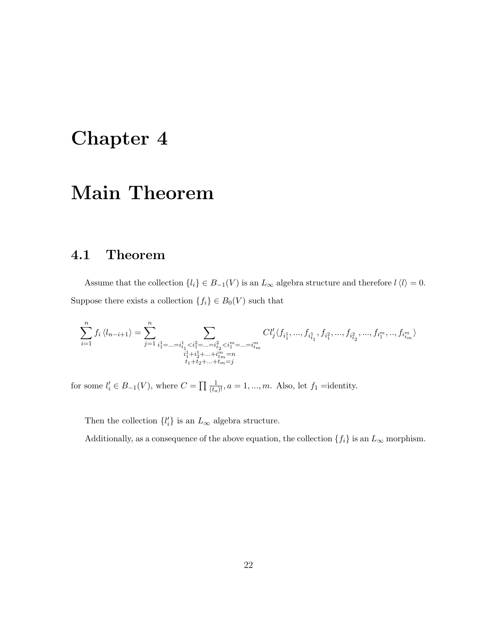# Chapter 4

# Main Theorem

# 4.1 Theorem

Assume that the collection  $\{l_i\} \in B_{-1}(V)$  is an  $L_{\infty}$  algebra structure and therefore  $l \langle l \rangle = 0$ . Suppose there exists a collection  $\{f_i\} \in B_0(V)$  such that

$$
\sum_{i=1}^n f_i \left\langle l_{n-i+1} \right\rangle = \sum_{j=1}^n \sum_{\substack{i_1^1 = ... = i_{t_1}^1 < i_1^2 = ... = i_{t_2}^2 < i_1^m = ... = i_m^m \\ i_1^1 + i_2^1 + ... + i_m^m = n \\ t_1 + t_2 + ... + t_m = j}} Cl'_j \langle f_{i_1^1}, ..., f_{i_{t_1}^1}, f_{i_1^2}, ..., f_{i_{t_2}^2}, ..., f_{i_1^m}, ..., f_{i_m^m} \rangle
$$

for some  $l'_i \in B_{-1}(V)$ , where  $C = \prod_{i} \frac{1}{(t_a)!}$ ,  $a = 1, ..., m$ . Also, let  $f_1$  =identity.

Then the collection  $\{l'_i\}$  is an  $L_{\infty}$  algebra structure.

Additionally, as a consequence of the above equation, the collection  $\{f_i\}$  is an  $L_\infty$  morphism.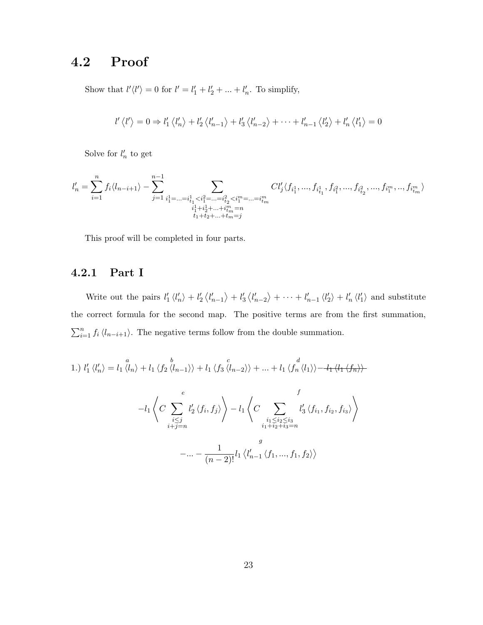# 4.2 Proof

Show that  $l'\langle l'\rangle = 0$  for  $l' = l'_1 + l'_2 + ... + l'_n$ . To simplify,

$$
l'\langle l'\rangle=0 \Rightarrow l'_1\langle l'_n\rangle+l'_2\langle l'_{n-1}\rangle+l'_3\langle l'_{n-2}\rangle+\cdots+l'_{n-1}\langle l'_2\rangle+l'_n\langle l'_1\rangle=0
$$

Solve for  $l'_n$  to get

$$
l_n' = \sum_{i=1}^n f_i \langle l_{n-i+1} \rangle - \sum_{j=1}^{n-1} \sum_{\substack{i_1^1 = \ldots = i_{t_1}^1 < i_1^2 = \ldots = i_{t_2}^2 < i_1^m = \ldots = i_m^m \\ i_1^1 + i_2^1 + \ldots + i_m^m = n \\ t_1 + t_2 + \ldots + t_m = j} } Cl'_j \langle f_{i_1^1}, ..., f_{i_{t_1}^1}, f_{i_1^2}, ..., f_{i_{t_2}^2}, ..., f_{i_1^m}, ..., f_{i_m^m} \rangle
$$

This proof will be completed in four parts.

#### 4.2.1 Part I

Write out the pairs  $l'_1 \langle l'_n \rangle + l'_2 \langle l'_{n-1} \rangle + l'_3 \langle l'_{n-2} \rangle + \cdots + l'_{n-1} \langle l'_2 \rangle + l'_n \langle l'_1 \rangle$  and substitute the correct formula for the second map. The positive terms are from the first summation,  $\sum_{i=1}^{n} f_i \langle l_{n-i+1} \rangle$ . The negative terms follow from the double summation.

1.) 
$$
l'_1 \langle l'_n \rangle = l_1 \langle l_n \rangle + l_1 \langle f_2 \langle l_{n-1} \rangle \rangle + l_1 \langle f_3 \langle l_{n-2} \rangle \rangle + \dots + l_1 \langle f_n \langle l_1 \rangle \rangle - l_1 \langle l_1 \langle f_n \rangle \rangle
$$
  
\n $-l_1 \left\langle C \sum_{\substack{i \leq j \\ i+j=n}} l'_2 \langle f_i, f_j \rangle \right\rangle - l_1 \left\langle C \sum_{\substack{i_1 \leq i_2 \leq i_3 \\ i_1 + i_2 + i_3 = n}} l'_3 \langle f_{i_1}, f_{i_2}, f_{i_3} \rangle \right\rangle$   
\n $- \dots - \frac{1}{(n-2)!} l_1 \langle l'_{n-1} \langle f_1, ..., f_1, f_2 \rangle \rangle$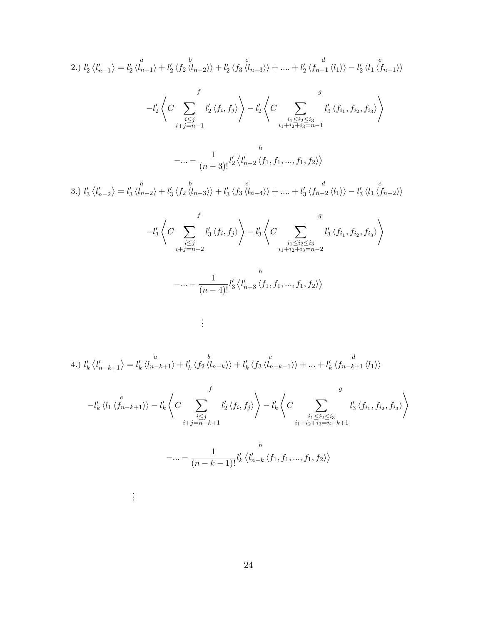2.) 
$$
l'_2 \langle l'_{n-1} \rangle = l'_2 \langle l_{n-1} \rangle + l'_2 \langle f_2 \langle l_{n-2} \rangle \rangle + l'_2 \langle f_3 \langle l_{n-3} \rangle \rangle + \dots + l'_2 \langle f_{n-1} \langle l_1 \rangle \rangle - l'_2 \langle l_1 \langle l_{n-1} \rangle \rangle
$$
  
\n
$$
-l'_2 \langle C \sum_{\substack{i \leq j \\ i+j=n-1}} l'_2 \langle f_i, f_j \rangle \rangle - l'_2 \langle C \sum_{\substack{i_1 \leq i_2 \leq i_3 \\ i_1 + i_2 + i_3 = n-1}} l'_3 \langle f_{i_1}, f_{i_2}, f_{i_3} \rangle \rangle
$$
\n
$$
- \dots - \frac{1}{(n-3)!} l'_2 \langle l'_{n-2} \langle f_1, f_1, \dots, f_1, f_2 \rangle \rangle
$$
\n3.)  $l'_3 \langle l'_{n-2} \rangle = l'_3 \langle l_{n-2} \rangle + l'_3 \langle f_2 \langle l_{n-3} \rangle \rangle + l'_3 \langle f_3 \langle l_{n-4} \rangle \rangle + \dots + l'_3 \langle f_{n-2} \langle l_1 \rangle \rangle - l'_3 \langle l_1 \langle l_{n-2} \rangle \rangle$   
\n
$$
-l'_3 \langle C \sum_{\substack{i \leq j \\ i+j=n-2}} l'_3 \langle f_i, f_j \rangle \rangle - l'_3 \langle C \sum_{\substack{i_1 \leq i_2 \leq i_3 \\ i_1 + i_2 + i_3 = n-2}} l'_3 \langle f_{i_1}, f_{i_2}, f_{i_3} \rangle \rangle
$$
  
\n
$$
- \dots - \frac{1}{(n-4)!} l'_3 \langle l'_{n-3} \langle f_1, f_1, \dots, f_1, f_2 \rangle \rangle
$$

4.) 
$$
l'_{k} \langle l'_{n-k+1} \rangle = l'_{k} \langle l_{n-k+1} \rangle + l'_{k} \langle f_{2} \langle l_{n-k} \rangle + l'_{k} \langle f_{3} \langle l_{n-k-1} \rangle + \dots + l'_{k} \langle f_{n-k+1} \langle l_{1} \rangle \rangle
$$

. . .

. . .

$$
-l'_{k} \langle l_{1} \langle f_{n-k+1} \rangle \rangle - l'_{k} \langle C \sum_{\substack{i \leq j \\ i+j=n-k+1}}^{f} l'_{2} \langle f_{i}, f_{j} \rangle \rangle - l'_{k} \langle C \sum_{\substack{i_{1} \leq i_{2} \leq i_{3} \\ i_{1}+i_{2}+i_{3}=n-k+1}}^{g} l'_{3} \langle f_{i_{1}}, f_{i_{2}}, f_{i_{3}} \rangle \rangle
$$

$$
-... - \frac{1}{(n-k-1)!} l'_{k} \langle l'_{n-k} \langle f_{1}, f_{1}, ..., f_{1}, f_{2} \rangle \rangle
$$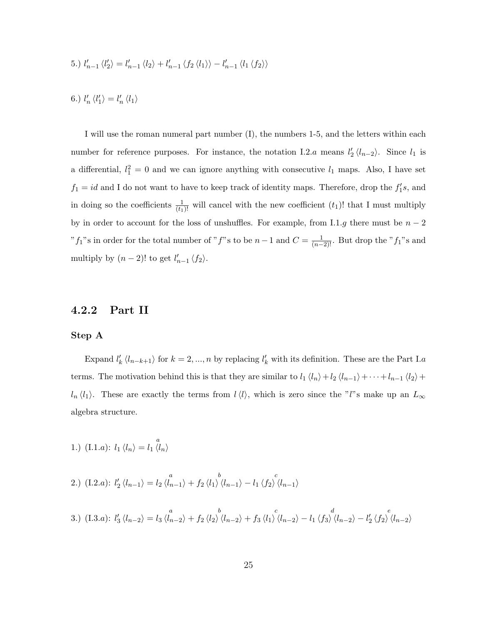5.) 
$$
l'_{n-1} \langle l'_{2} \rangle = l'_{n-1} \langle l_{2} \rangle + l'_{n-1} \langle f_{2} \langle l_{1} \rangle \rangle - l'_{n-1} \langle l_{1} \langle f_{2} \rangle \rangle
$$

6.) 
$$
l_n' \langle l_1' \rangle = l_n' \langle l_1 \rangle
$$

I will use the roman numeral part number (I), the numbers 1-5, and the letters within each number for reference purposes. For instance, the notation I.2.a means  $l'_2 \langle l_{n-2} \rangle$ . Since  $l_1$  is a differential,  $l_1^2 = 0$  and we can ignore anything with consecutive  $l_1$  maps. Also, I have set  $f_1 = id$  and I do not want to have to keep track of identity maps. Therefore, drop the  $f_1's$ , and in doing so the coefficients  $\frac{1}{(t_1)!}$  will cancel with the new coefficient  $(t_1)!$  that I must multiply by in order to account for the loss of unshuffles. For example, from I.1.g there must be  $n-2$ "f<sub>1</sub>"s in order for the total number of "f"s to be  $n-1$  and  $C = \frac{1}{(n-2)!}$ . But drop the "f<sub>1</sub>"s and multiply by  $(n-2)!$  to get  $l'_{n-1} \langle f_2 \rangle$ .

#### 4.2.2 Part II

#### Step A

Expand  $l'_k \langle l_{n-k+1} \rangle$  for  $k = 2, ..., n$  by replacing  $l'_k$  with its definition. These are the Part I.a terms. The motivation behind this is that they are similar to  $l_1 \langle l_n \rangle + l_2 \langle l_{n-1} \rangle + \cdots + l_{n-1} \langle l_2 \rangle +$  $l_n \langle l_1 \rangle$ . These are exactly the terms from  $l \langle l \rangle$ , which is zero since the "l"s make up an  $L_{\infty}$ algebra structure.

1.) (I.1.a):  $l_1 \langle l_n \rangle = l_1 \langle l_n \rangle$ 

2.) 
$$
(I.2.a): l'_2 \langle l_{n-1} \rangle = l_2 \langle l_{n-1} \rangle + f_2 \langle l_1 \rangle \langle l_{n-1} \rangle - l_1 \langle f_2 \rangle \langle l_{n-1} \rangle
$$

3.) (I.3.a): 
$$
l'_3 \langle l_{n-2} \rangle = l_3 \langle l_{n-2} \rangle + f_2 \langle l_2 \rangle \langle l_{n-2} \rangle + f_3 \langle l_1 \rangle \langle l_{n-2} \rangle - l_1 \langle f_3 \rangle \langle l_{n-2} \rangle - l'_2 \langle f_2 \rangle \langle l_{n-2} \rangle
$$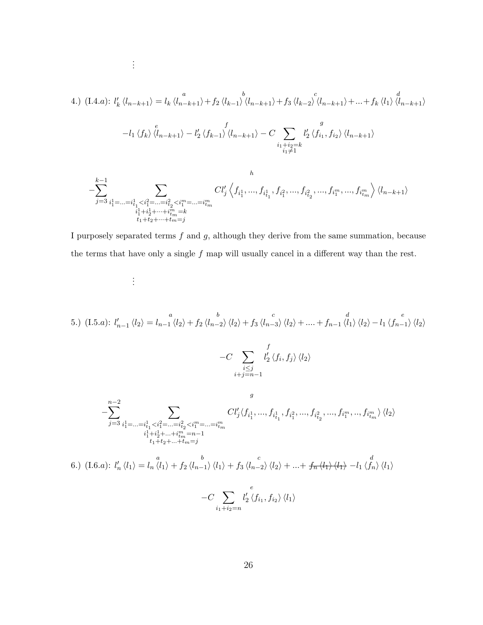4.) (I.4.a): 
$$
l'_{k} \langle l_{n-k+1} \rangle = l_{k} \langle l_{n-k+1} \rangle + f_{2} \langle l_{k-1} \rangle \langle l_{n-k+1} \rangle + f_{3} \langle l_{k-2} \rangle \langle l_{n-k+1} \rangle + \dots + f_{k} \langle l_{1} \rangle \langle l_{n-k+1} \rangle
$$

$$
-l_{1} \langle f_{k} \rangle \langle l_{n-k+1} \rangle - l'_{2} \langle f_{k-1} \rangle \langle l_{n-k+1} \rangle - C \sum_{\substack{i_{1}+i_{2}=k \\ i_{1} \neq 1}} l'_{2} \langle f_{i_{1}}, f_{i_{2}} \rangle \langle l_{n-k+1} \rangle
$$

. . .

. . .

$$
-\sum_{j=3}^{k-1}\sum_{\substack{i_1^1=\ldots=i_{t_1}^1
$$

I purposely separated terms  $f$  and  $g$ , although they derive from the same summation, because the terms that have only a single  $f$  map will usually cancel in a different way than the rest.

5.) (I.5.a): 
$$
l'_{n-1} \langle l_2 \rangle = l_{n-1} \langle l_2 \rangle + f_2 \langle l_{n-2} \rangle \langle l_2 \rangle + f_3 \langle l_{n-3} \rangle \langle l_2 \rangle + \dots + f_{n-1} \langle l_1 \rangle \langle l_2 \rangle - l_1 \langle f_{n-1} \rangle \langle l_2 \rangle
$$

$$
-C \sum_{\substack{i \leq j \\ i+j=n-1}} l'_2 \langle f_i, f_j \rangle \langle l_2 \rangle
$$

$$
+j = n-1
$$

$$
- \sum_{j=3}^{n-2} \sum_{\substack{i_1^1 \ldots i_1^2 \ldots i_{n}^2 < i_1^m = \ldots = i_{n}^m \\ i_1^1 + i_2^1 + \ldots + i_{n}^m = n-1 \\ i_1 + i_2 + \ldots + i_{n}^m = n-1}} \frac{Cl'_j \langle f_{i_1^1}, \ldots, f_{i_{1}^1}, f_{i_1^2}, \ldots, f_{i_{1}^2}, \ldots, f_{i_1^m}, \ldots, f_{i_m^m} \rangle \langle l_2 \rangle}{(1.6.a): \, l'_n \langle l_1 \rangle = l_n \langle l_1 \rangle + f_2 \langle l_{n-1} \rangle \langle l_1 \rangle + f_3 \langle l_{n-2} \rangle \langle l_2 \rangle + \ldots + f_n \langle l_1 \rangle \langle l_1 \rangle - l_1 \langle f_n \rangle \langle l_1 \rangle
$$

$$
-C \sum_{i_1 + i_2 = n} l'_2 \langle f_{i_1}, f_{i_2} \rangle \langle l_1 \rangle
$$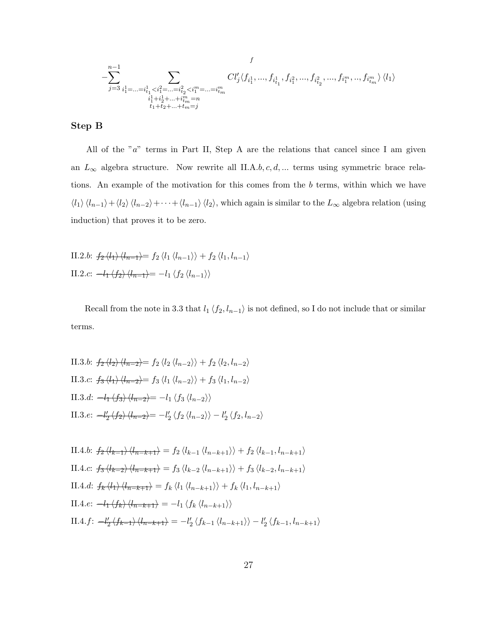$$
f \\ - \sum_{j=3}^{n-1} \sum_{\substack{i_1^1 = \ldots = i_{t_1}^1 < i_1^2 = \ldots = i_{t_2}^2 < i_1^m = \ldots = i_m^m \\ i_1^1 + i_2^1 + \ldots + i_m^m = n \\ t_1 + t_2 + \ldots + t_m = j}} C l'_j \langle f_{i_1^1}, ..., f_{i_{t_1}^1}, f_{i_1^2}, ..., f_{i_{t_2}^2}, ..., f_{i_1^m}, ..., f_{i_{tm}^m} \rangle \langle l_1 \rangle
$$

#### Step B

All of the " $a$ " terms in Part II, Step A are the relations that cancel since I am given an  $L_{\infty}$  algebra structure. Now rewrite all II.A.b, c, d, ... terms using symmetric brace relations. An example of the motivation for this comes from the b terms, within which we have  $\langle l_1 \rangle \langle l_{n-1} \rangle + \langle l_2 \rangle \langle l_{n-2} \rangle + \cdots + \langle l_{n-1} \rangle \langle l_2 \rangle$ , which again is similar to the  $L_{\infty}$  algebra relation (using induction) that proves it to be zero.

II.2.b: 
$$
f_2 \langle l_1 \rangle \langle l_{n-1} \rangle = f_2 \langle l_1 \langle l_{n-1} \rangle \rangle + f_2 \langle l_1, l_{n-1} \rangle
$$
  
II.2.c:  $-l_1 \langle f_2 \rangle \langle l_{n-1} \rangle = -l_1 \langle f_2 \langle l_{n-1} \rangle \rangle$ 

Recall from the note in 3.3 that  $l_1 \langle f_2, l_{n-1} \rangle$  is not defined, so I do not include that or similar terms.

II.3.b: 
$$
f_2 \langle l_2 \rangle \langle l_{n-2} \rangle = f_2 \langle l_2 \langle l_{n-2} \rangle \rangle + f_2 \langle l_2, l_{n-2} \rangle
$$
  
\nII.3.c:  $f_3 \langle l_1 \rangle \langle l_{n-2} \rangle = f_3 \langle l_1 \langle l_{n-2} \rangle \rangle + f_3 \langle l_1, l_{n-2} \rangle$   
\nII.3.d:  $-l_1 \langle f_3 \rangle \langle l_{n-2} \rangle = -l_1 \langle f_3 \langle l_{n-2} \rangle \rangle$   
\nII.3.e:  $-l'_2 \langle f_2 \rangle \langle l_{n-2} \rangle = -l'_2 \langle f_2 \langle l_{n-2} \rangle \rangle - l'_2 \langle f_2, l_{n-2} \rangle$ 

II.4.b: 
$$
f_2 \langle l_{k-1} \rangle \langle l_{n-k+1} \rangle = f_2 \langle l_{k-1} \langle l_{n-k+1} \rangle \rangle + f_2 \langle l_{k-1}, l_{n-k+1} \rangle
$$
  
\nII.4.c:  $f_3 \langle l_{k-2} \rangle \langle l_{n-k+1} \rangle = f_3 \langle l_{k-2} \langle l_{n-k+1} \rangle \rangle + f_3 \langle l_{k-2}, l_{n-k+1} \rangle$   
\nII.4.d:  $f_k \langle l_1 \rangle \langle l_{n-k+1} \rangle = f_k \langle l_1 \langle l_{n-k+1} \rangle \rangle + f_k \langle l_1, l_{n-k+1} \rangle$   
\nII.4.e:  $-l_1 \langle f_k \rangle \langle l_{n-k+1} \rangle = -l_1 \langle f_k \langle l_{n-k+1} \rangle \rangle$   
\nII.4.f:  $-l'_2 \langle f_{k-1} \rangle \langle l_{n-k+1} \rangle = -l'_2 \langle f_{k-1} \langle l_{n-k+1} \rangle \rangle - l'_2 \langle f_{k-1}, l_{n-k+1} \rangle$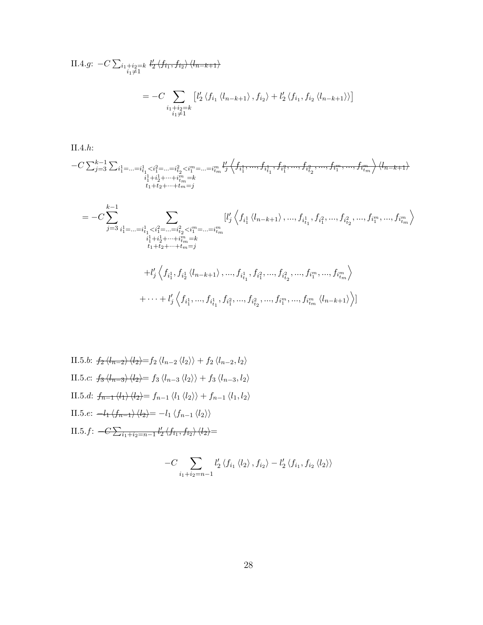II.4.g: 
$$
-C \sum_{\substack{i_1+i_2=k \ i_1 \neq 1}} l'_2 \langle f_{i_1}, f_{i_2} \rangle \langle l_{n-k+1} \rangle
$$

$$
= -C \sum_{\substack{i_1+i_2=k \ i_1 \neq 1}} \left[ l'_2 \langle f_{i_1} \langle l_{n-k+1} \rangle, f_{i_2} \rangle + l'_2 \langle f_{i_1}, f_{i_2} \langle l_{n-k+1} \rangle \rangle \right]
$$

II.4.h:

$$
-C\sum_{j=3}^{k-1}\sum_{\substack{i_1^1=\ldots=i_{t_1}^1  
\n
$$
\sum_{\substack{i_1^1+i_2^1+\cdots+i_m=k\\t_1+t_2+\cdots+t_m=j}} \prod_{i=1}^{l'}\left\langle f_{i_1^1},...,f_{i_{t_1}^1},f_{i_1^2},...,f_{i_{t_2}^2},...,f_{i_1^m},...,f_{i_{tm}^m} \right\rangle \langle l_{n-k+1} \rangle
$$
$$

$$
= -C \sum_{j=3}^{k-1} \sum_{\substack{i_1^1 = \dots = i_{t_1}^1 < i_1^2 = \dots = i_{t_2}^2 < i_1^m = \dots = i_m^m \\ i_1^1 + i_2^1 + \dots + i_m^m = k \\ t_1 + t_2 + \dots + t_m = j}} [l'_j \left\langle f_{i_1^1} \left\langle l_{n-k+1} \right\rangle, \dots, f_{i_{t_1}^1}, f_{i_1^2}, \dots, f_{i_{t_2}^2}, \dots, f_{i_1^m}, \dots, f_{i_m^m} \right\rangle
$$
  
+ 
$$
l'_j \left\langle f_{i_1^1}, f_{i_2^1} \left\langle l_{n-k+1} \right\rangle, \dots, f_{i_{t_1}^1}, f_{i_1^2}, \dots, f_{i_{t_2}^2}, \dots, f_{i_1^m}, \dots, f_{i_m^m} \right\rangle
$$
  
+ 
$$
\cdots + l'_j \left\langle f_{i_1^1}, \dots, f_{i_{t_1}^1}, f_{i_1^2}, \dots, f_{i_{t_2}^2}, \dots, f_{i_1^m}, \dots, f_{i_m^m} \left\langle l_{n-k+1} \right\rangle \right\rangle]
$$

II.5.b: 
$$
f_2 \langle l_{n-2} \rangle \langle l_2 \rangle = f_2 \langle l_{n-2} \langle l_2 \rangle \rangle + f_2 \langle l_{n-2}, l_2 \rangle
$$
  
\nII.5.c:  $f_3 \langle l_{n-3} \rangle \langle l_2 \rangle = f_3 \langle l_{n-3} \langle l_2 \rangle \rangle + f_3 \langle l_{n-3}, l_2 \rangle$   
\nII.5.d:  $f_{n-1} \langle l_1 \rangle \langle l_2 \rangle = f_{n-1} \langle l_1 \langle l_2 \rangle \rangle + f_{n-1} \langle l_1, l_2 \rangle$   
\nII.5.e:  $-l_1 \langle f_{n-1} \rangle \langle l_2 \rangle = -l_1 \langle f_{n-1} \langle l_2 \rangle \rangle$   
\nII.5.f:  $-C \sum_{i_1+i_2=n-1} l'_2 \langle f_{i_1}, f_{i_2} \rangle \langle l_2 \rangle =$ 

$$
-C\sum_{i_1+i_2=n-1}l'_2\langle f_{i_1}\langle l_2\rangle, f_{i_2}\rangle-l'_2\langle f_{i_1}, f_{i_2}\langle l_2\rangle\rangle
$$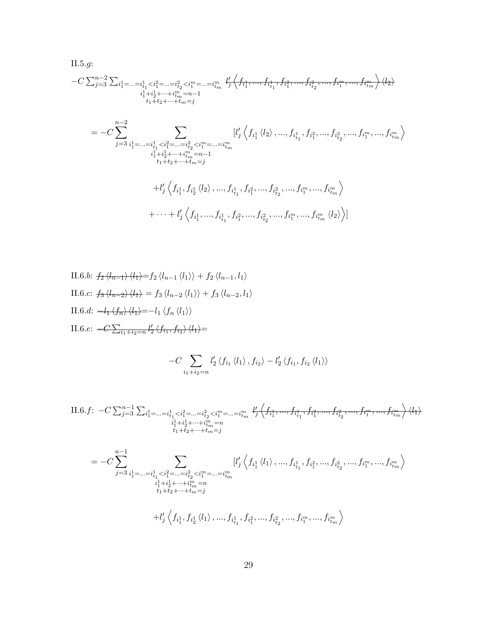$$
\begin{split} &\text{II.5}.g:\\ &- C\sum_{j=3}^{n-2}\sum_{i_1^1=\ldots=i_{t_1}^1< i_1^2=\ldots=i_{t_2}^2< i_1^m=\ldots=i_{tm}^n} \sqrt[l]{f_{i_1^1},...,f_{i_{t_1}^1},f_{i_1^2},...,f_{i_{t_2}^2},...,f_{i_1^m},...,f_{i_{tm}^m}}\rangle\langle l_2\rangle\\ &=-C\sum_{j=3}^{n-2}\sum_{i_1^1=\ldots=i_{t_1}^1< i_1^2=\ldots=i_{t_2}^2< i_1^m=\ldots=i_{tm}^m} [l'_j\left\langle f_{i_1^1}\left\langle l_2\right\rangle,...,f_{i_{t_1}^1},f_{i_1^2},...,f_{i_{t_2}^2},...,f_{i_1^m},...,f_{i_{tm}^m}\right\rangle\\ &\qquad \qquad \left. i_1^1+i_2^1+\cdots+i_{m}^m=n-1\right.\\ &\qquad \qquad \left. i_1^1+i_2^1+\cdots+i_{m}^m=n-1\right.\\ &\qquad \qquad \left. +l'_j\left\langle f_{i_1^1},f_{i_1^2}\left\langle l_2\right\rangle,...,f_{i_{t_1}^1},f_{i_1^2},...,f_{i_{t_2}^2},...,f_{i_1^m},...,f_{i_{tm}^m}\right\rangle\\ &\qquad \qquad +\cdots+l'_j\left\langle f_{i_1^1},...,f_{i_{t_1}^1},f_{i_1^2},...,f_{i_{t_2}^2},...,f_{i_1^m},...,f_{i_{tm}^m}\left\langle l_2\right\rangle\right\rangle\right] \end{split}
$$

II.6.b: 
$$
f_2 \langle l_{n-1} \rangle \langle l_1 \rangle = f_2 \langle l_{n-1} \langle l_1 \rangle \rangle + f_2 \langle l_{n-1}, l_1 \rangle
$$
  
\nII.6.c:  $f_3 \langle l_{n-2} \rangle \langle l_1 \rangle = f_3 \langle l_{n-2} \langle l_1 \rangle \rangle + f_3 \langle l_{n-2}, l_1 \rangle$   
\nII.6.d:  $-l_1 \langle f_n \rangle \langle l_1 \rangle = -l_1 \langle f_n \langle l_1 \rangle \rangle$   
\nII.6.e:  $-C \sum_{i_1+i_2=n} l'_2 \langle f_{i_1}, f_{i_2} \rangle \langle l_1 \rangle =$ 

$$
-C\sum_{i_1+i_2=n}l'_2\langle f_{i_1}\langle l_1\rangle, f_{i_2}\rangle-l'_2\langle f_{i_1}, f_{i_2}\langle l_1\rangle\rangle
$$

$$
\text{II.6.} f: \ -C \sum_{j=3}^{n-1} \sum_{\substack{i_1^1 = \dots = i_{t_1}^1 < i_1^2 = \dots = i_{t_2}^2 < i_1^m = \dots = i_{t_m}^m}} \frac{l_1^{\prime} \left\langle f_{i_1^1}, \dots, f_{i_{t_1}^1}, f_{i_1^2}, \dots, f_{i_{t_2}^2}, \dots, f_{i_1^m}, \dots, f_{i_{t_m}^m} \right\rangle \langle l_1 \rangle}{\frac{i_1^1 + i_2^1 + \dots + i_{t_m}^m = n}{i_1 + i_2 + \dots + i_{t_m} = j}}
$$

$$
= - C \sum\limits_{j=3}^{n-1} \sum\limits_{\substack{i_1^1 = ... = i_{t_1}^1 < i_1^2 = ... = i_{t_2}^2 < i_1^m = ... = i_{tm}^m \\ i_1^1 + i_2^1 + ... + i_{tm}^m = n \\ t_1 + t_2 + ... + t_m = j}} [l'_j \left\langle f_{i_1^1} \left\langle l_1 \right\rangle, ..., f_{i_{t_1}^1}, f_{i_1^2}, ..., f_{i_{t_2}^2}, ..., f_{i_1^m}, ..., f_{i_{tm}^m} \right\rangle
$$

$$
+l'_{j}\left\langle f_{i_{1}^{1}},f_{i_{2}^{1}}\left\langle l_{1}\right\rangle ,...,f_{i_{t_{1}}^{1}},f_{i_{1}^{2}},...,f_{i_{t_{2}}^{2}},...,f_{i_{1}^{m}},...,f_{i_{tm}^{m}}\right\rangle
$$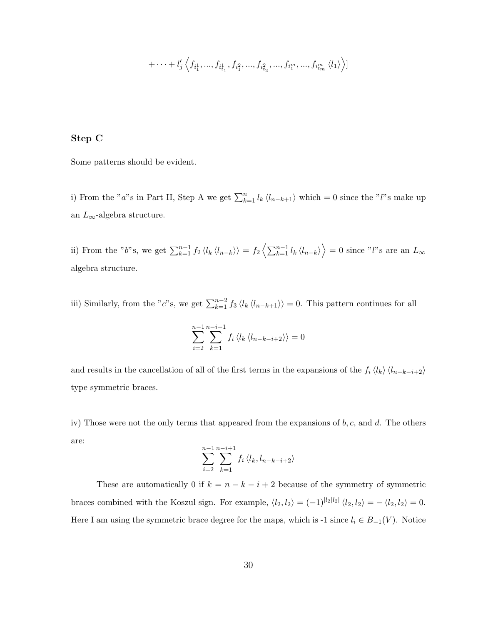$$
+ \cdots + l'_{j} \left\langle f_{i_1^1},...,f_{i_{t_1}^1},f_{i_1^2},...,f_{i_{t_2}^2},...,f_{i_1^m},...,f_{i_{t_m}^m} \left\langle l_1 \right\rangle \right\rangle]
$$

#### Step C

Some patterns should be evident.

i) From the "a"s in Part II, Step A we get  $\sum_{k=1}^{n} l_k \langle l_{n-k+1} \rangle$  which = 0 since the "l"s make up an  $L_{\infty}$ -algebra structure.

ii) From the "b"s, we get  $\sum_{k=1}^{n-1} f_2 \langle l_k \langle l_{n-k} \rangle \rangle = f_2 \langle \sum_{k=1}^{n-1} l_k \langle l_{n-k} \rangle \rangle = 0$  since "l"s are an  $L_{\infty}$ algebra structure.

iii) Similarly, from the "c"s, we get  $\sum_{k=1}^{n-2} f_3 \langle l_k \langle l_{n-k+1} \rangle \rangle = 0$ . This pattern continues for all

$$
\sum_{i=2}^{n-1} \sum_{k=1}^{n-i+1} f_i \langle l_k \langle l_{n-k-i+2} \rangle \rangle = 0
$$

and results in the cancellation of all of the first terms in the expansions of the  $f_i \langle l_k \rangle \langle l_{n-k-i+2} \rangle$ type symmetric braces.

iv) Those were not the only terms that appeared from the expansions of  $b, c$ , and  $d$ . The others are:

$$
\sum_{i=2}^{n-1} \sum_{k=1}^{n-i+1} f_i \langle l_k, l_{n-k-i+2} \rangle
$$

These are automatically 0 if  $k = n - k - i + 2$  because of the symmetry of symmetric braces combined with the Koszul sign. For example,  $\langle l_2, l_2 \rangle = (-1)^{|l_2|l_2|} \langle l_2, l_2 \rangle = -\langle l_2, l_2 \rangle = 0.$ Here I am using the symmetric brace degree for the maps, which is -1 since  $l_i \in B_{-1}(V)$ . Notice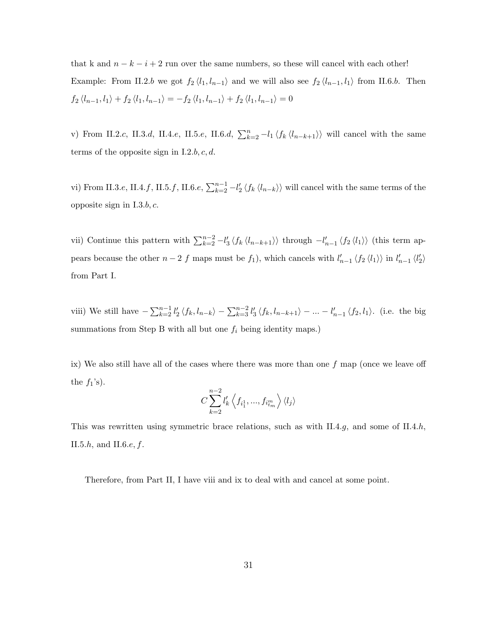that k and  $n - k - i + 2$  run over the same numbers, so these will cancel with each other! Example: From II.2.b we got  $f_2 \langle l_1, l_{n-1} \rangle$  and we will also see  $f_2 \langle l_{n-1}, l_1 \rangle$  from II.6.b. Then  $f_2 \langle l_{n-1}, l_1 \rangle + f_2 \langle l_1, l_{n-1} \rangle = -f_2 \langle l_1, l_{n-1} \rangle + f_2 \langle l_1, l_{n-1} \rangle = 0$ 

v) From II.2.c, II.3.d, II.4.e, II.5.e, II.6.d,  $\sum_{k=2}^{n} -l_1 \langle f_k \langle l_{n-k+1} \rangle \rangle$  will cancel with the same terms of the opposite sign in I.2.b,  $c, d$ .

vi) From II.3.e, II.4.f, II.5.f, II.6.e,  $\sum_{k=2}^{n-1} -l'_2 \langle f_k \langle l_{n-k} \rangle \rangle$  will cancel with the same terms of the opposite sign in  $I.3.b, c.$ 

vii) Continue this pattern with  $\sum_{k=2}^{n-2} -l'_3 \langle f_k \langle l_{n-k+1} \rangle \rangle$  through  $-l'_{n-1} \langle f_2 \langle l_1 \rangle \rangle$  (this term appears because the other  $n-2$  f maps must be  $f_1$ ), which cancels with  $l'_{n-1} \langle f_2 \langle l_1 \rangle \rangle$  in  $l'_{n-1} \langle l'_2 \rangle$ from Part I.

viii) We still have  $-\sum_{k=2}^{n-1} l'_2 \langle f_k, l_{n-k} \rangle - \sum_{k=3}^{n-2} l'_3 \langle f_k, l_{n-k+1} \rangle - ... - l'_{n-1} \langle f_2, l_1 \rangle$ . (i.e. the big summations from Step B with all but one  $f_i$  being identity maps.)

ix) We also still have all of the cases where there was more than one  $f$  map (once we leave off the  $f_1$ 's).

$$
C\sum_{k=2}^{n-2}l'_{k}\left\langle f_{i_1^1},...,f_{i_m^m}\right\rangle \langle l_j\rangle
$$

This was rewritten using symmetric brace relations, such as with II.4.g, and some of II.4.h, II.5. $h$ , and II.6. $e$ ,  $f$ .

Therefore, from Part II, I have viii and ix to deal with and cancel at some point.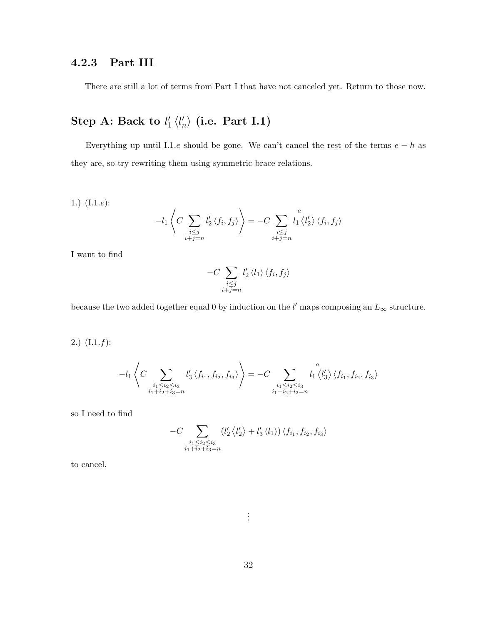## 4.2.3 Part III

There are still a lot of terms from Part I that have not canceled yet. Return to those now.

#### Step A: Back to  $l_1'$  $\frac{1}{1}$   $\langle l'_n$  $\langle n^{'}_{n} \rangle$  (i.e. Part I.1)

Everything up until I.1.e should be gone. We can't cancel the rest of the terms  $e - h$  as they are, so try rewriting them using symmetric brace relations.

1.) (I.1.e):  

$$
-l_1 \left\langle C \sum_{\substack{i \leq j \\ i+j=n}} l'_2 \left\langle f_i, f_j \right\rangle \right\rangle = -C \sum_{\substack{i \leq j \\ i+j=n}} l'_1 \left\langle l'_2 \right\rangle \left\langle f_i, f_j \right\rangle
$$

I want to find

$$
-C\sum_{\substack{i\leq j\\i+j=n}}l_2'\langle l_1\rangle\langle f_i,f_j\rangle
$$

because the two added together equal 0 by induction on the  $l'$  maps composing an  $L_{\infty}$  structure.

2.)  $(L.1.f):$ 

$$
-l_1 \left\langle C \sum_{\substack{i_1 \leq i_2 \leq i_3 \\ i_1 + i_2 + i_3 = n}} l'_3 \left\langle f_{i_1}, f_{i_2}, f_{i_3} \right\rangle \right\rangle = -C \sum_{\substack{i_1 \leq i_2 \leq i_3 \\ i_1 + i_2 + i_3 = n}} l'_1 \left\langle l'_3 \right\rangle \left\langle f_{i_1}, f_{i_2}, f_{i_3} \right\rangle
$$

so I need to find

$$
-C\sum_{\substack{i_1\leq i_2\leq i_3\\i_1+i_2+i_3=n}}\left(l'_2\left+l'_3\left\right)\left
$$

to cancel.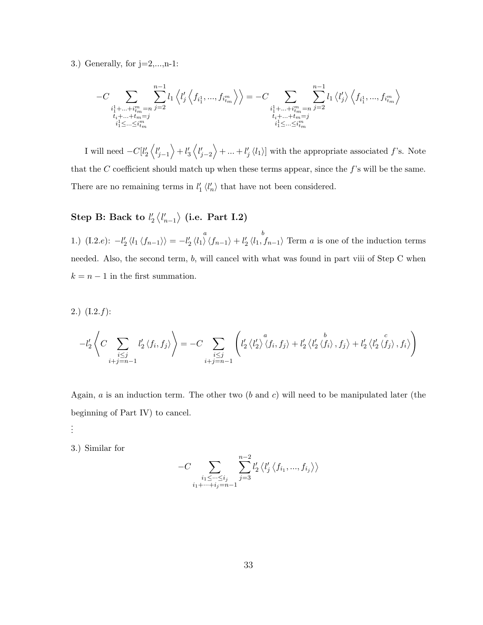3.) Generally, for  $j=2,\ldots,n-1$ :

$$
-C\sum_{\substack{i_1^1+\ldots+i_m^m=n \\ t_i+\ldots+t_m=j \\ i_1^1\leq\ldots\leq i_m^m}}\sum_{j=2}^{n-1}l_1\left\langle l'_j\left\langle f_{i_1^1},...,f_{i_m^m}\right\rangle\right\rangle=-C\sum_{\substack{i_1^1+\ldots+i_m^m=n \\ t_i+\ldots+t_m=j \\ i_1^1\leq\ldots\leq i_m^m}}\sum_{j=2}^{n-1}l_1\left\langle l'_j\right\rangle\left\langle f_{i_1^1},...,f_{i_m^m}\right\rangle
$$

I will need  $-C[l'_2\langle l'_{j-1}\rangle + l'_3\langle l'_{j-2}\rangle + ... + l'_j\langle l_1\rangle]$  with the appropriate associated f's. Note that the  $C$  coefficient should match up when these terms appear, since the  $f$ 's will be the same. There are no remaining terms in  $l'_1 \langle l'_n \rangle$  that have not been considered.

## ${\rm Step~B:~Back~to}~l'_2\left\langle l'_{n-1} \right\rangle$  (i.e.  ${\rm Part~I.2})$

1.)  $(I.2.e): -l'_2 \langle l_1 \langle f_{n-1} \rangle \rangle =$ a  $-l'_2 \langle l_1 \rangle \langle f_{n-1} \rangle +$ b  $\ell'_2 \langle l_1, f_{n-1} \rangle$  Term a is one of the induction terms needed. Also, the second term, b, will cancel with what was found in part viii of Step C when  $k = n - 1$  in the first summation.

2.) (I.2.f):  
\n
$$
-l'_{2}\left\langle C\sum_{\substack{i\leq j\\i+j=n-1}}l'_{2}\left\langle f_{i},f_{j}\right\rangle\right\rangle = -C\sum_{\substack{i\leq j\\i+j=n-1}}\left(l'_{2}\left\langle l'_{2}\right\rangle^{a}\left\langle f_{i},f_{j}\right\rangle+l'_{2}\left\langle l'_{2}\left\langle f_{i}\right\rangle,f_{j}\right\rangle+l'_{2}\left\langle l'_{2}\left\langle f_{j}\right\rangle,f_{i}\right\rangle\right)
$$

Again,  $a$  is an induction term. The other two  $(b \text{ and } c)$  will need to be manipulated later (the beginning of Part IV) to cancel.

. . .

3.) Similar for

$$
-C\sum_{\substack{i_1\leq \cdots \leq i_j\\i_1+\cdots +i_j=n-1}}\sum_{j=3}^{n-2}l'_2\left\langle l'_j\left\langle f_{i_1},...,f_{i_j}\right\rangle\right\rangle
$$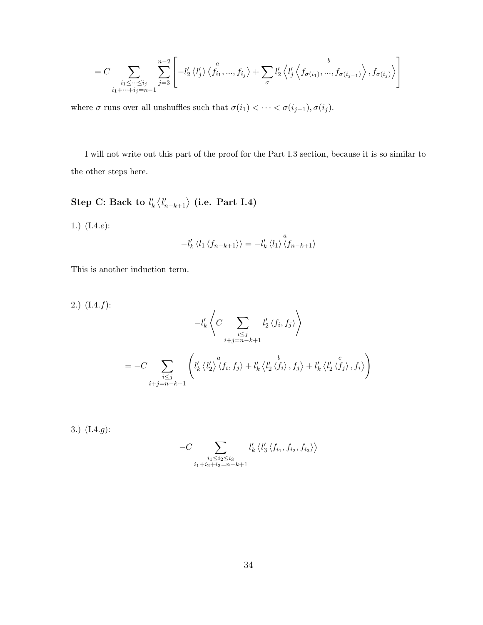$$
=C\sum_{\substack{i_1\leq \cdots \leq i_j\\i_1+\cdots +i_j=n-1}}\sum_{j=3}^{n-2}\left[-l'_2\left\langle l'_j\right\rangle\left\langle f_{i_1},...,f_{i_j}\right\rangle+\sum_{\sigma}l'_2\left\langle l'_j\left\langle f_{\sigma(i_1)},...,f_{\sigma(i_{j-1})}\right\rangle,f_{\sigma(i_j)}\right\rangle\right]
$$

where  $\sigma$  runs over all unshuffles such that  $\sigma(i_1)<\cdots<\sigma(i_{j-1}),\sigma(i_j).$ 

I will not write out this part of the proof for the Part I.3 section, because it is so similar to the other steps here.

Step C: Back to  $l'_k\left\langle l'_{n-k+1}\right\rangle$  (i.e. Part I.4)

1.) (I.4.e):

$$
-l'_{k} \langle l_1 \langle f_{n-k+1} \rangle \rangle = -l'_{k} \langle l_1 \rangle \langle f_{n-k+1} \rangle
$$

This is another induction term.

2.) (I.4.f):  
\n
$$
-l'_{k}\left\langle C \sum_{\substack{i \leq j \\ i+j=n-k+1}} l'_{2} \langle f_{i}, f_{j} \rangle \right\rangle
$$
\n
$$
= -C \sum_{\substack{i \leq j \\ i+j=n-k+1}} \left( l'_{k} \langle l'_{2} \rangle \langle f_{i}, f_{j} \rangle + l'_{k} \langle l'_{2} \langle f_{i} \rangle, f_{j} \rangle + l'_{k} \langle l'_{2} \langle f_{j} \rangle, f_{i} \rangle \right)
$$

3.) (I.4.g):

$$
-C \sum_{\substack{i_1 \leq i_2 \leq i_3 \\ i_1+i_2+i_3=n-k+1}} l'_k \left\langle l'_3 \left\langle f_{i_1}, f_{i_2}, f_{i_3} \right\rangle \right\rangle
$$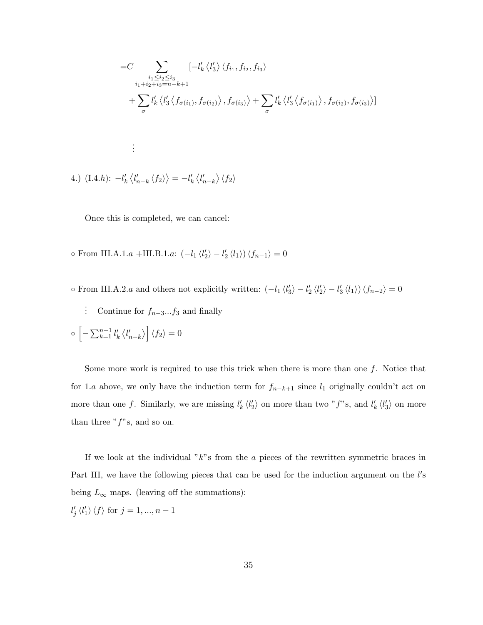$$
=C \sum_{\substack{i_1 \leq i_2 \leq i_3 \\ i_1+i_2+i_3=n-k+1}} \left[-l'_k \langle l'_3 \rangle \langle f_{i_1}, f_{i_2}, f_{i_3} \rangle \right.
$$
  
+ 
$$
\sum_{\sigma} l'_k \langle l'_3 \langle f_{\sigma(i_1)}, f_{\sigma(i_2)} \rangle, f_{\sigma(i_3)} \rangle + \sum_{\sigma} l'_k \langle l'_3 \langle f_{\sigma(i_1)} \rangle, f_{\sigma(i_2)}, f_{\sigma(i_3)} \rangle]
$$
  
:  
4.) (I.4.h):  $-l'_k \langle l'_{n-k} \langle f_2 \rangle \rangle = -l'_k \langle l'_{n-k} \rangle \langle f_2 \rangle$ 

Once this is completed, we can cancel:

 $\circ$  From III.A.1.a +III.B.1.a:  $\left(-l_1 \langle l_2' \rangle - l_2' \langle l_1 \rangle\right) \langle f_{n-1} \rangle = 0$ 

o From III.A.2.a and others not explicitly written:  $\left(-l_1 \langle l'_3 \rangle - l'_2 \langle l'_2 \rangle - l'_3 \langle l_1 \rangle\right) \langle f_{n-2} \rangle = 0$ 

: Continue for  $f_{n-3}$ ... $f_3$  and finally

$$
\circ \left[ -\sum_{k=1}^{n-1} l'_k \left\langle l'_{n-k} \right\rangle \right] \left\langle f_2 \right\rangle = 0
$$

Some more work is required to use this trick when there is more than one  $f$ . Notice that for 1.a above, we only have the induction term for  $f_{n-k+1}$  since  $l_1$  originally couldn't act on more than one f. Similarly, we are missing  $l'_k \langle l'_2 \rangle$  on more than two "f"s, and  $l'_k \langle l'_3 \rangle$  on more than three " $f$ "s, and so on.

If we look at the individual " $k$ "s from the a pieces of the rewritten symmetric braces in Part III, we have the following pieces that can be used for the induction argument on the l's being  $L_{\infty}$  maps. (leaving off the summations):

 $l'_j \langle l'_1 \rangle \langle f \rangle$  for  $j = 1, ..., n - 1$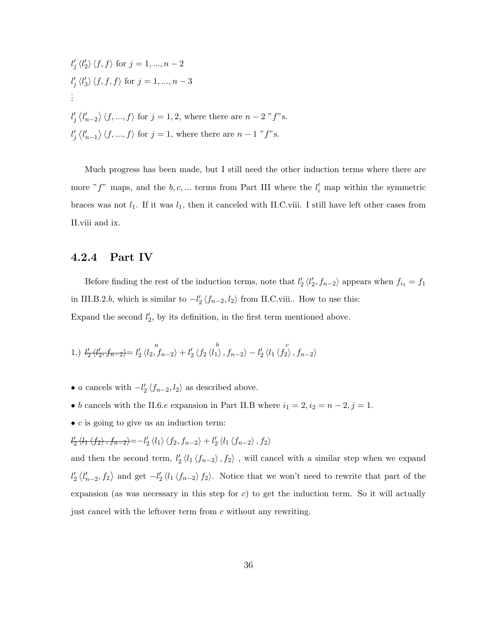$$
l'_j \langle l'_2 \rangle \langle f, f \rangle \text{ for } j = 1, ..., n-2
$$
  
\n
$$
l'_j \langle l'_3 \rangle \langle f, f, f \rangle \text{ for } j = 1, ..., n-3
$$
  
\n:  
\n
$$
l'_j \langle l'_{n-2} \rangle \langle f, ..., f \rangle \text{ for } j = 1, 2, \text{ where there are } n-2 \text{ "f"s.}
$$
  
\n
$$
l'_j \langle l'_{n-1} \rangle \langle f, ..., f \rangle \text{ for } j = 1, \text{ where there are } n-1 \text{ "f"s.}
$$

Much progress has been made, but I still need the other induction terms where there are more " $f$ " maps, and the  $b, c, \dots$  terms from Part III where the  $l_i'$  map within the symmetric braces was not  $l_1$ . If it was  $l_1$ , then it canceled with II.C.viii. I still have left other cases from II.viii and ix.

### 4.2.4 Part IV

Before finding the rest of the induction terms, note that  $l'_2 \langle l'_2, f_{n-2} \rangle$  appears when  $f_{i_1} = f_1$ in III.B.2.b, which is similar to  $-l'_2 \langle f_{n-2}, l_2 \rangle$  from II.C.viii.. How to use this: Expand the second  $l'_2$ , by its definition, in the first term mentioned above.

1.) 
$$
\frac{l'_2 \langle l'_2, f_{n-2} \rangle}{l'_2 \langle l'_2, f_{n-2} \rangle} = l'_2 \langle l_2, f_{n-2} \rangle + l'_2 \langle f_2 \langle l_1 \rangle, f_{n-2} \rangle - l'_2 \langle l_1 \langle f_2 \rangle, f_{n-2} \rangle
$$

- a cancels with  $-l'_2 \langle f_{n-2}, l_2 \rangle$  as described above.
- b cancels with the II.6. $e$  expansion in Part II.B where  $i_1 = 2, i_2 = n 2, j = 1$ .
- $\bullet$  c is going to give us an induction term:

 $\frac{l_2}{l_1}\left\langle l_1\left\langle f_2\right\rangle, f_{n-2}\right\rangle = -l_2'\left\langle l_1\right\rangle \left\langle f_2, f_{n-2}\right\rangle + l_2'\left\langle l_1\left\langle f_{n-2}\right\rangle, f_2\right\rangle$ 

and then the second term,  $l'_2 \langle l_1 \langle f_{n-2} \rangle, f_2 \rangle$ , will cancel with a similar step when we expand  $l'_2 \langle l'_{n-2}, f_2 \rangle$  and get  $-l'_2 \langle l_1 \langle f_{n-2} \rangle f_2 \rangle$ . Notice that we won't need to rewrite that part of the expansion (as was necessary in this step for  $c$ ) to get the induction term. So it will actually just cancel with the leftover term from c without any rewriting.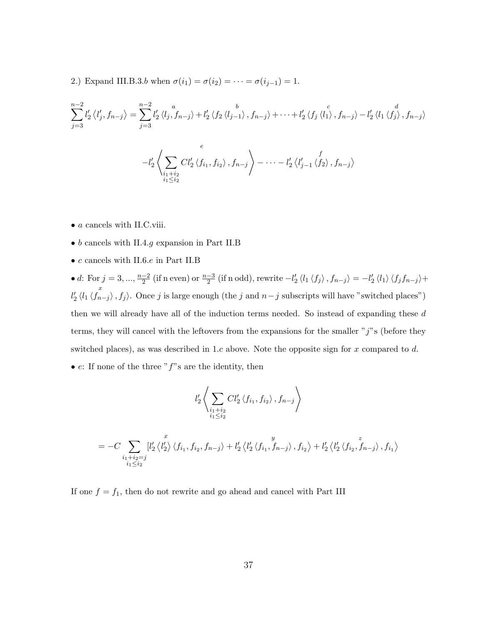2.) Expand III.B.3.b when  $\sigma(i_1) = \sigma(i_2) = \cdots = \sigma(i_{j-1}) = 1$ .

$$
\sum_{j=3}^{n-2} l'_2 \langle l'_j, f_{n-j} \rangle = \sum_{j=3}^{n-2} l'_2 \langle l_j, f_{n-j} \rangle + l'_2 \langle f_2 \langle l_{j-1} \rangle, f_{n-j} \rangle + \dots + l'_2 \langle f_j \langle l'_1 \rangle, f_{n-j} \rangle - l'_2 \langle l_1 \langle f'_j \rangle, f_{n-j} \rangle
$$
  

$$
-l'_2 \langle \sum_{\substack{i_1+i_2 \\ i_1 \le i_2}} Cl'_2 \langle f_{i_1}, f_{i_2} \rangle, f_{n-j} \rangle - \dots - l'_2 \langle l'_{j-1} \langle f_2 \rangle, f_{n-j} \rangle
$$

- $\bullet$   $\emph{a}$  cancels with II.C.viii.
- b cancels with II.4.g expansion in Part II.B
- $\bullet$   $c$  cancels with II.6. $e$  in Part II.B

• d: For  $j = 3, ..., \frac{n-2}{2}$  $\frac{-2}{2}$  (if n even) or  $\frac{n-3}{2}$  (if n odd), rewrite  $-l'_2 \langle l_1 \langle f_j \rangle$  ,  $f_{n-j} \rangle = -l'_2 \langle l_1 \rangle \langle f_j f_{n-j} \rangle +$ x  $l'_2 \langle l_1 \langle f_{n-j} \rangle, f_j \rangle$ . Once j is large enough (the j and  $n-j$  subscripts will have "switched places") then we will already have all of the induction terms needed. So instead of expanding these d terms, they will cancel with the leftovers from the expansions for the smaller " $j$ "s (before they switched places), as was described in 1.c above. Note the opposite sign for x compared to  $d$ .

• *e*: If none of the three "
$$
f
$$
"s are the identity, then

$$
l'_2 \left\langle \sum_{\substack{i_1+i_2 \\ i_1 \le i_2}} Cl'_2 \left\langle f_{i_1}, f_{i_2} \right\rangle, f_{n-j} \right\rangle
$$

$$
= -C \sum_{\substack{i_1+i_2=j\\i_1\leq i_2}} [l'_2 \langle l'_2 \rangle \langle f_{i_1}, f_{i_2}, f_{n-j} \rangle + l'_2 \langle l'_2 \langle f_{i_1}, f_{n-j} \rangle, f_{i_2} \rangle + l'_2 \langle l'_2 \langle f_{i_2}, f_{n-j} \rangle, f_{i_1} \rangle
$$

If one  $f = f_1$ , then do not rewrite and go ahead and cancel with Part III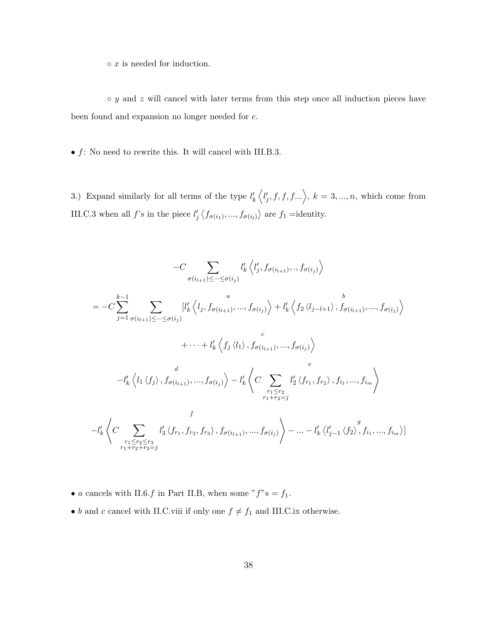$\circ$  x is needed for induction.

 $\circ$  y and z will cancel with later terms from this step once all induction pieces have been found and expansion no longer needed for e.

 $\bullet$   $f:$  No need to rewrite this. It will cancel with III.B.3.

3.) Expand similarly for all terms of the type  $l'_k\langle l'_j, f, f, f... \rangle$ ,  $k = 3, ..., n$ , which come from III.C.3 when all f's in the piece  $l'_j \langle f_{\sigma(i_1)},..., f_{\sigma(i_l)} \rangle$  are  $f_1$  =identity.

$$
-C \sum_{\sigma(i_{l+1}) \leq \cdots \leq \sigma(i_{j})} l'_{k} \langle l'_{j}, f_{\sigma(i_{l+1})}, \ldots, f_{\sigma(i_{j})} \rangle
$$
  
\n
$$
= -C \sum_{j=1}^{k-1} \sum_{\sigma(i_{l+1}) \leq \cdots \leq \sigma(i_{j})} [l'_{k} \langle l_{j}, f_{\sigma(i_{l+1})}, \ldots, f_{\sigma(i_{j})} \rangle + l'_{k} \langle f_{2} \langle l_{j-l+1} \rangle, f_{\sigma(i_{l+1})}, \ldots, f_{\sigma(i_{j})} \rangle
$$
  
\n
$$
+ \cdots + l'_{k} \langle f_{j} \langle l_{1} \rangle, f_{\sigma(i_{l+1})}, \ldots, f_{\sigma(i_{j})} \rangle
$$
  
\n
$$
-l'_{k} \langle l_{1} \langle f_{j} \rangle, f_{\sigma(i_{l+1})}, \ldots, f_{\sigma(i_{j})} \rangle - l'_{k} \langle C \sum_{\substack{r_{1} \leq r_{2} \\ r_{1} + r_{2} = j}} l'_{2} \langle f_{r_{1}}, f_{r_{2}} \rangle, f_{i_{1}}, \ldots, f_{i_{m}} \rangle
$$
  
\n
$$
-l'_{k} \langle C \sum_{\substack{r_{1} \leq r_{2} \leq r_{3} \\ r_{1} + r_{2} + r_{3} = j}} l'_{3} \langle f_{r_{1}}, f_{r_{2}}, f_{r_{3}} \rangle, f_{\sigma(i_{l+1})}, \ldots, f_{\sigma(i_{j})} \rangle - \cdots - l'_{k} \langle l'_{j-1} \langle f_{2} \rangle, f_{i_{1}}, \ldots, f_{i_{m}} \rangle]
$$

- $\bullet$   $a$  cancels with II.6. $f$  in Part II.B, when some " $f$ "s =  $f_1$ .
- $\bullet$   $b$  and  $c$  cancel with II.C.viii if only one  $f\neq f_{1}$  and III.C.ix otherwise.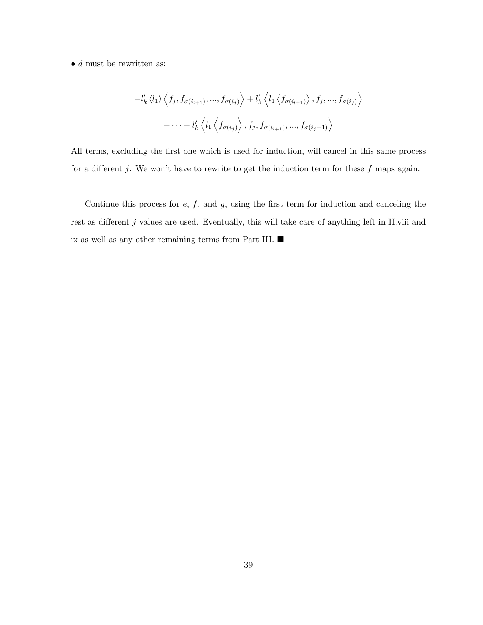$\bullet$   $d$  must be rewritten as:

$$
-l'_{k} \langle l_{1} \rangle \langle f_{j}, f_{\sigma(i_{l+1})}, ..., f_{\sigma(i_{j})} \rangle + l'_{k} \langle l_{1} \langle f_{\sigma(i_{l+1})} \rangle, f_{j}, ..., f_{\sigma(i_{j})} \rangle
$$
  
+ ... +  $l'_{k} \langle l_{1} \langle f_{\sigma(i_{j})} \rangle, f_{j}, f_{\sigma(i_{l+1})}, ..., f_{\sigma(i_{j}-1)} \rangle$ 

All terms, excluding the first one which is used for induction, will cancel in this same process for a different  $j$ . We won't have to rewrite to get the induction term for these  $f$  maps again.

Continue this process for  $e$ ,  $f$ , and  $g$ , using the first term for induction and canceling the rest as different  $j$  values are used. Eventually, this will take care of anything left in II.viii and ix as well as any other remaining terms from Part III.  $\blacksquare$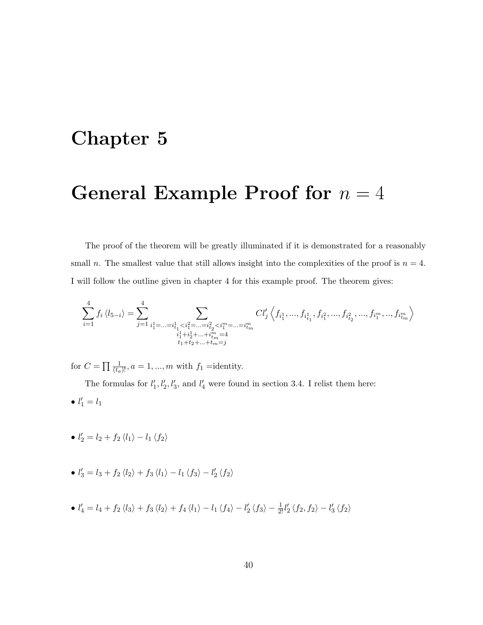# Chapter 5

# General Example Proof for  $n = 4$

The proof of the theorem will be greatly illuminated if it is demonstrated for a reasonably small n. The smallest value that still allows insight into the complexities of the proof is  $n = 4$ . I will follow the outline given in chapter 4 for this example proof. The theorem gives:

$$
\sum_{i=1}^{4} f_i \left\langle l_{5-i} \right\rangle = \sum_{j=1}^{4} \sum_{\substack{i_1^1 = ... = i_{t_1}^1 < i_1^2 = ... = i_{t_2}^2 < i_1^m = ... = i_{t_m}^m \\ i_1^1 + i_2^1 + ... + i_{t_m}^m = 4 \\ t_1 + t_2 + ... + t_m = j}} Cl'_j \left\langle f_{i_1^1}, ..., f_{i_{t_1}^1}, f_{i_1^2}, ..., f_{i_{t_2}^2}, ..., f_{i_1^m}, ..., f_{i_{t_m}^m} \right\rangle
$$

for  $C = \prod \frac{1}{(t_a)!}$ ,  $a = 1, ..., m$  with  $f_1$  =identity.

The formulas for  $l'_1, l'_2, l'_3$ , and  $l'_4$  were found in section 3.4. I relist them here: •  $l'_1 = l_1$ 

• 
$$
l'_2 = l_2 + f_2 \langle l_1 \rangle - l_1 \langle f_2 \rangle
$$

- $l'_3 = l_3 + f_2 \langle l_2 \rangle + f_3 \langle l_1 \rangle l_1 \langle f_3 \rangle l'_2 \langle f_2 \rangle$
- $l'_4 = l_4 + f_2 \langle l_3 \rangle + f_3 \langle l_2 \rangle + f_4 \langle l_1 \rangle l_1 \langle f_4 \rangle l'_2 \langle f_3 \rangle \frac{1}{2!} l'_2 \langle f_2, f_2 \rangle l'_3 \langle f_2 \rangle$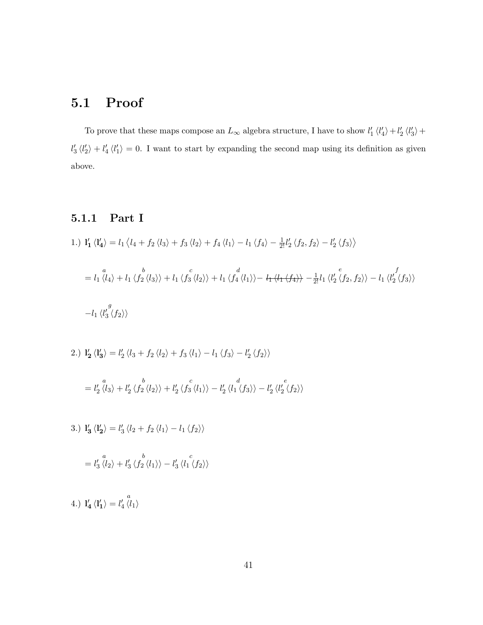## 5.1 Proof

To prove that these maps compose an  $L_{\infty}$  algebra structure, I have to show  $l'_1 \langle l'_4 \rangle + l'_2 \langle l'_3 \rangle + l'_3 \langle l'_4 \rangle$  $l'_3 \langle l'_2 \rangle + l'_4 \langle l'_1 \rangle = 0$ . I want to start by expanding the second map using its definition as given above.

## 5.1.1 Part I

- 1.)  $\mathbf{l}'_1 \langle \mathbf{l}'_4 \rangle = l_1 \langle l_4 + f_2 \langle l_3 \rangle + f_3 \langle l_2 \rangle + f_4 \langle l_1 \rangle l_1 \langle f_4 \rangle \frac{1}{2!} l'_2 \langle f_2, f_2 \rangle l'_2 \langle f_3 \rangle$ =  $\frac{a}{\langle l_1}\langle l_4\rangle +l_1 \langle f_2\langle l_3\rangle\rangle +l_1 \langle f_3\langle l_2\rangle\rangle +l_1 \langle f_4\langle l_1\rangle\rangle -\, l_1\langle l_1\langle f_4\rangle\rangle \frac{1}{2!}l_1\langle l'_2\langle f_2, f_2\rangle\rangle$ f  $l_1\left\langle l_2'\left\langle f_3\right\rangle\right\rangle$ − g  $l_1\left\langle l_3'\left\langle f_2\right\rangle\right\rangle$
- 2.)  $\mathbf{l}'_2 \langle \mathbf{l}'_3 \rangle = l'_2 \langle l_3 + f_2 \langle l_2 \rangle + f_3 \langle l_1 \rangle l_1 \langle f_3 \rangle l'_2 \langle f_2 \rangle \rangle$ = a  $l_2 \langle l_3 \rangle +$ b  $l_2'\langle f_2\langle l_2\rangle\rangle +$ c  $l_2'\langle f_3\langle l_1\rangle\rangle$ d  $l_2 \langle l_1 \langle f_3 \rangle \rangle$ e  $l_{2}^{\prime}\left\langle l_{2}^{\prime}\left\langle f_{2}\right\rangle \right\rangle$

3.)  $\mathbf{l}'_3 \langle \mathbf{l}'_2 \rangle = l'_3 \langle l_2 + f_2 \langle l_1 \rangle - l_1 \langle f_2 \rangle \rangle$ 

$$
= l'_3 \stackrel{a}{\langle l_2 \rangle} + l'_3 \stackrel{b}{\langle l_2 \langle l_1 \rangle} - l'_3 \stackrel{c}{\langle l_1 \langle l_2 \rangle} \rangle
$$

4.)  $I'_4 \langle I'_1 \rangle =$ a  $l_4'\langle l_1\rangle$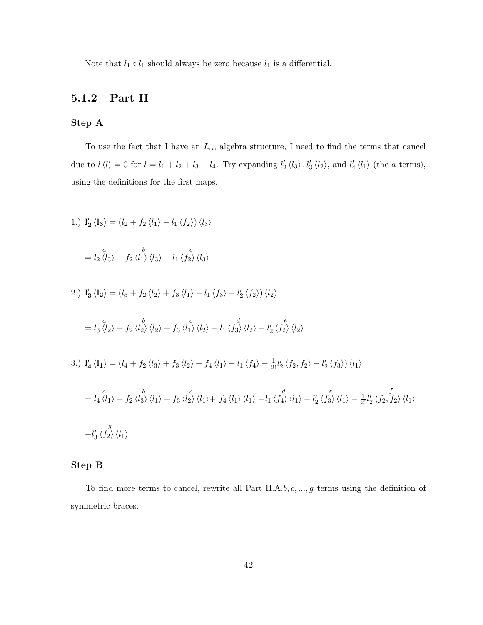Note that  $l_1 \circ l_1$  should always be zero because  $l_1$  is a differential.

## 5.1.2 Part II

#### Step A

To use the fact that I have an  $L_{\infty}$  algebra structure, I need to find the terms that cancel due to  $l \langle l \rangle = 0$  for  $l = l_1 + l_2 + l_3 + l_4$ . Try expanding  $l'_2 \langle l_3 \rangle$ ,  $l'_3 \langle l_2 \rangle$ , and  $l'_4 \langle l_1 \rangle$  (the a terms), using the definitions for the first maps.

1.)  $\mathbf{l'_2} \langle \mathbf{l_3} \rangle = (l_2 + f_2 \langle l_1 \rangle - l_1 \langle f_2 \rangle) \langle l_3 \rangle$ 

$$
= l_2 \langle l_3 \rangle + f_2 \langle l_1 \rangle \langle l_3 \rangle - l_1 \langle f_2 \rangle \langle l_3 \rangle
$$

2.) 
$$
\mathbf{l}'_3 \langle \mathbf{l}_2 \rangle = (l_3 + f_2 \langle l_2 \rangle + f_3 \langle l_1 \rangle - l_1 \langle f_3 \rangle - l'_2 \langle f_2 \rangle) \langle l_2 \rangle
$$

$$
= l_3 \langle l_2 \rangle + f_2 \langle l_2 \rangle \langle l_2 \rangle + f_3 \langle l_1 \rangle \langle l_2 \rangle - l_1 \langle f_3 \rangle \langle l_2 \rangle - l'_2 \langle f_2 \rangle \langle l_2 \rangle
$$

3.)  $\mathbf{l}'_4 \langle \mathbf{l}_1 \rangle = (l_4 + f_2 \langle l_3 \rangle + f_3 \langle l_2 \rangle + f_4 \langle l_1 \rangle - l_1 \langle f_4 \rangle - \frac{1}{2!} l'_2 \langle f_2, f_2 \rangle - l'_2 \langle f_3 \rangle) \langle l_1 \rangle$ 

$$
= l_4 \langle l_1 \rangle + f_2 \langle l_3 \rangle \langle l_1 \rangle + f_3 \langle l_2 \rangle \langle l_1 \rangle + f_4 \langle l_1 \rangle \langle l_1 \rangle - l_1 \langle f_4 \rangle \langle l_1 \rangle - l_2' \langle f_3 \rangle \langle l_1 \rangle - \frac{1}{2!} l_2' \langle f_2, f_2 \rangle \langle l_1 \rangle
$$
  

$$
-l_3' \langle f_2 \rangle \langle l_1 \rangle
$$

#### Step B

To find more terms to cancel, rewrite all Part II.A.b, c, ..., g terms using the definition of symmetric braces.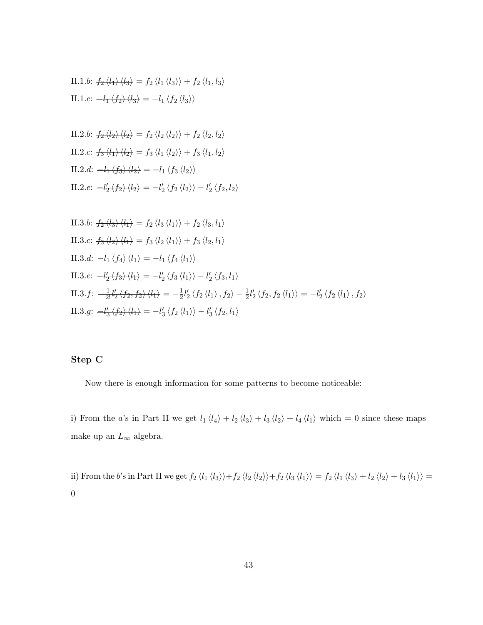II.1.b: 
$$
f_2 \langle l_1 \rangle \langle l_3 \rangle = f_2 \langle l_1 \langle l_3 \rangle \rangle + f_2 \langle l_1, l_3 \rangle
$$
  
II.1.c:  $-l_1 \langle f_2 \rangle \langle l_3 \rangle = -l_1 \langle f_2 \langle l_3 \rangle \rangle$ 

II.2.b: 
$$
f_2 \langle l_2 \rangle \langle l_2 \rangle = f_2 \langle l_2 \rangle \langle l_2 \rangle + f_2 \langle l_2, l_2 \rangle
$$
  
\nII.2.c:  $f_3 \langle l_1 \rangle \langle l_2 \rangle = f_3 \langle l_1 \langle l_2 \rangle \rangle + f_3 \langle l_1, l_2 \rangle$   
\nII.2.d:  $-l_1 \langle f_3 \rangle \langle l_2 \rangle = -l_1 \langle f_3 \langle l_2 \rangle \rangle$   
\nII.2.e:  $-l_2' \langle f_2 \rangle \langle l_2 \rangle = -l_2' \langle f_2 \langle l_2 \rangle \rangle - l_2' \langle f_2, l_2 \rangle$ 

II.3.b: 
$$
f_2 \langle l_3 \rangle \langle l_1 \rangle = f_2 \langle l_3 \langle l_1 \rangle \rangle + f_2 \langle l_3, l_1 \rangle
$$
  
\nII.3.c:  $f_3 \langle l_2 \rangle \langle l_1 \rangle = f_3 \langle l_2 \langle l_1 \rangle \rangle + f_3 \langle l_2, l_1 \rangle$   
\nII.3.d:  $-l_1 \langle f_4 \rangle \langle l_1 \rangle = -l_1 \langle f_4 \langle l_1 \rangle \rangle$   
\nII.3.e:  $-l_2' \langle f_3 \rangle \langle l_1 \rangle = -l_2' \langle f_3 \langle l_1 \rangle \rangle - l_2' \langle f_3, l_1 \rangle$   
\nII.3.f:  $-\frac{1}{2!}l_2' \langle f_2, f_2 \rangle \langle l_1 \rangle = -\frac{1}{2}l_2' \langle f_2 \langle l_1 \rangle, f_2 \rangle - \frac{1}{2}l_2' \langle f_2, f_2 \langle l_1 \rangle \rangle = -l_2' \langle f_2 \langle l_1 \rangle, f_2 \rangle$   
\nII.3.g:  $-l_3' \langle f_2 \rangle \langle l_1 \rangle = -l_3' \langle f_2 \langle l_1 \rangle \rangle - l_3' \langle f_2, l_1 \rangle$ 

#### Step C

Now there is enough information for some patterns to become noticeable:

i) From the a's in Part II we get  $l_1 \langle l_4 \rangle + l_2 \langle l_3 \rangle + l_3 \langle l_2 \rangle + l_4 \langle l_1 \rangle$  which = 0 since these maps make up an $L_\infty$  algebra.

ii) From the b's in Part II we get  $f_2 \langle l_1 \langle l_3 \rangle \rangle + f_2 \langle l_2 \langle l_2 \rangle \rangle + f_2 \langle l_3 \langle l_1 \rangle \rangle = f_2 \langle l_1 \langle l_3 \rangle + l_2 \langle l_2 \rangle + l_3 \langle l_1 \rangle \rangle =$  $\boldsymbol{0}$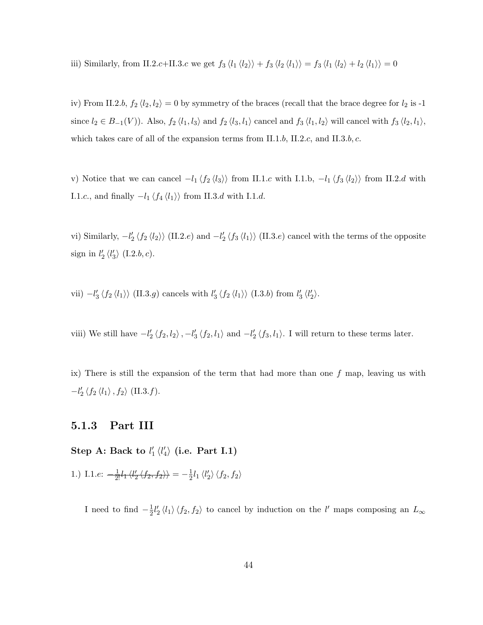iii) Similarly, from II.2.c+II.3.c we get  $f_3 \langle l_1 \langle l_2 \rangle \rangle + f_3 \langle l_2 \langle l_1 \rangle \rangle = f_3 \langle l_1 \langle l_2 \rangle + l_2 \langle l_1 \rangle \rangle = 0$ 

iv) From II.2.b,  $f_2 \langle l_2, l_2 \rangle = 0$  by symmetry of the braces (recall that the brace degree for  $l_2$  is -1 since  $l_2 \in B_{-1}(V)$ ). Also,  $f_2 \langle l_1, l_3 \rangle$  and  $f_2 \langle l_3, l_1 \rangle$  cancel and  $f_3 \langle l_1, l_2 \rangle$  will cancel with  $f_3 \langle l_2, l_1 \rangle$ , which takes care of all of the expansion terms from II.1.b, II.2.c, and II.3.b, c.

v) Notice that we can cancel  $-l_1 \langle f_2 \langle l_3 \rangle \rangle$  from II.1.c with I.1.b,  $-l_1 \langle f_3 \langle l_2 \rangle \rangle$  from II.2.d with I.1.c., and finally  $-l_1 \left\langle f_4 \left\langle l_1 \right\rangle \right\rangle$  from II.3.d with I.1.d.

vi) Similarly,  $-l'_2 \langle f_2 \langle l_2 \rangle \rangle$  (II.2.e) and  $-l'_2 \langle f_3 \langle l_1 \rangle \rangle$  (II.3.e) cancel with the terms of the opposite sign in  $l'_2 \langle l'_3 \rangle$  (I.2.b, c).

vii)  $-l'_3 \langle f_2 \langle l_1 \rangle \rangle$  (II.3.g) cancels with  $l'_3 \langle f_2 \langle l_1 \rangle \rangle$  (I.3.b) from  $l'_3 \langle l'_2 \rangle$ .

viii) We still have  $-l'_2 \langle f_2, l_2 \rangle$ ,  $-l'_3 \langle f_2, l_1 \rangle$  and  $-l'_2 \langle f_3, l_1 \rangle$ . I will return to these terms later.

ix) There is still the expansion of the term that had more than one  $f$  map, leaving us with  $-l'_2 \langle f_2 \langle l_1 \rangle, f_2 \rangle$  (II.3.*f*).

### 5.1.3 Part III

Step A: Back to  $l'_1 \langle l'_4 \rangle$  (i.e. Part I.1)

1.) I.1.e:  $-\frac{1}{2!}l_1 \langle l'_2 \langle f_2, f_2 \rangle \rangle = -\frac{1}{2}$  $\frac{1}{2}l_1 \langle l'_2\rangle \langle f_2, f_2\rangle$ 

I need to find  $-\frac{1}{2}$  $\frac{1}{2}l_2'\langle l_1\rangle\langle f_2, f_2\rangle$  to cancel by induction on the l' maps composing an  $L_{\infty}$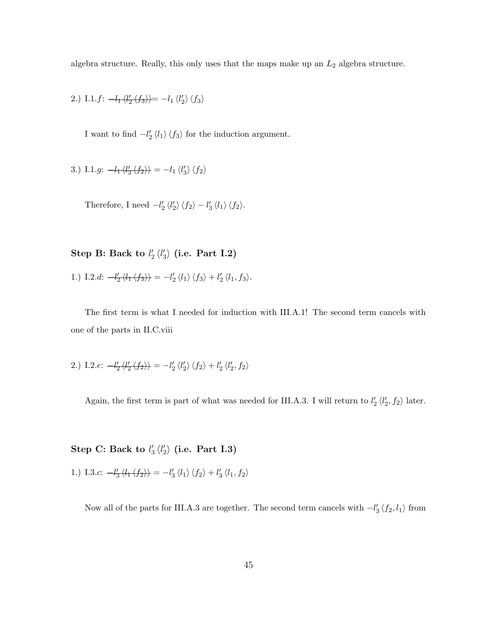algebra structure. Really, this only uses that the maps make up an  $L_2$  algebra structure.

2.) I.1.f: 
$$
-l_1 \langle l'_2 \langle f_3 \rangle \rangle = -l_1 \langle l'_2 \rangle \langle f_3 \rangle
$$

I want to find  $-l'_2 \langle l_1 \rangle \langle f_3 \rangle$  for the induction argument.

3.) I.1.g:  $-l_1 \langle l_3 \langle f_2 \rangle \rangle = -l_1 \langle l_3 \rangle \langle f_2 \rangle$ 

Therefore, I need  $-l'_2 \langle l'_2 \rangle \langle f_2 \rangle - l'_3 \langle l_1 \rangle \langle f_2 \rangle$ .

Step B: Back to  $l'_2 \langle l'_3 \rangle$  (i.e. Part I.2)

1.) I.2.d: 
$$
-l'_2 \langle l_1 \langle f_3 \rangle \rangle = -l'_2 \langle l_1 \rangle \langle f_3 \rangle + l'_2 \langle l_1, f_3 \rangle.
$$

The first term is what I needed for induction with III.A.1! The second term cancels with one of the parts in II.C.viii

2.) I.2.e: 
$$
-l'_2 \langle l'_2 \langle f_2 \rangle \rangle = -l'_2 \langle l'_2 \rangle \langle f_2 \rangle + l'_2 \langle l'_2, f_2 \rangle
$$

Again, the first term is part of what was needed for III.A.3. I will return to  $l'_2 \langle l'_2, f_2 \rangle$  later.

Step C: Back to  $l_3' \langle l_2' \rangle$  (i.e. Part I.3)

1.) I.3.c: 
$$
-l'_3 \langle l_1 \langle f_2 \rangle \rangle = -l'_3 \langle l_1 \rangle \langle f_2 \rangle + l'_3 \langle l_1, f_2 \rangle
$$

Now all of the parts for III.A.3 are together. The second term cancels with  $-l'_3 \langle f_2, l_1 \rangle$  from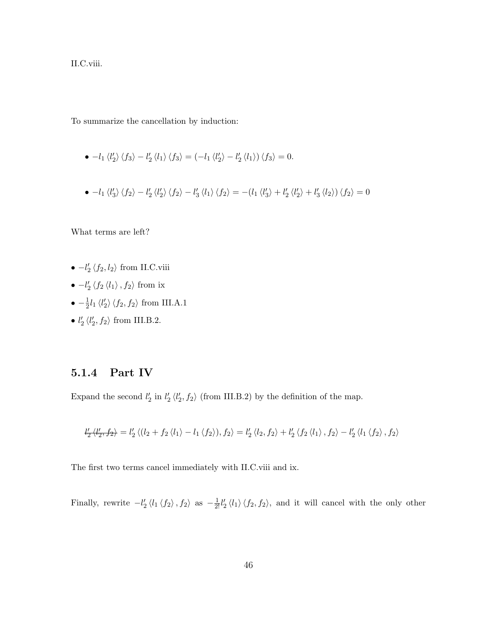II.C.viii.

To summarize the cancellation by induction:

- $-l_1 \langle l'_2 \rangle \langle f_3 \rangle l'_2 \langle l_1 \rangle \langle f_3 \rangle = (-l_1 \langle l'_2 \rangle l'_2 \langle l_1 \rangle) \langle f_3 \rangle = 0.$
- $-l_1 \langle l'_3 \rangle \langle f_2 \rangle l'_2 \langle l'_2 \rangle \langle f_2 \rangle l'_3 \langle l_1 \rangle \langle f_2 \rangle = -(l_1 \langle l'_3 \rangle + l'_2 \langle l'_2 \rangle + l'_3 \langle l_2 \rangle) \langle f_2 \rangle = 0$

What terms are left?

- $-l'_2 \langle f_2, l_2 \rangle$  from II.C.viii
- $-l'_2 \langle f_2 \langle l_1 \rangle, f_2 \rangle$  from ix
- $-\frac{1}{2}l_1 \langle l'_2 \rangle \langle f_2, f_2 \rangle$  from III.A.1
- $l'_2 \langle l'_2, f_2 \rangle$  from III.B.2.

## 5.1.4 Part IV

Expand the second  $l'_2$  in  $l'_2 \langle l'_2, f_2 \rangle$  (from III.B.2) by the definition of the map.

$$
l'_2 \langle l'_2, f_2 \rangle = l'_2 \langle (l_2 + f_2 \langle l_1 \rangle - l_1 \langle f_2 \rangle), f_2 \rangle = l'_2 \langle l_2, f_2 \rangle + l'_2 \langle f_2 \langle l_1 \rangle, f_2 \rangle - l'_2 \langle l_1 \langle f_2 \rangle, f_2 \rangle
$$

The first two terms cancel immediately with II.C.viii and ix.

Finally, rewrite  $-l'_2 \langle l_1 \langle f_2 \rangle, f_2 \rangle$  as  $-\frac{1}{2!}l'_2 \langle l_1 \rangle \langle f_2, f_2 \rangle$ , and it will cancel with the only other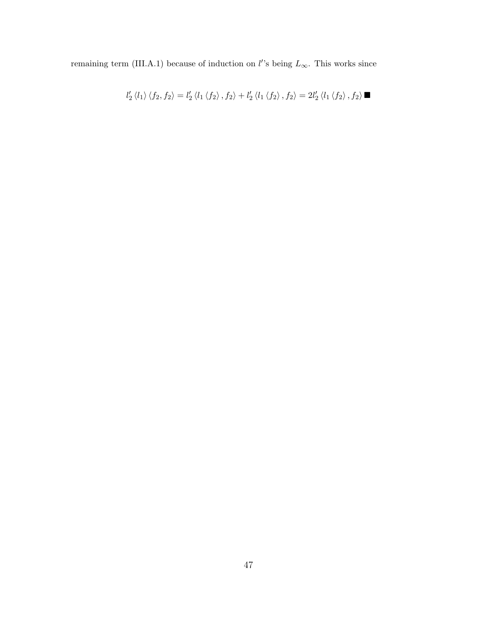remaining term (III.A.1) because of induction on l''s being  $L_{\infty}$ . This works since

$$
l_{2}^{\prime}\left\langle l_{1}\right\rangle\left\langle f_{2},f_{2}\right\rangle=l_{2}^{\prime}\left\langle l_{1}\left\langle f_{2}\right\rangle,f_{2}\right\rangle+l_{2}^{\prime}\left\langle l_{1}\left\langle f_{2}\right\rangle,f_{2}\right\rangle=2l_{2}^{\prime}\left\langle l_{1}\left\langle f_{2}\right\rangle,f_{2}\right\rangle\blacksquare
$$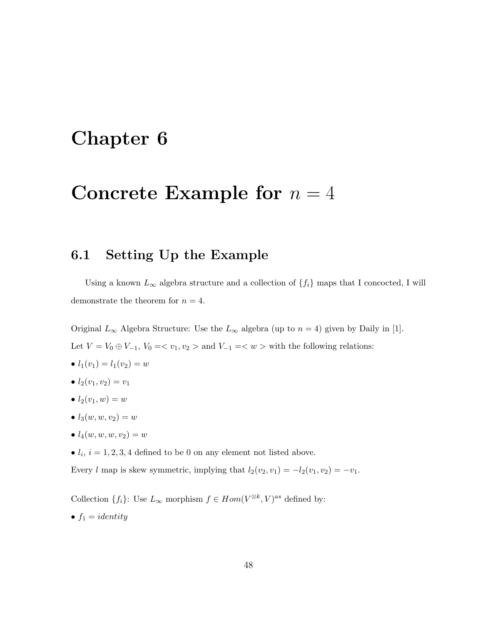# Chapter 6

## Concrete Example for  $n = 4$

## 6.1 Setting Up the Example

Using a known  $L_{\infty}$  algebra structure and a collection of  $\{f_i\}$  maps that I concocted, I will demonstrate the theorem for  $n = 4$ .

Original  $L_{\infty}$  Algebra Structure: Use the  $L_{\infty}$  algebra (up to  $n = 4$ ) given by Daily in [1]. Let  $V = V_0 \oplus V_{-1}$ ,  $V_0 = \langle v_1, v_2 \rangle$  and  $V_{-1} = \langle w \rangle$  with the following relations:

- $l_1(v_1) = l_1(v_2) = w$
- $l_2(v_1, v_2) = v_1$
- $l_2(v_1, w) = w$
- $l_3(w, w, v_2) = w$
- $l_4(w, w, w, v_2) = w$
- $l_i$ ,  $i = 1, 2, 3, 4$  defined to be 0 on any element not listed above.

Every l map is skew symmetric, implying that  $l_2(v_2, v_1) = -l_2(v_1, v_2) = -v_1$ .

Collection  $\{f_i\}$ : Use  $L_\infty$  morphism  $f \in Hom(V^{\otimes k}, V)^{as}$  defined by:

•  $f_1 = identity$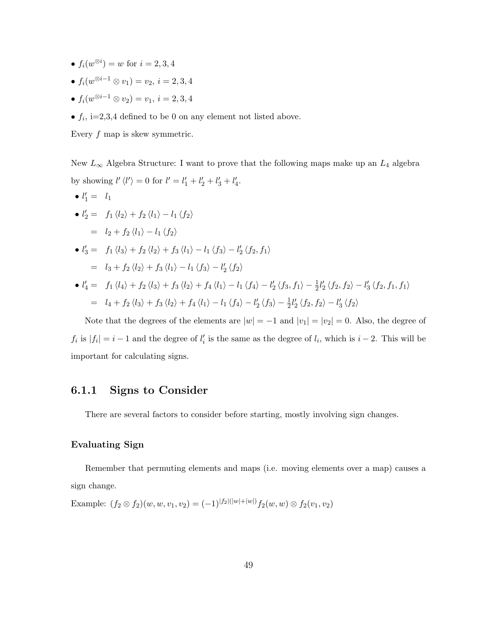- $f_i(w^{\otimes i}) = w$  for  $i = 2, 3, 4$
- $\bullet$   $f_i(w^{\otimes i-1} \otimes v_1) = v_2, \, i = 2,3,4$
- $\bullet$   $f_i(w^{\otimes i-1} \otimes v_2) = v_1, \, i = 2,3,4$
- $f_i$ , i=2,3,4 defined to be 0 on any element not listed above.

Every  $f$  map is skew symmetric.

New  $L_{\infty}$  Algebra Structure: I want to prove that the following maps make up an  $L_4$  algebra by showing  $l' \langle l' \rangle = 0$  for  $l' = l'_1 + l'_2 + l'_3 + l'_4$ .

\n- \n
$$
l_1' = l_1
$$
\n
\n- \n
$$
l_2' = f_1 \langle l_2 \rangle + f_2 \langle l_1 \rangle - l_1 \langle f_2 \rangle
$$
\n
\n- \n
$$
l_3' = f_1 \langle l_3 \rangle + f_2 \langle l_2 \rangle + f_3 \langle l_1 \rangle - l_1 \langle f_3 \rangle - l_2' \langle f_2, f_1 \rangle
$$
\n
\n- \n
$$
l_3' = f_1 \langle l_3 \rangle + f_2 \langle l_2 \rangle + f_3 \langle l_1 \rangle - l_1 \langle f_3 \rangle - l_2' \langle f_2, f_1 \rangle
$$
\n
\n- \n
$$
l_4' = f_1 \langle l_4 \rangle + f_2 \langle l_3 \rangle + f_3 \langle l_2 \rangle + f_4 \langle l_1 \rangle - l_1 \langle f_4 \rangle - l_2' \langle f_3, f_1 \rangle - \frac{1}{2} l_2' \langle f_2, f_2 \rangle - l_3' \langle f_2, f_1, f_1 \rangle
$$
\n
\n

$$
= l_4 + f_2 \langle l_3 \rangle + f_3 \langle l_2 \rangle + f_4 \langle l_1 \rangle - l_1 \langle f_4 \rangle - l'_2 \langle f_3 \rangle - \frac{1}{2} l'_2 \langle f_2, f_2 \rangle - l'_3 \langle f_2 \rangle
$$

Note that the degrees of the elements are  $|w| = -1$  and  $|v_1| = |v_2| = 0$ . Also, the degree of  $f_i$  is  $|f_i| = i - 1$  and the degree of  $l'_i$  is the same as the degree of  $l_i$ , which is  $i - 2$ . This will be important for calculating signs.

### 6.1.1 Signs to Consider

There are several factors to consider before starting, mostly involving sign changes.

#### Evaluating Sign

Remember that permuting elements and maps (i.e. moving elements over a map) causes a sign change.

Example: 
$$
(f_2 \otimes f_2)(w, w, v_1, v_2) = (-1)^{|f_2|(|w|+|w|)} f_2(w, w) \otimes f_2(v_1, v_2)
$$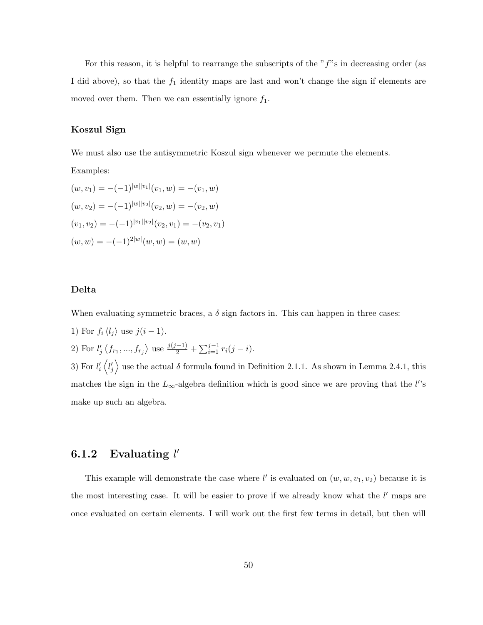For this reason, it is helpful to rearrange the subscripts of the  $ff$ 's in decreasing order (as I did above), so that the  $f_1$  identity maps are last and won't change the sign if elements are moved over them. Then we can essentially ignore  $f_1$ .

#### Koszul Sign

We must also use the antisymmetric Koszul sign whenever we permute the elements.

Examples:

$$
(w, v_1) = -(-1)^{|w||v_1|}(v_1, w) = -(v_1, w)
$$
  
\n
$$
(w, v_2) = -(-1)^{|w||v_2|}(v_2, w) = -(v_2, w)
$$
  
\n
$$
(v_1, v_2) = -(-1)^{|v_1||v_2|}(v_2, v_1) = -(v_2, v_1)
$$
  
\n
$$
(w, w) = -(-1)^{2|w|}(w, w) = (w, w)
$$

#### Delta

When evaluating symmetric braces, a  $\delta$  sign factors in. This can happen in three cases:

- 1) For  $f_i \langle l_j \rangle$  use  $j(i 1)$ .
- 2) For  $l'_j \langle f_{r_1},..., f_{r_j} \rangle$  use  $\frac{j(j-1)}{2} + \sum_{i=1}^{j-1} r_i(j-i)$ .

3) For  $l_i' \langle l_j' \rangle$  use the actual  $\delta$  formula found in Definition 2.1.1. As shown in Lemma 2.4.1, this matches the sign in the  $L_{\infty}$ -algebra definition which is good since we are proving that the l''s make up such an algebra.

## 6.1.2 Evaluating  $l'$

This example will demonstrate the case where  $l'$  is evaluated on  $(w, w, v_1, v_2)$  because it is the most interesting case. It will be easier to prove if we already know what the  $l'$  maps are once evaluated on certain elements. I will work out the first few terms in detail, but then will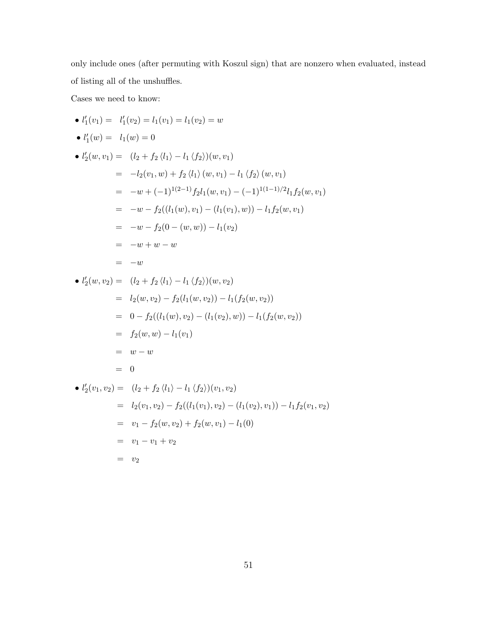only include ones (after permuting with Koszul sign) that are nonzero when evaluated, instead of listing all of the unshuffles.

Cases we need to know:

• 
$$
l'_1(v_1) = l'_1(v_2) = l_1(v_1) = l_1(v_2) = w
$$
  
\n•  $l'_1(w) = l_1(w) = 0$   
\n•  $l'_2(w, v_1) = (l_2 + f_2 \langle l_1 \rangle - l_1 \langle f_2 \rangle)(w, v_1)$   
\n $= -l_2(v_1, w) + f_2 \langle l_1 \rangle (w, v_1) - l_1 \langle f_2 \rangle (w, v_1)$   
\n $= -w + (-1)^{1(2-1)} f_2 l_1(w, v_1) - (-1)^{1(1-1)/2} l_1 f_2(w, v_1)$   
\n $= -w - f_2((l_1(w), v_1) - (l_1(v_1), w)) - l_1 f_2(w, v_1)$   
\n $= -w - f_2(0 - (w, w)) - l_1(v_2)$   
\n $= -w + w - w$   
\n $= -w$   
\n•  $l'_2(w, v_2) = (l_2 + f_2 \langle l_1 \rangle - l_1 \langle f_2 \rangle)(w, v_2)$   
\n $= l_2(w, v_2) - f_2(l_1(w, v_2)) - l_1(f_2(w, v_2))$   
\n $= 0 - f_2((l_1(w), v_2) - (l_1(v_2), w)) - l_1(f_2(w, v_2))$   
\n $= f_2(w, w) - l_1(v_1)$   
\n $= w - w$   
\n $= 0$   
\n•  $l'_2(v_1, v_2) = (l_2 + f_2 \langle l_1 \rangle - l_1 \langle f_2 \rangle)(v_1, v_2)$   
\n $= l_2(v_1, v_2) - f_2((l_1(v_1), v_2) - (l_1(v_2), v_1)) - l_1 f_2(v_1, v_2)$   
\n $= v_1 - f_2(w, v_2) + f_2(w, v_1) - l_1(0)$   
\n $= v_1 - v_1 + v_2$   
\n $= v_2$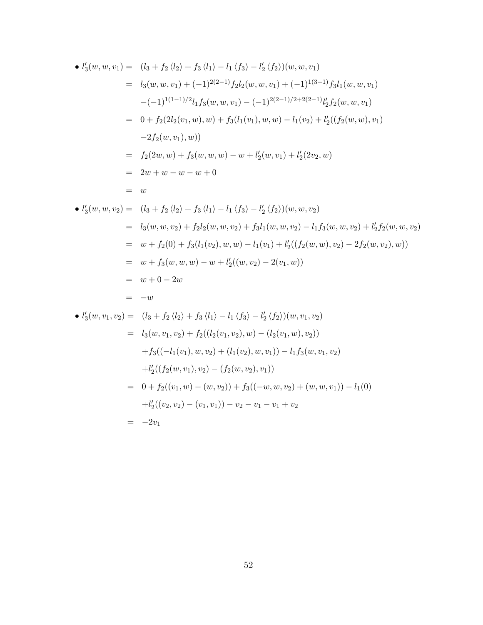• 
$$
l'_3(w, w, v_1) = (l_3 + f_2 \langle l_2 \rangle + f_3 \langle l_1 \rangle - l_1 \langle f_3 \rangle - l'_2 \langle f_2 \rangle)(w, w, v_1)
$$
  
\n
$$
= l_3(w, w, v_1) + (-1)^{2(2-1)} f_2 l_2(w, w, v_1) + (-1)^{1(3-1)} f_3 l_1(w, w, v_1)
$$
\n
$$
-(-1)^{1(1-1)/2} l_1 f_3(w, w, v_1) - (-1)^{2(2-1)/2 + 2(2-1)} l'_2 f_2(w, w, v_1)
$$
\n
$$
= 0 + f_2(2l_2(v_1, w), w) + f_3(l_1(v_1), w, w) - l_1(v_2) + l'_2((f_2(w, w), v_1)
$$
\n
$$
-2f_2(w, v_1), w)
$$
\n
$$
= f_2(2w, w) + f_3(w, w, w) - w + l'_2(w, v_1) + l'_2(2v_2, w)
$$
\n
$$
= 2w + w - w - w + 0
$$
\n
$$
= w
$$

• 
$$
l'_3(w, w, v_2) = (l_3 + f_2 \langle l_2 \rangle + f_3 \langle l_1 \rangle - l_1 \langle f_3 \rangle - l'_2 \langle f_2 \rangle)(w, w, v_2)
$$
  
\n
$$
= l_3(w, w, v_2) + f_2l_2(w, w, v_2) + f_3l_1(w, w, v_2) - l_1f_3(w, w, v_2) + l'_2f_2(w, w, v_2)
$$
\n
$$
= w + f_2(0) + f_3(l_1(v_2), w, w) - l_1(v_1) + l'_2((f_2(w, w), v_2) - 2f_2(w, v_2), w))
$$
\n
$$
= w + f_3(w, w, w) - w + l'_2((w, v_2) - 2(v_1, w))
$$
\n
$$
= w + 0 - 2w
$$
\n
$$
= -w
$$

• 
$$
l'_3(w, v_1, v_2) = (l_3 + f_2 \langle l_2 \rangle + f_3 \langle l_1 \rangle - l_1 \langle f_3 \rangle - l'_2 \langle f_2 \rangle)(w, v_1, v_2)
$$
  
\n
$$
= l_3(w, v_1, v_2) + f_2((l_2(v_1, v_2), w) - (l_2(v_1, w), v_2))
$$
\n
$$
+ f_3((-l_1(v_1), w, v_2) + (l_1(v_2), w, v_1)) - l_1 f_3(w, v_1, v_2)
$$
\n
$$
+ l'_2((f_2(w, v_1), v_2) - (f_2(w, v_2), v_1))
$$
\n
$$
= 0 + f_2((v_1, w) - (w, v_2)) + f_3((-w, w, v_2) + (w, w, v_1)) - l_1(0)
$$
\n
$$
+ l'_2((v_2, v_2) - (v_1, v_1)) - v_2 - v_1 - v_1 + v_2
$$
\n
$$
= -2v_1
$$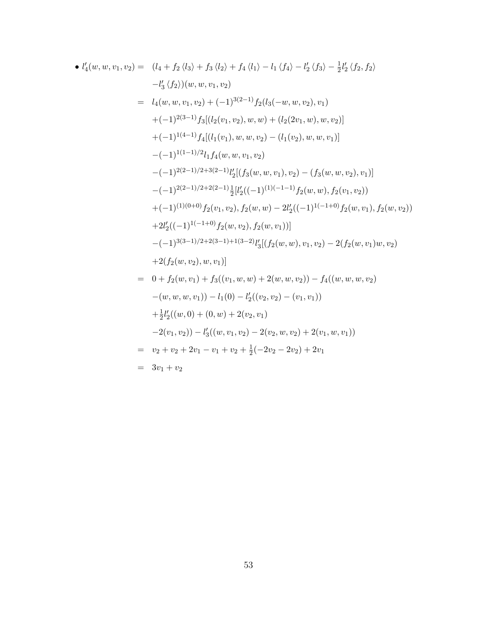• 
$$
l'_4(w, w, v_1, v_2) = (l_4 + f_2 \langle l_3 \rangle + f_3 \langle l_2 \rangle + f_4 \langle l_1 \rangle - l_1 \langle f_4 \rangle - l'_2 \langle f_3 \rangle - \frac{1}{2}l'_2 \langle f_2, f_2 \rangle
$$
  
\n $-l'_3 \langle f_2 \rangle)(w, w, v_1, v_2)$   
\n $= l_4(w, w, v_1, v_2) + (-1)^{3(2-1)}f_2(l_3(-w, w, v_2), v_1)$   
\n $+ (-1)^{2(3-1)}f_3[(l_2(v_1, v_2), w, w) + (l_2(2v_1, w), w, v_2)]$   
\n $+ (-1)^{1(4-1)}f_4[(l_1(v_1), w, w, v_2) - (l_1(v_2), w, w, v_1)]$   
\n $- (-1)^{1(1-1)/2}l_1f_4(w, w, v_1, v_2)$   
\n $- (-1)^{2(2-1)/2+3(2-1)}l'_2[(f_3(w, w, v_1), v_2) - (f_3(w, w, v_2), v_1)]$   
\n $- (-1)^{2(2-1)/2+2(2-1)}\frac{1}{2}[l'_2((-1)^{(1)(-1-1)}f_2(w, w), f_2(v_1, v_2))$   
\n $+ (-1)^{(1)(0+0)}f_2(v_1, v_2), f_2(w, w) - 2l'_2((-1)^{1(-1+0)}f_2(w, v_1), f_2(w, v_2))$   
\n $+ 2l'_2((-1)^{1(-1+0)}f_2(w, v_2), f_2(w, v_1))]$   
\n $- (-1)^{3(3-1)/2+2(3-1)+1(3-2)}l'_3[(f_2(w, w), v_1, v_2) - 2(f_2(w, v_1)w, v_2)$   
\n $+ 2(f_2(w, v_2), w, v_1)]$   
\n $= 0 + f_2(w, v_1) + f_3((v_1, w, w) + 2(w, w, v_2)) - f_4((w, w, w, w_2))$   
\n $- (w, w, w, v_1)) - l_1(0) - l'_2((v$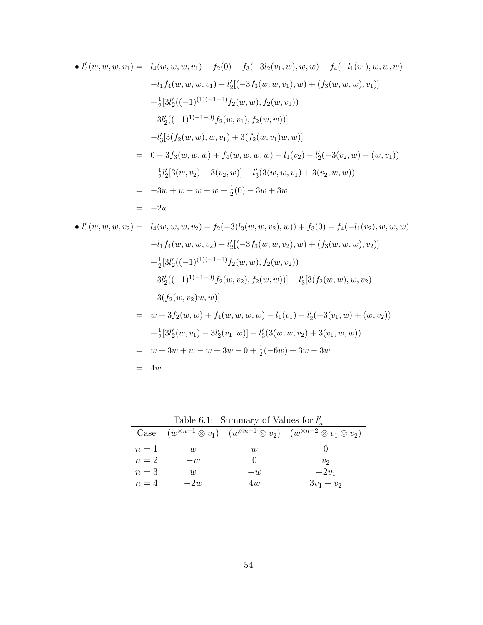• 
$$
l'_4(w, w, w, v_1) = l_4(w, w, w, v_1) - f_2(0) + f_3(-3l_2(v_1, w), w, w) - f_4(-l_1(v_1), w, w, w)
$$
  
\n $-l_1f_4(w, w, w, v_1) - l'_2[(-3f_3(w, w, v_1), w) + (f_3(w, w, w), v_1)]$   
\n $+ \frac{1}{2}[3l'_2((-1)^{(1)(-1-1)}f_2(w, w), f_2(w, v_1))$   
\n $+ 3l'_2((-1)^{1(-1+0)}f_2(w, v_1), f_2(w, v_1))$   
\n $-l'_3[3(f_2(w, w), w, v_1) + 3(f_2(w, v_1)w, w)]$   
\n $= 0 - 3f_3(w, w, w) + f_4(w, w, w, w) - l_1(v_2) - l'_2(-3(v_2, w) + (w, v_1))$   
\n $+ \frac{1}{2}l'_2[3(w, v_2) - 3(v_2, w)] - l'_3(3(w, w, v_1) + 3(v_2, w, w))$   
\n $= -3w + w - w + w + \frac{1}{2}(0) - 3w + 3w$   
\n $= -2w$   
\n•  $l'_4(w, w, w, v_2) = l_4(w, w, w, v_2) - f_2(-3(l_3(w, w, v_2), w)) + f_3(0) - f_4(-l_1(v_2), w, w, w)$   
\n $-l_1f_4(w, w, w, v_2) - l'_2[(-3f_3(w, w, v_2), w) + (f_3(w, w, w), v_2)]$   
\n $+ \frac{1}{2}[3l'_2((-1)^{(1)(-1-1)}f_2(w, w), f_2(w, v_2))$   
\n $+ 3l'_2((-1)^{(1)(-1-1)}f_2(w, w), f_2(w, v_2))$   
\n $+ 3l'_2((-1)^{(1)(-1-1)}f_2(w, w, w) - l_1(v_1) - l'_2(-3(v_1, w), w, v_2)$   
\n $+ 3f_2(w, v_2)w, w)]$   
\n $= w + 3f_$ 

Table 6.1: Summary of Values for  $l'_n$ 

| rable $0.1$ . Dammar, or ranged for $v_n$ |                |      |                                                                                                             |  |
|-------------------------------------------|----------------|------|-------------------------------------------------------------------------------------------------------------|--|
| Case                                      |                |      | $(w^{\otimes n-1} \otimes v_1)$ $(w^{\otimes n-1} \otimes v_2)$ $(w^{\otimes n-2} \otimes v_1 \otimes v_2)$ |  |
| $n=1$                                     | $\overline{w}$ | W    |                                                                                                             |  |
| $n=2$                                     | $-u$           |      | $v_2$                                                                                                       |  |
| $n=3$                                     | W              | $-w$ | $-2v_1$                                                                                                     |  |
| $n=4$                                     | $-2w$          | 4w   | $3v_1 + v_2$                                                                                                |  |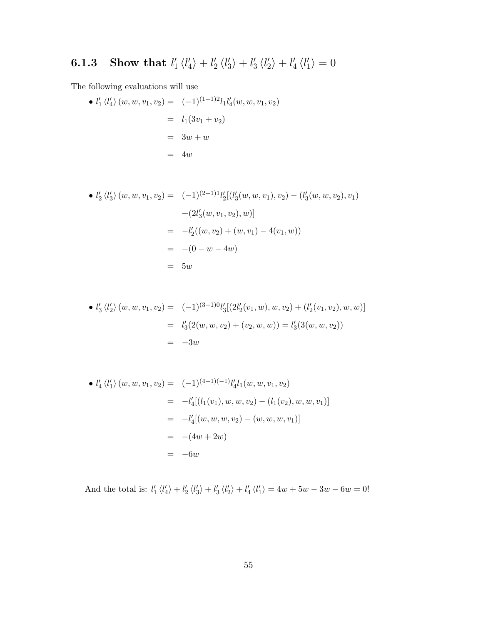#### 6.1.3 Show that  $l'_1$  $\frac{1}{1}$   $\langle l_4'$  $\binom{l}{4} + l'_{2}$  $\frac{1}{2}$   $\langle l_3^{\prime}$  $\binom{l}{3} + l'_3$  $\frac{1}{3}\langle l'_2$  $|l'_4\rangle + l'_4$  $'_{4}$   $\langle l'_{1}$  $\langle \rangle_1 = 0$

The following evaluations will use

• 
$$
l'_1 \langle l'_4 \rangle (w, w, v_1, v_2) = (-1)^{(1-1)2} l_1 l'_4(w, w, v_1, v_2)
$$
  
\n
$$
= l_1(3v_1 + v_2)
$$
\n
$$
= 3w + w
$$
\n
$$
= 4w
$$

• 
$$
l'_2 \langle l'_3 \rangle (w, w, v_1, v_2) = (-1)^{(2-1)1} l'_2 [(l'_3(w, w, v_1), v_2) - (l'_3(w, w, v_2), v_1)
$$
  
  $+ (2l'_3(w, v_1, v_2), w)]$   
\n $= -l'_2((w, v_2) + (w, v_1) - 4(v_1, w))$   
\n $= -(0 - w - 4w)$   
\n $= 5w$ 

• 
$$
l'_3 \langle l'_2 \rangle (w, w, v_1, v_2) = (-1)^{(3-1)0} l'_3 [(2l'_2(v_1, w), w, v_2) + (l'_2(v_1, v_2), w, w)]
$$
  
\n
$$
= l'_3 (2(w, w, v_2) + (v_2, w, w)) = l'_3 (3(w, w, v_2))
$$
  
\n
$$
= -3w
$$

• 
$$
l'_4 \langle l'_1 \rangle (w, w, v_1, v_2) = (-1)^{(4-1)(-1)} l'_4 l_1(w, w, v_1, v_2)
$$
  
\n
$$
= -l'_4 [(l_1(v_1), w, w, v_2) - (l_1(v_2), w, w, v_1)]
$$
\n
$$
= -l'_4 [(w, w, w, v_2) - (w, w, w, v_1)]
$$
\n
$$
= -(4w + 2w)
$$
\n
$$
= -6w
$$

And the total is:  $l'_1 \langle l'_4 \rangle + l'_2 \langle l'_3 \rangle + l'_3 \langle l'_2 \rangle + l'_4 \langle l'_1 \rangle = 4w + 5w - 3w - 6w = 0!$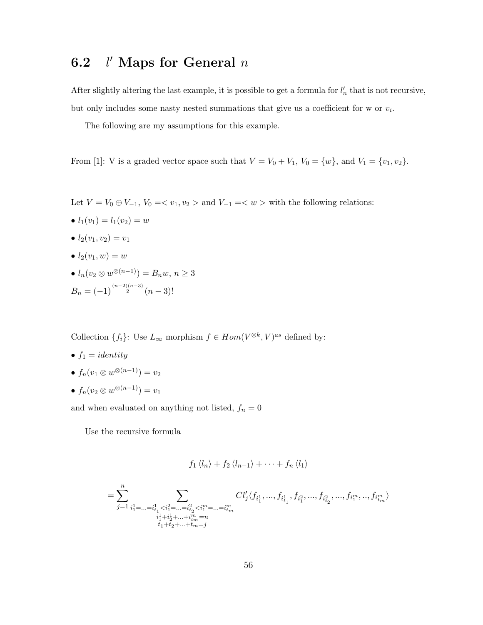#### 6.2 l  $l'$  Maps for General  $n$

After slightly altering the last example, it is possible to get a formula for  $l'_n$  that is not recursive, but only includes some nasty nested summations that give us a coefficient for w or  $v_i$ .

The following are my assumptions for this example.

From [1]: V is a graded vector space such that  $V = V_0 + V_1$ ,  $V_0 = \{w\}$ , and  $V_1 = \{v_1, v_2\}$ .

- Let  $V = V_0 \oplus V_{-1}$ ,  $V_0 = \langle v_1, v_2 \rangle$  and  $V_{-1} = \langle w \rangle$  with the following relations:
- $l_1(v_1) = l_1(v_2) = w$
- $l_2(v_1, v_2) = v_1$
- $l_2(v_1, w) = w$
- $l_n(v_2 \otimes w^{\otimes (n-1)}) = B_n w, n \ge 3$  $B_n = (-1)^{\frac{(n-2)(n-3)}{2}}(n-3)!$

Collection  $\{f_i\}$ : Use  $L_\infty$  morphism  $f \in Hom(V^{\otimes k}, V)^{as}$  defined by:

- $f_1 = identity$
- $\bullet$   $f_n(v_1 \otimes w^{\otimes (n-1)}) = v_2$
- $\bullet$   $f_n(v_2 \otimes w^{\otimes (n-1)}) = v_1$

and when evaluated on anything not listed,  $f_{n} = 0$ 

Use the recursive formula

$$
f_1 \langle l_n \rangle + f_2 \langle l_{n-1} \rangle + \cdots + f_n \langle l_1 \rangle
$$

$$
=\sum_{j=1}^n\sum_{\substack{i_1^1=\ldots=i_{t_1}^1
$$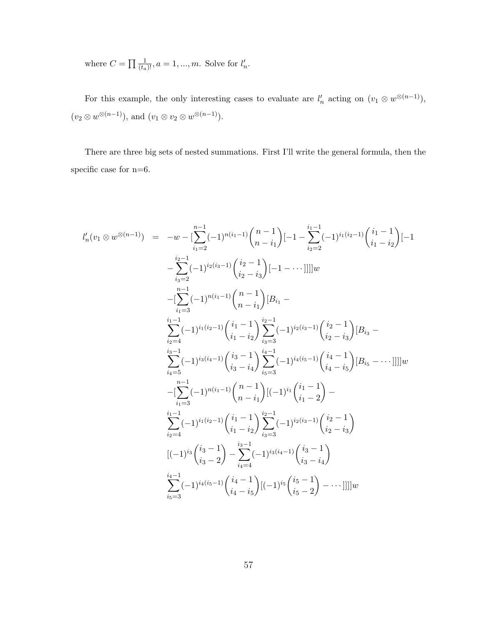where  $C = \prod_{(t_a)} \frac{1}{(t_a)!}$ ,  $a = 1, ..., m$ . Solve for  $l'_n$ .

For this example, the only interesting cases to evaluate are  $l'_n$  acting on  $(v_1 \otimes w^{\otimes (n-1)})$ ,  $(v_2 \otimes w^{\otimes (n-1)}), \text{ and } (v_1 \otimes v_2 \otimes w^{\otimes (n-1)}).$ 

There are three big sets of nested summations. First I'll write the general formula, then the specific case for n=6.

$$
l'_{n}(v_{1} \otimes w^{\otimes (n-1)}) = -w - \left[\sum_{i_{1}=2}^{n-1}(-1)^{n(i_{1}-1)}\binom{n-1}{n-i_{1}}\right[-1-\sum_{i_{2}=2}^{i_{1}-1}(-1)^{i_{1}(i_{2}-1)}\binom{i_{1}-1}{i_{1}-i_{2}}\left[-1-\sum_{i_{3}=2}^{i_{2}-1}(-1)^{i_{2}(i_{3}-1)}\binom{i_{2}-1}{i_{2}-i_{3}}\left[-1-\cdots\right]\right]w
$$
  
\n
$$
-\left[\sum_{i_{1}=3}^{n-1}(-1)^{n(i_{1}-1)}\binom{n-1}{n-i_{1}}[B_{i_{1}}-\sum_{i_{2}=4}^{i_{1}-1}(-1)^{i_{1}(i_{2}-1)}\binom{i_{1}-1}{i_{1}-i_{2}}\sum_{i_{3}=3}^{i_{2}-1}(-1)^{i_{2}(i_{3}-1)}\binom{i_{2}-1}{i_{2}-i_{3}}[B_{i_{3}}-\sum_{i_{4}=5}^{i_{3}-1}(-1)^{i_{3}(i_{4}-1)}\binom{i_{3}-1}{i_{3}-i_{4}}\sum_{i_{5}=3}^{i_{4}-1}(-1)^{i_{4}(i_{5}-1)}\binom{i_{4}-1}{i_{4}-i_{5}}[B_{i_{5}}-\cdots]]]w
$$
  
\n
$$
-\left[\sum_{i_{1}=3}^{n-1}(-1)^{n(i_{1}-1)}\binom{n-1}{n-i_{1}}[(-1)^{i_{1}}\binom{i_{1}-1}{i_{1}-2}-1\right]
$$
  
\n
$$
\sum_{i_{2}=4}^{i_{1}-1}(-1)^{i_{1}(i_{2}-1)}\binom{i_{1}-1}{i_{1}-i_{2}}\sum_{i_{3}=3}^{i_{2}-1}(-1)^{i_{2}(i_{3}-1)}\binom{i_{2}-1}{i_{2}-i_{3}}
$$
  
\n
$$
[(-1)^{i_{3}}\binom{i_{3}-1}{i_{3}-2}-\sum_{i_{4}=4}^{i_{3}-1}(-1)^{i_{3}(i_{4}-1)}\binom{i_{3}-1}{i_{3}-i_{4}}-\cdots]]]w
$$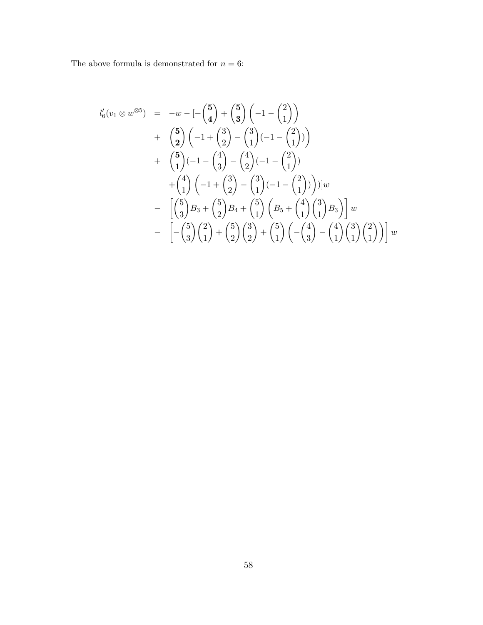The above formula is demonstrated for  $n = 6$ :

$$
l'_{6}(v_{1} \otimes w^{\otimes 5}) = -w - \left[ -\binom{5}{4} + \binom{5}{3} \left( -1 - \binom{2}{1} \right) \right] + \left( \frac{5}{2} \right) \left( -1 + \binom{3}{2} - \binom{3}{1} \left( -1 - \binom{2}{1} \right) \right) + \left( \frac{5}{1} \right) \left( -1 - \binom{4}{3} - \binom{4}{2} \left( -1 - \binom{2}{1} \right) \right) + \left( \frac{4}{1} \right) \left( -1 + \binom{3}{2} - \binom{3}{1} \left( -1 - \binom{2}{1} \right) \right) \Big] w - \left[ \binom{5}{3} B_{3} + \binom{5}{2} B_{4} + \binom{5}{1} \left( B_{5} + \binom{4}{1} \binom{3}{1} B_{3} \right) \right] w - \left[ -\binom{5}{3} \binom{2}{1} + \binom{5}{2} \binom{3}{2} + \binom{5}{1} \left( -\binom{4}{3} - \binom{4}{1} \binom{3}{1} \binom{2}{1} \right) \right] w
$$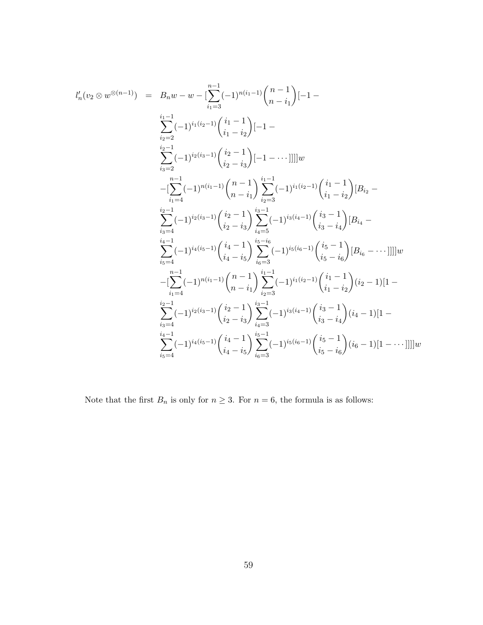$$
l'_{n}(v_{2} \otimes w^{\otimes (n-1)}) = B_{n}w - w - \left[\sum_{i_{1}=3}^{n-1}(-1)^{n(i_{1}-1)}\binom{n-1}{n-i_{1}}\right[-1 - \sum_{i_{2}=2}^{i_{1}-1}(-1)^{i_{1}(i_{2}-1)}\binom{i_{1}-1}{i_{1}-i_{2}}\left[-1 - \sum_{i_{3}=2}^{i_{2}-1}(-1)^{i_{2}(i_{3}-1)}\binom{i_{2}-1}{i_{2}-i_{3}}\left[-1 - \cdots\right]\right]]w
$$
  
\n
$$
- \left[\sum_{i_{1}=4}^{n-1}(-1)^{n(i_{1}-1)}\binom{n-1}{n-i_{1}}\sum_{i_{2}=3}^{i_{1}-1}(-1)^{i_{1}(i_{2}-1)}\binom{i_{1}-1}{i_{1}-i_{2}}\left[B_{i_{2}} - \sum_{i_{3}=4}^{i_{2}-1}(-1)^{i_{2}(i_{3}-1)}\binom{i_{2}-1}{i_{2}-i_{3}}\sum_{i_{4}=5}^{i_{3}-1}(-1)^{i_{3}(i_{4}-1)}\binom{i_{3}-1}{i_{3}-i_{4}}\left[B_{i_{4}} - \sum_{i_{5}=4}^{i_{4}-1}(-1)^{i_{4}(i_{5}-1)}\binom{i_{4}-1}{i_{4}-i_{5}}\sum_{i_{6}=3}^{i_{5}-i_{6}}(-1)^{i_{5}(i_{6}-1)}\binom{i_{5}-1}{i_{5}-i_{6}}\left[B_{i_{6}} - \cdots\right]\right]]w
$$
  
\n
$$
- \left[\sum_{i_{1}=4}^{n-1}(-1)^{n(i_{1}-1)}\binom{n-1}{n-i_{1}}\sum_{i_{2}=3}^{i_{1}-1}(-1)^{i_{1}(i_{2}-1)}\binom{i_{1}-1}{i_{1}-i_{2}}\binom{i_{2}-1}{i_{2}-1}\left[-1 - \sum_{i_{3}=4}^{i_{2}-1}(-1)^{i_{2}(i_{3}-1)}\binom{i_{2}-1}{i_{2}-i_{3}}\sum_{i_{4}=3}^{i_{3}-1}(-1)^{i_{3}(i_{4}-1)}\binom{i_{3}-1}{i_{3}-i_{4}}\binom{i_{4}-1}{i_{4}-i_{1}}\right]w
$$
  
\n
$$
-
$$

Note that the first  $B_n$  is only for  $n \geq 3$ . For  $n = 6$ , the formula is as follows: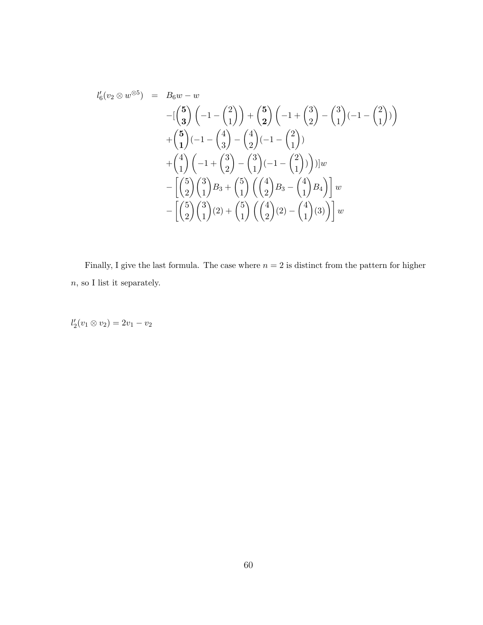$$
l'_{6}(v_{2} \otimes w^{\otimes 5}) = B_{6}w - w
$$
  
\n
$$
-[\binom{5}{3}(-1 - \binom{2}{1}) + \binom{5}{2}(-1 + \binom{3}{2}) - \binom{3}{1}(-1 - \binom{2}{1})
$$
  
\n
$$
+ \binom{5}{1}(-1 - \binom{4}{3} - \binom{4}{2}(-1 - \binom{2}{1})
$$
  
\n
$$
+ \binom{4}{1}(-1 + \binom{3}{2} - \binom{3}{1}(-1 - \binom{2}{1}))\big)w
$$
  
\n
$$
- \left[\binom{5}{2}\binom{3}{1}B_{3} + \binom{5}{1}\left(\binom{4}{2}B_{3} - \binom{4}{1}B_{4}\right)\right]w
$$
  
\n
$$
- \left[\binom{5}{2}\binom{3}{1}(2) + \binom{5}{1}\left(\binom{4}{2}(2) - \binom{4}{1}(3)\right)\right]w
$$

Finally, I give the last formula. The case where  $n = 2$  is distinct from the pattern for higher  $\boldsymbol{n},$  so I list it separately.

 $l'_2(v_1 \otimes v_2) = 2v_1 - v_2$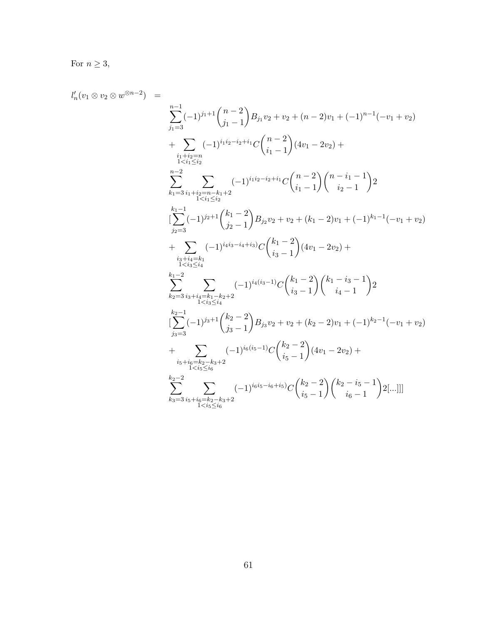For  $n \geq 3$ ,

 $l'_n$ 

$$
(v_1 \otimes v_2 \otimes w^{\otimes n-2}) = \sum_{\substack{j_1=3 \ i \leq i_2 \ n \text{ odd}}}^{n-1} (-1)^{j_1+1} {n-2 \choose j_1-1} B_{j_1} v_2 + v_2 + (n-2) v_1 + (-1)^{n-1} (-v_1 + v_2) + \sum_{\substack{i_1 \neq i_2 = n \ i < i_1 \leq i_2}} (-1)^{i_1 i_2 - i_2 + i_1} C {n-2 \choose i_1-1} (4v_1 - 2v_2) + \sum_{\substack{i_1 \neq i_2 = n - k_1 + 2 \ n \text{ odd}}}^{n-2} (-1)^{i_1 i_2 - i_2 + i_1} C {n-2 \choose i_1-1} {n-i_1-1 \choose i_2-1} 2
$$
  

$$
\sum_{\substack{j_1=3 \ i_1 \neq i_2 = n - k_1 + 2 \ n \text{ odd}}}^{n-1} (-1)^{j_2+1} {k_1-2 \choose j_2-1} B_{j_2} v_2 + v_2 + (k_1-2) v_1 + (-1)^{k_1-1} (-v_1 + v_2) + \sum_{\substack{i_2 \neq i_2 \ n \text{ odd}}}^{k_1-1} (-1)^{i_4 i_3 - i_4 + i_3} C {k_1-2 \choose i_3-1} (4v_1 - 2v_2) + \sum_{\substack{i_2 \neq i_2 \ n \text{ odd}}}^{k_1-2} (-1)^{i_4 i_3 - i_4 + i_3} C {k_1-2 \choose i_3-1} C {k_1-2 \choose i_3-1} {k_1-1 \choose i_4-1} 2
$$
  

$$
\sum_{\substack{j_2=3 \ i_3 \neq i_4 \ n \text{ odd}}}^{k_1-2} (-1)^{j_3+1} {k_2-2 \choose j_3-1} B_{j_3} v_2 + v_2 + (k_2-2) v_1 + (-1)^{k_2-1} (-v_1 + v_2) + \sum_{\substack{i_5+i_6=k_2-k_3+2 \ n \text{ odd}}}^{k_2-1} (-1)^{i_6 i_5 - 1} C {k_2-2 \choose i_5-1} (4v_1 - 2v_2) + \sum
$$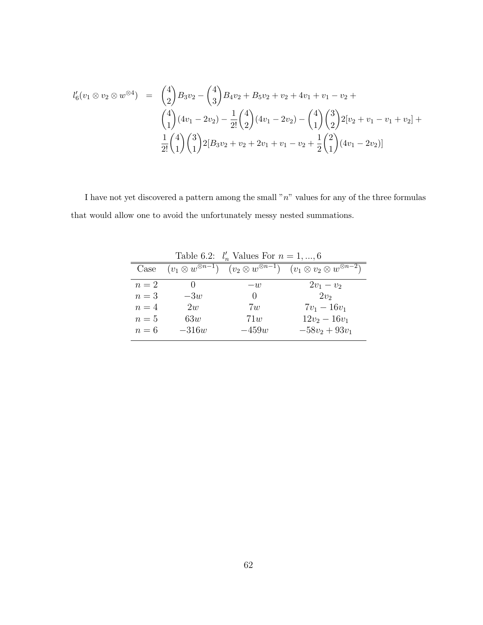$$
l'_{6}(v_{1} \otimes v_{2} \otimes w^{\otimes 4}) = {4 \choose 2} B_{3}v_{2} - {4 \choose 3} B_{4}v_{2} + B_{5}v_{2} + v_{2} + 4v_{1} + v_{1} - v_{2} +
$$
  

$$
{4 \choose 1} (4v_{1} - 2v_{2}) - \frac{1}{2!} {4 \choose 2} (4v_{1} - 2v_{2}) - {4 \choose 1} {3 \choose 2} 2[v_{2} + v_{1} - v_{1} + v_{2}] +
$$
  

$$
\frac{1}{2!} {4 \choose 1} {3 \choose 1} 2[B_{3}v_{2} + v_{2} + 2v_{1} + v_{1} - v_{2} + \frac{1}{2} {2 \choose 1} (4v_{1} - 2v_{2})]
$$

I have not yet discovered a pattern among the small  $"n"$  values for any of the three formulas that would allow one to avoid the unfortunately messy nested summations.

| <b>1</b> apple 0.2. $t_n$ values For $n = 1, , 0$ |                                 |                                 |                                             |  |  |
|---------------------------------------------------|---------------------------------|---------------------------------|---------------------------------------------|--|--|
| Case                                              | $(v_1 \otimes w^{\otimes n-1})$ | $(v_2 \otimes w^{\otimes n-1})$ | $(v_1 \otimes v_2 \otimes w^{\otimes n-2})$ |  |  |
| $n=2$                                             |                                 | $-u$                            | $2v_1 - v_2$                                |  |  |
| $n=3$                                             | $-3w$                           | $\cup$                          | $2v_2$                                      |  |  |
| $n=4$                                             | 2w                              | 7w                              | $7v_1 - 16v_1$                              |  |  |
| $n=5$                                             | 63w                             | 71w                             | $12v_2 - 16v_1$                             |  |  |
| $n=6$                                             | $-316w$                         | $-459w$                         | $-58v_2+93v_1$                              |  |  |

Table 6.2:  $l'_n$  Values For  $n = 1, ..., 6$